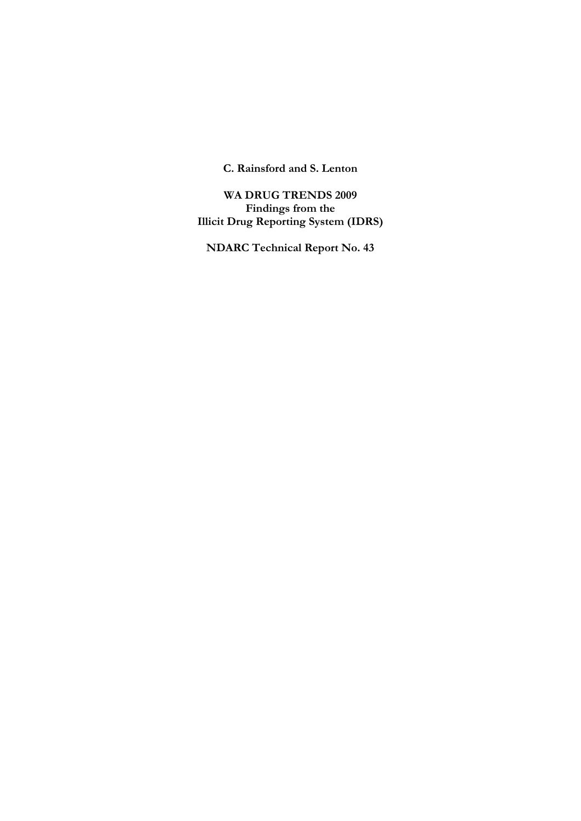**C. Rainsford and S. Lenton** 

**WA DRUG TRENDS 2009 Findings from the Illicit Drug Reporting System (IDRS)** 

**NDARC Technical Report No. 43**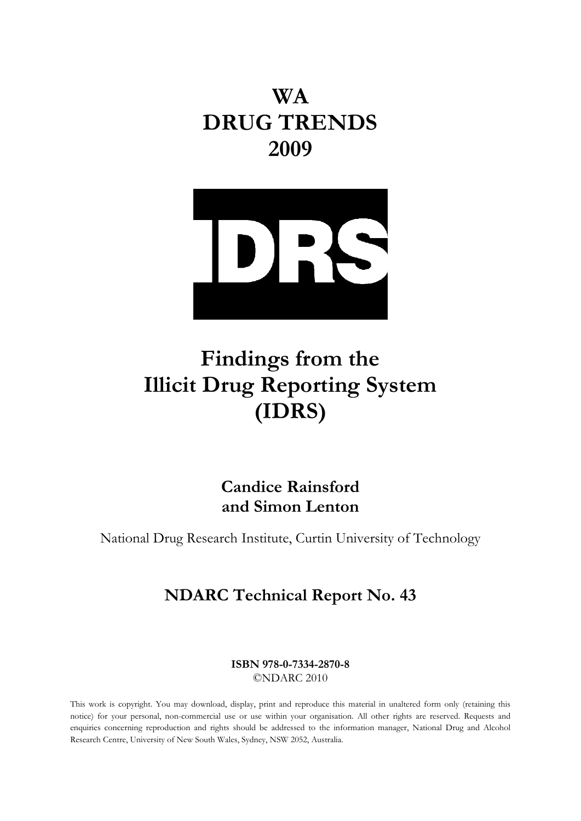**WA DRUG TRENDS 2009**



# **Findings from the Illicit Drug Reporting System (IDRS)**

# **Candice Rainsford and Simon Lenton**

National Drug Research Institute, Curtin University of Technology

# **NDARC Technical Report No. 43**

**ISBN 978-0-7334-2870-8**  ©NDARC 2010

This work is copyright. You may download, display, print and reproduce this material in unaltered form only (retaining this notice) for your personal, non-commercial use or use within your organisation. All other rights are reserved. Requests and enquiries concerning reproduction and rights should be addressed to the information manager, National Drug and Alcohol Research Centre, University of New South Wales, Sydney, NSW 2052, Australia.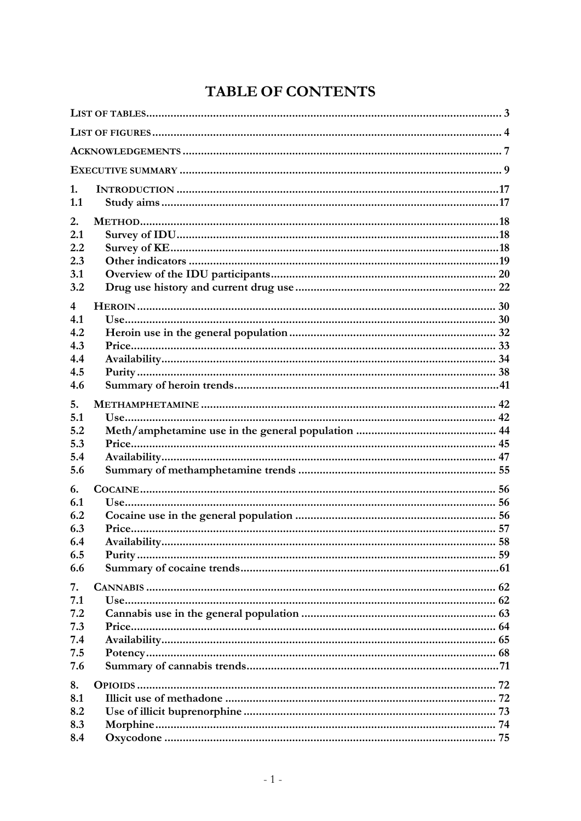# **TABLE OF CONTENTS**

| 1.<br>1.1                                    |  |
|----------------------------------------------|--|
| 2.<br>2.1<br>2.2<br>2.3<br>3.1<br>3.2        |  |
| 4<br>4.1<br>4.2<br>4.3<br>4.4<br>4.5<br>4.6  |  |
| 5.<br>5.1<br>5.2<br>5.3<br>5.4<br>5.6        |  |
| 6.<br>6.1<br>6.2<br>6.3<br>6.4<br>6.5<br>6.6 |  |
| 7.<br>7.1<br>7.2<br>7.3<br>7.4<br>7.5<br>7.6 |  |
| 8.<br>8.1<br>8.2<br>8.3<br>8.4               |  |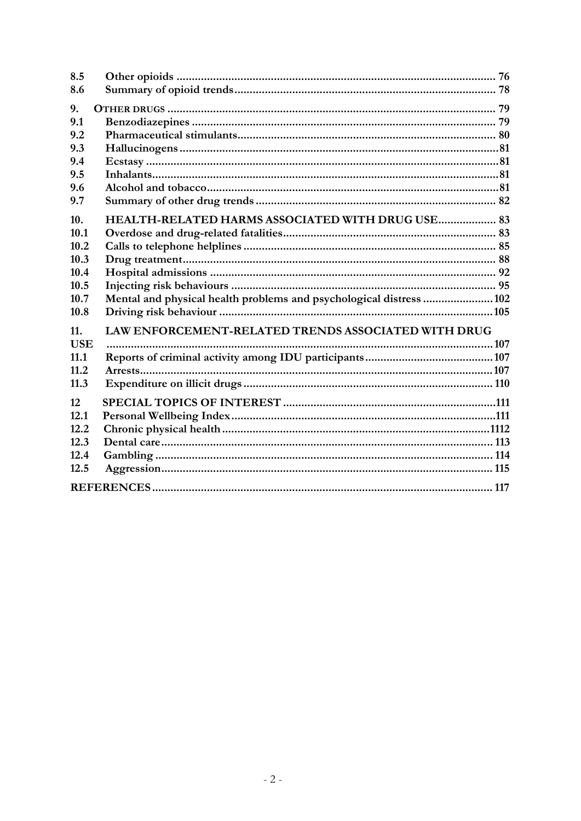| 8.5        |                                                                     |
|------------|---------------------------------------------------------------------|
| 8.6        |                                                                     |
| 9.         |                                                                     |
| 9.1        |                                                                     |
| 9.2        |                                                                     |
| 9.3        |                                                                     |
| 9.4        |                                                                     |
| 9.5        |                                                                     |
| 9.6        |                                                                     |
| 9.7        |                                                                     |
| 10.        | HEALTH-RELATED HARMS ASSOCIATED WITH DRUG USE 83                    |
| 10.1       |                                                                     |
| 10.2       |                                                                     |
| 10.3       |                                                                     |
| 10.4       |                                                                     |
| 10.5       |                                                                     |
| 10.7       | Mental and physical health problems and psychological distress  102 |
| 10.8       |                                                                     |
| 11.        | LAW ENFORCEMENT-RELATED TRENDS ASSOCIATED WITH DRUG                 |
| <b>USE</b> |                                                                     |
| 11.1       |                                                                     |
| 11.2       |                                                                     |
| 11.3       |                                                                     |
| 12         |                                                                     |
| 12.1       |                                                                     |
| 12.2       |                                                                     |
| 12.3       |                                                                     |
| 12.4       |                                                                     |
| 12.5       |                                                                     |
|            |                                                                     |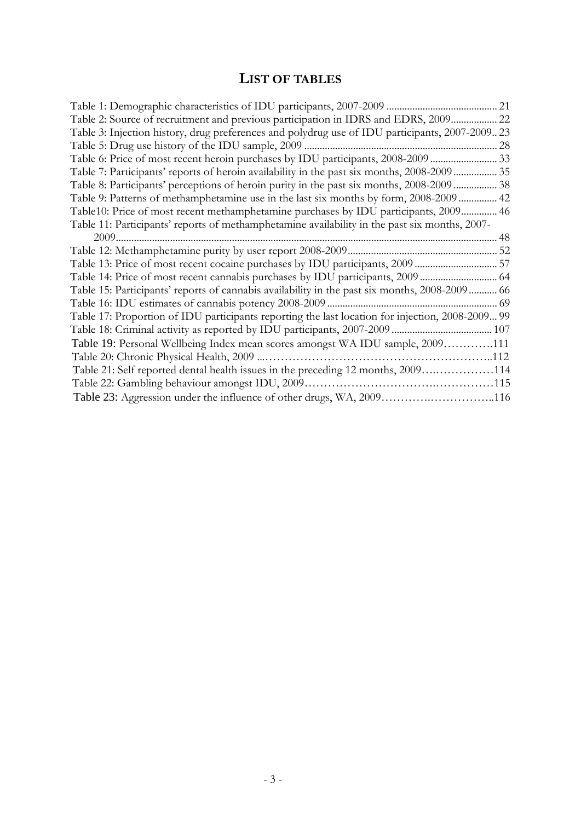# **LIST OF TABLES**

<span id="page-5-0"></span>

| Table 2: Source of recruitment and previous participation in IDRS and EDRS, 2009 22              |  |
|--------------------------------------------------------------------------------------------------|--|
| Table 3: Injection history, drug preferences and polydrug use of IDU participants, 2007-200923   |  |
|                                                                                                  |  |
| Table 6: Price of most recent heroin purchases by IDU participants, 2008-2009  33                |  |
| Table 7: Participants' reports of heroin availability in the past six months, 2008-2009 35       |  |
| Table 8: Participants' perceptions of heroin purity in the past six months, 2008-2009  38        |  |
| Table 9: Patterns of methamphetamine use in the last six months by form, 2008-2009  42           |  |
| Table10: Price of most recent methamphetamine purchases by IDU participants, 2009 46             |  |
| Table 11: Participants' reports of methamphetamine availability in the past six months, 2007-    |  |
|                                                                                                  |  |
|                                                                                                  |  |
| Table 13: Price of most recent cocaine purchases by IDU participants, 2009  57                   |  |
|                                                                                                  |  |
| Table 15: Participants' reports of cannabis availability in the past six months, 2008-2009 66    |  |
|                                                                                                  |  |
| Table 17: Proportion of IDU participants reporting the last location for injection, 2008-2009 99 |  |
|                                                                                                  |  |
| Table 19: Personal Wellbeing Index mean scores amongst WA IDU sample, 2009111                    |  |
|                                                                                                  |  |
| Table 21: Self reported dental health issues in the preceding 12 months, 2009114                 |  |
|                                                                                                  |  |
| Table 23: Aggression under the influence of other drugs, WA, 2009116                             |  |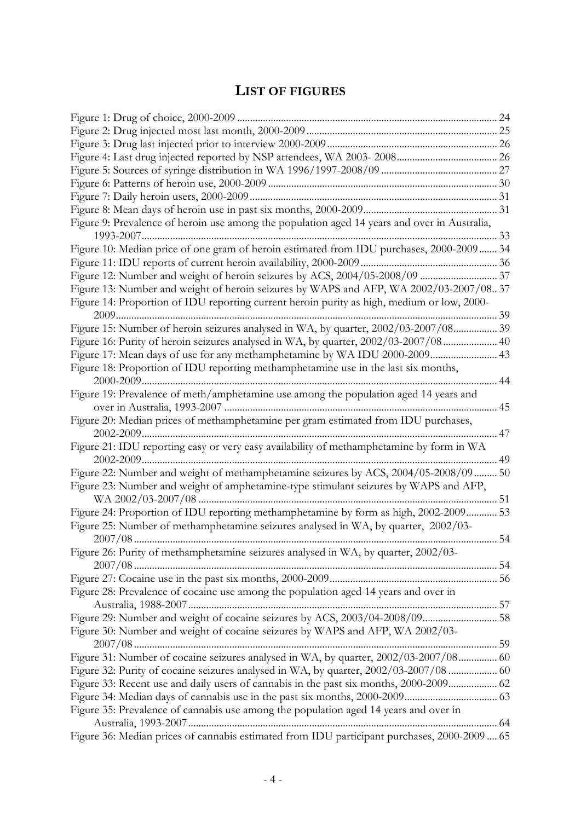# **LIST OF FIGURES**

<span id="page-6-0"></span>

| Figure 9: Prevalence of heroin use among the population aged 14 years and over in Australia, |    |
|----------------------------------------------------------------------------------------------|----|
|                                                                                              |    |
|                                                                                              |    |
| Figure 10: Median price of one gram of heroin estimated from IDU purchases, 2000-2009  34    |    |
|                                                                                              |    |
|                                                                                              |    |
| Figure 13: Number and weight of heroin seizures by WAPS and AFP, WA 2002/03-2007/0837        |    |
| Figure 14: Proportion of IDU reporting current heroin purity as high, medium or low, 2000-   |    |
| 39                                                                                           |    |
| Figure 15: Number of heroin seizures analysed in WA, by quarter, 2002/03-2007/08 39          |    |
| Figure 16: Purity of heroin seizures analysed in WA, by quarter, 2002/03-2007/08 40          |    |
| Figure 17: Mean days of use for any methamphetamine by WA IDU 2000-2009 43                   |    |
| Figure 18: Proportion of IDU reporting methamphetamine use in the last six months,           |    |
|                                                                                              | 44 |
| Figure 19: Prevalence of meth/amphetamine use among the population aged 14 years and         |    |
|                                                                                              |    |
| Figure 20: Median prices of methamphetamine per gram estimated from IDU purchases,           |    |
|                                                                                              | 47 |
| Figure 21: IDU reporting easy or very easy availability of methamphetamine by form in WA     |    |
|                                                                                              |    |
|                                                                                              |    |
| Figure 22: Number and weight of methamphetamine seizures by ACS, 2004/05-2008/09  50         |    |
| Figure 23: Number and weight of amphetamine-type stimulant seizures by WAPS and AFP,         |    |
|                                                                                              |    |
| Figure 24: Proportion of IDU reporting methamphetamine by form as high, 2002-2009 53         |    |
| Figure 25: Number of methamphetamine seizures analysed in WA, by quarter, 2002/03-           |    |
|                                                                                              |    |
| Figure 26: Purity of methamphetamine seizures analysed in WA, by quarter, 2002/03-           |    |
|                                                                                              |    |
|                                                                                              |    |
| Figure 28: Prevalence of cocaine use among the population aged 14 years and over in          |    |
|                                                                                              |    |
| Figure 29: Number and weight of cocaine seizures by ACS, 2003/04-2008/09 58                  |    |
| Figure 30: Number and weight of cocaine seizures by WAPS and AFP, WA 2002/03-                |    |
|                                                                                              |    |
| Figure 31: Number of cocaine seizures analysed in WA, by quarter, 2002/03-2007/08 60         |    |
|                                                                                              |    |
|                                                                                              |    |
| Figure 33: Recent use and daily users of cannabis in the past six months, 2000-2009 62       |    |
|                                                                                              |    |
| Figure 35: Prevalence of cannabis use among the population aged 14 years and over in         |    |
|                                                                                              |    |
| Figure 36: Median prices of cannabis estimated from IDU participant purchases, 2000-2009  65 |    |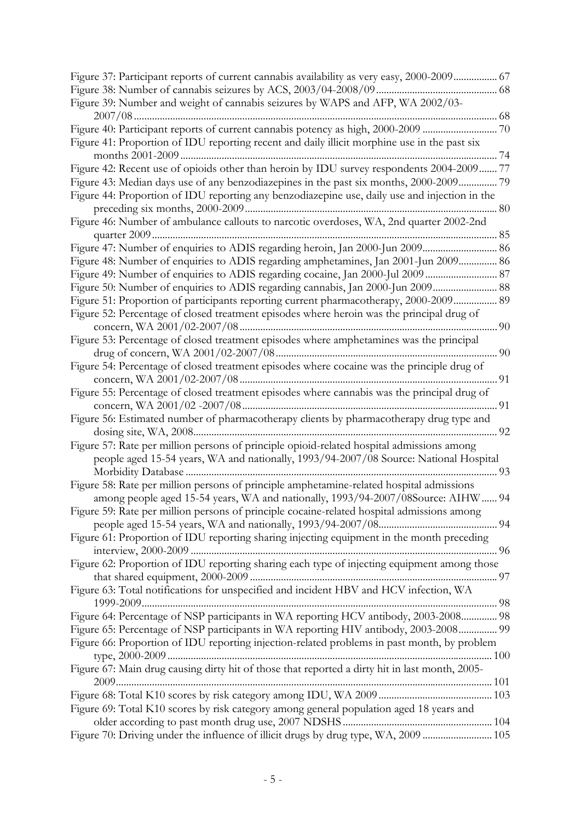| Figure 37: Participant reports of current cannabis availability as very easy, 2000-2009 67     |
|------------------------------------------------------------------------------------------------|
|                                                                                                |
| Figure 39: Number and weight of cannabis seizures by WAPS and AFP, WA 2002/03-                 |
|                                                                                                |
| Figure 40: Participant reports of current cannabis potency as high, 2000-2009 70               |
| Figure 41: Proportion of IDU reporting recent and daily illicit morphine use in the past six   |
| Figure 42: Recent use of opioids other than heroin by IDU survey respondents 2004-2009 77      |
|                                                                                                |
| Figure 43: Median days use of any benzodiazepines in the past six months, 2000-2009 79         |
| Figure 44: Proportion of IDU reporting any benzodiazepine use, daily use and injection in the  |
| Figure 46: Number of ambulance callouts to narcotic overdoses, WA, 2nd quarter 2002-2nd        |
|                                                                                                |
|                                                                                                |
| Figure 48: Number of enquiries to ADIS regarding amphetamines, Jan 2001-Jun 2009 86            |
| Figure 49: Number of enquiries to ADIS regarding cocaine, Jan 2000-Jul 2009 87                 |
| Figure 50: Number of enquiries to ADIS regarding cannabis, Jan 2000-Jun 2009 88                |
| Figure 51: Proportion of participants reporting current pharmacotherapy, 2000-2009 89          |
| Figure 52: Percentage of closed treatment episodes where heroin was the principal drug of      |
|                                                                                                |
| Figure 53: Percentage of closed treatment episodes where amphetamines was the principal        |
|                                                                                                |
| Figure 54: Percentage of closed treatment episodes where cocaine was the principle drug of     |
|                                                                                                |
| Figure 55: Percentage of closed treatment episodes where cannabis was the principal drug of    |
|                                                                                                |
| Figure 56: Estimated number of pharmacotherapy clients by pharmacotherapy drug type and        |
|                                                                                                |
| Figure 57: Rate per million persons of principle opioid-related hospital admissions among      |
| people aged 15-54 years, WA and nationally, 1993/94-2007/08 Source: National Hospital          |
|                                                                                                |
| Figure 58: Rate per million persons of principle amphetamine-related hospital admissions       |
| among people aged 15-54 years, WA and nationally, 1993/94-2007/08Source: AIHW  94              |
| Figure 59: Rate per million persons of principle cocaine-related hospital admissions among     |
|                                                                                                |
| Figure 61: Proportion of IDU reporting sharing injecting equipment in the month preceding      |
|                                                                                                |
| Figure 62: Proportion of IDU reporting sharing each type of injecting equipment among those    |
|                                                                                                |
| Figure 63: Total notifications for unspecified and incident HBV and HCV infection, WA          |
|                                                                                                |
| Figure 64: Percentage of NSP participants in WA reporting HCV antibody, 2003-2008 98           |
| Figure 65: Percentage of NSP participants in WA reporting HIV antibody, 2003-2008 99           |
| Figure 66: Proportion of IDU reporting injection-related problems in past month, by problem    |
|                                                                                                |
| Figure 67: Main drug causing dirty hit of those that reported a dirty hit in last month, 2005- |
|                                                                                                |
|                                                                                                |
| Figure 69: Total K10 scores by risk category among general population aged 18 years and        |
|                                                                                                |
| Figure 70: Driving under the influence of illicit drugs by drug type, WA, 2009  105            |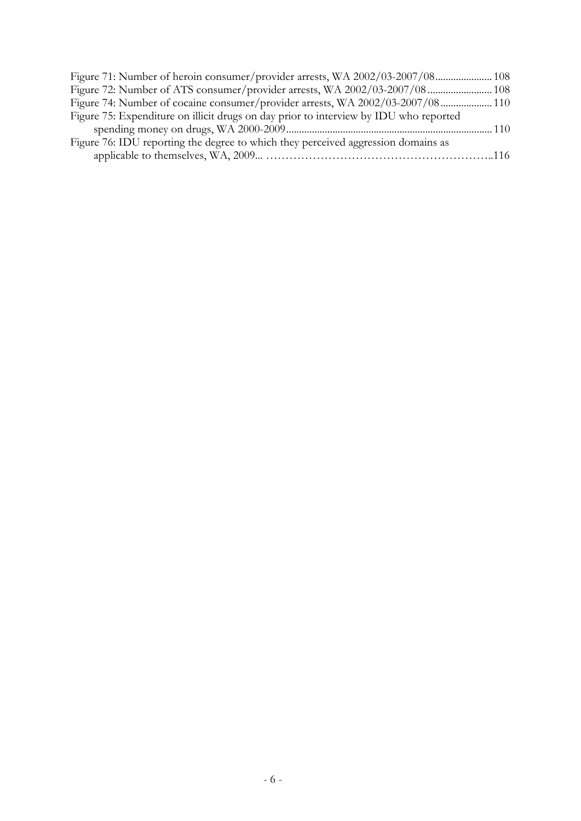| Figure 71: Number of heroin consumer/provider arrests, WA 2002/03-2007/08 108         |  |
|---------------------------------------------------------------------------------------|--|
|                                                                                       |  |
| Figure 74: Number of cocaine consumer/provider arrests, WA 2002/03-2007/08 110        |  |
| Figure 75: Expenditure on illicit drugs on day prior to interview by IDU who reported |  |
|                                                                                       |  |
| Figure 76: IDU reporting the degree to which they perceived aggression domains as     |  |
|                                                                                       |  |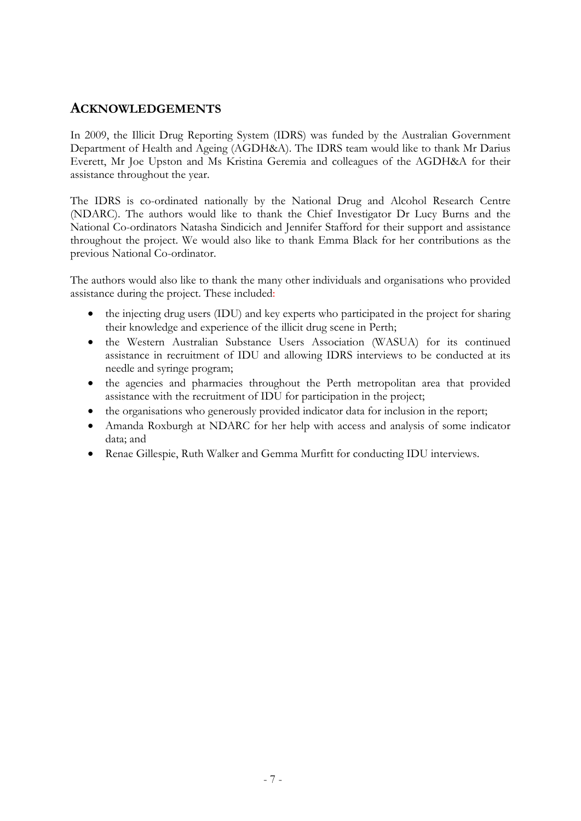## <span id="page-9-0"></span>**ACKNOWLEDGEMENTS**

In 2009, the Illicit Drug Reporting System (IDRS) was funded by the Australian Government Department of Health and Ageing (AGDH&A). The IDRS team would like to thank Mr Darius Everett, Mr Joe Upston and Ms Kristina Geremia and colleagues of the AGDH&A for their assistance throughout the year.

The IDRS is co-ordinated nationally by the National Drug and Alcohol Research Centre (NDARC). The authors would like to thank the Chief Investigator Dr Lucy Burns and the National Co-ordinators Natasha Sindicich and Jennifer Stafford for their support and assistance throughout the project. We would also like to thank Emma Black for her contributions as the previous National Co-ordinator.

The authors would also like to thank the many other individuals and organisations who provided assistance during the project. These included:

- the injecting drug users (IDU) and key experts who participated in the project for sharing their knowledge and experience of the illicit drug scene in Perth;
- the Western Australian Substance Users Association (WASUA) for its continued assistance in recruitment of IDU and allowing IDRS interviews to be conducted at its needle and syringe program;
- the agencies and pharmacies throughout the Perth metropolitan area that provided assistance with the recruitment of IDU for participation in the project;
- the organisations who generously provided indicator data for inclusion in the report;
- Amanda Roxburgh at NDARC for her help with access and analysis of some indicator data; and
- Renae Gillespie, Ruth Walker and Gemma Murfitt for conducting IDU interviews.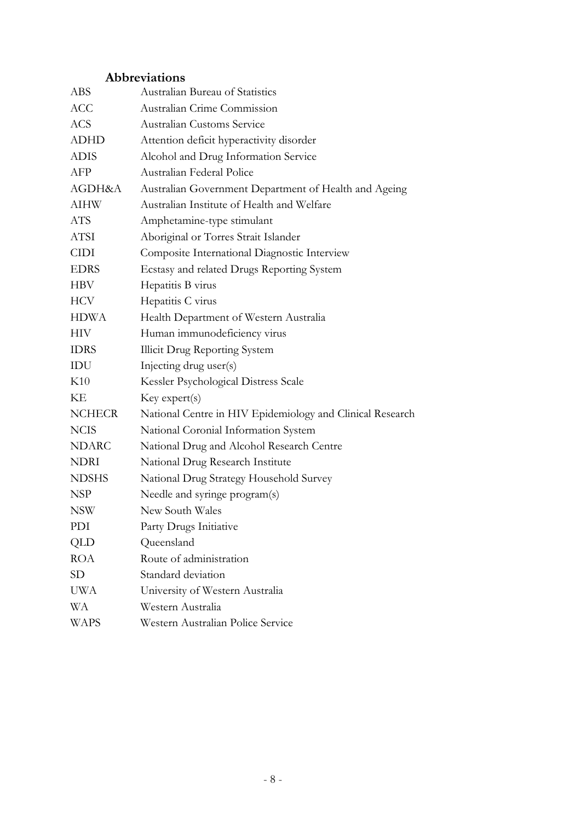# **Abbreviations**

| ABS           | Australian Bureau of Statistics                           |
|---------------|-----------------------------------------------------------|
| <b>ACC</b>    | Australian Crime Commission                               |
| <b>ACS</b>    | <b>Australian Customs Service</b>                         |
| <b>ADHD</b>   | Attention deficit hyperactivity disorder                  |
| <b>ADIS</b>   | Alcohol and Drug Information Service                      |
| AFP           | Australian Federal Police                                 |
| AGDH&A        | Australian Government Department of Health and Ageing     |
| <b>AIHW</b>   | Australian Institute of Health and Welfare                |
| <b>ATS</b>    | Amphetamine-type stimulant                                |
| ATSI          | Aboriginal or Torres Strait Islander                      |
| <b>CIDI</b>   | Composite International Diagnostic Interview              |
| <b>EDRS</b>   | Ecstasy and related Drugs Reporting System                |
| <b>HBV</b>    | Hepatitis B virus                                         |
| <b>HCV</b>    | Hepatitis C virus                                         |
| <b>HDWA</b>   | Health Department of Western Australia                    |
| <b>HIV</b>    | Human immunodeficiency virus                              |
| <b>IDRS</b>   | <b>Illicit Drug Reporting System</b>                      |
| IDU           | Injecting drug user(s)                                    |
| K10           | Kessler Psychological Distress Scale                      |
| KE            | Key expert(s)                                             |
| <b>NCHECR</b> | National Centre in HIV Epidemiology and Clinical Research |
| <b>NCIS</b>   | National Coronial Information System                      |
| <b>NDARC</b>  | National Drug and Alcohol Research Centre                 |
| <b>NDRI</b>   | National Drug Research Institute                          |
| <b>NDSHS</b>  | National Drug Strategy Household Survey                   |
| NSP           | Needle and syringe program(s)                             |
| <b>NSW</b>    | New South Wales                                           |
| PDI           | Party Drugs Initiative                                    |
| QLD           | Queensland                                                |
| <b>ROA</b>    | Route of administration                                   |
| <b>SD</b>     | Standard deviation                                        |
| <b>UWA</b>    | University of Western Australia                           |
| WА            | Western Australia                                         |
| <b>WAPS</b>   | Western Australian Police Service                         |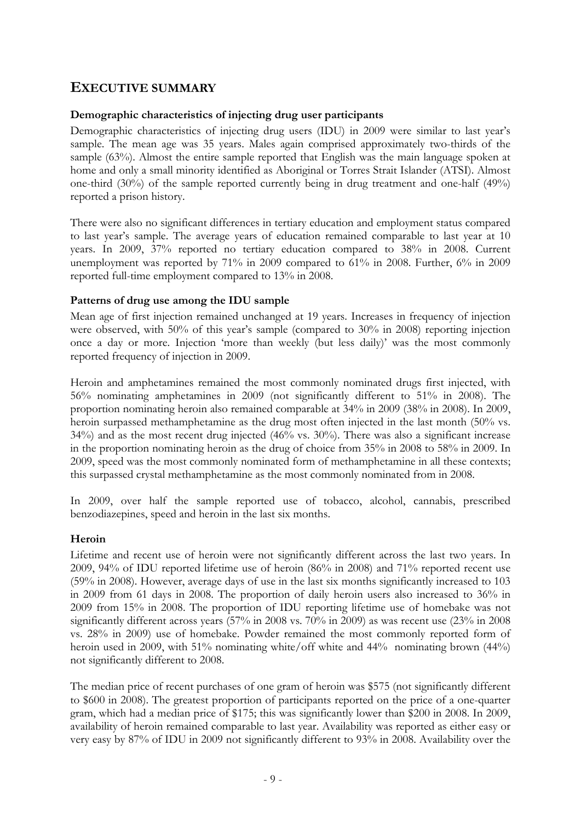# <span id="page-11-0"></span>**EXECUTIVE SUMMARY**

#### **Demographic characteristics of injecting drug user participants**

Demographic characteristics of injecting drug users (IDU) in 2009 were similar to last year's sample. The mean age was 35 years. Males again comprised approximately two-thirds of the sample (63%). Almost the entire sample reported that English was the main language spoken at home and only a small minority identified as Aboriginal or Torres Strait Islander (ATSI). Almost one-third (30%) of the sample reported currently being in drug treatment and one-half (49%) reported a prison history.

There were also no significant differences in tertiary education and employment status compared to last year's sample. The average years of education remained comparable to last year at 10 years. In 2009, 37% reported no tertiary education compared to 38% in 2008. Current unemployment was reported by 71% in 2009 compared to 61% in 2008. Further, 6% in 2009 reported full-time employment compared to 13% in 2008.

#### **Patterns of drug use among the IDU sample**

Mean age of first injection remained unchanged at 19 years. Increases in frequency of injection were observed, with 50% of this year's sample (compared to 30% in 2008) reporting injection once a day or more. Injection 'more than weekly (but less daily)' was the most commonly reported frequency of injection in 2009.

Heroin and amphetamines remained the most commonly nominated drugs first injected, with 56% nominating amphetamines in 2009 (not significantly different to 51% in 2008). The proportion nominating heroin also remained comparable at 34% in 2009 (38% in 2008). In 2009, heroin surpassed methamphetamine as the drug most often injected in the last month (50% vs. 34%) and as the most recent drug injected (46% vs. 30%). There was also a significant increase in the proportion nominating heroin as the drug of choice from 35% in 2008 to 58% in 2009. In 2009, speed was the most commonly nominated form of methamphetamine in all these contexts; this surpassed crystal methamphetamine as the most commonly nominated from in 2008.

In 2009, over half the sample reported use of tobacco, alcohol, cannabis, prescribed benzodiazepines, speed and heroin in the last six months.

#### **Heroin**

Lifetime and recent use of heroin were not significantly different across the last two years. In 2009, 94% of IDU reported lifetime use of heroin (86% in 2008) and 71% reported recent use (59% in 2008). However, average days of use in the last six months significantly increased to 103 in 2009 from 61 days in 2008. The proportion of daily heroin users also increased to 36% in 2009 from 15% in 2008. The proportion of IDU reporting lifetime use of homebake was not significantly different across years (57% in 2008 vs. 70% in 2009) as was recent use (23% in 2008 vs. 28% in 2009) use of homebake. Powder remained the most commonly reported form of heroin used in 2009, with 51% nominating white/off white and 44% nominating brown (44%) not significantly different to 2008.

The median price of recent purchases of one gram of heroin was \$575 (not significantly different to \$600 in 2008). The greatest proportion of participants reported on the price of a one-quarter gram, which had a median price of \$175; this was significantly lower than \$200 in 2008. In 2009, availability of heroin remained comparable to last year. Availability was reported as either easy or very easy by 87% of IDU in 2009 not significantly different to 93% in 2008. Availability over the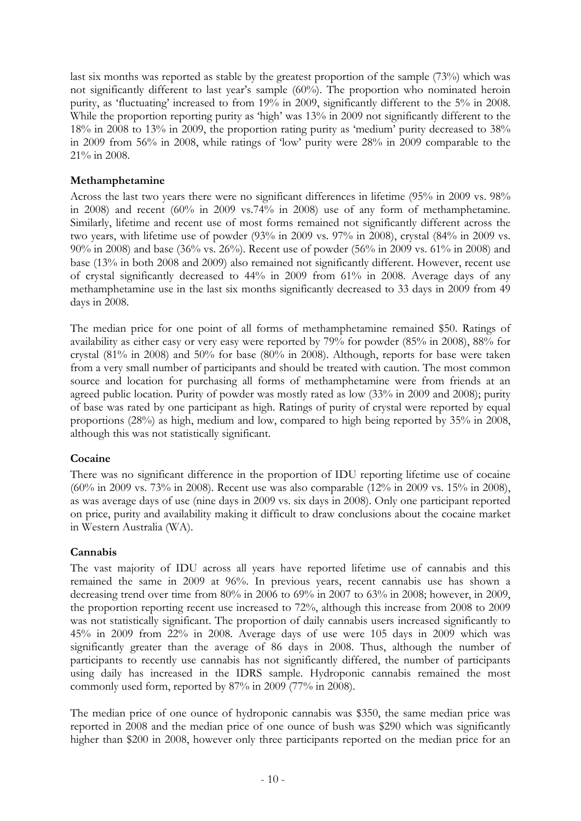last six months was reported as stable by the greatest proportion of the sample (73%) which was not significantly different to last year's sample (60%). The proportion who nominated heroin purity, as 'fluctuating' increased to from 19% in 2009, significantly different to the 5% in 2008. While the proportion reporting purity as 'high' was 13% in 2009 not significantly different to the 18% in 2008 to 13% in 2009, the proportion rating purity as 'medium' purity decreased to 38% in 2009 from 56% in 2008, while ratings of 'low' purity were 28% in 2009 comparable to the 21% in 2008.

#### **Methamphetamine**

Across the last two years there were no significant differences in lifetime (95% in 2009 vs. 98% in 2008) and recent (60% in 2009 vs.74% in 2008) use of any form of methamphetamine. Similarly, lifetime and recent use of most forms remained not significantly different across the two years, with lifetime use of powder (93% in 2009 vs. 97% in 2008), crystal (84% in 2009 vs. 90% in 2008) and base (36% vs. 26%). Recent use of powder (56% in 2009 vs. 61% in 2008) and base (13% in both 2008 and 2009) also remained not significantly different. However, recent use of crystal significantly decreased to 44% in 2009 from 61% in 2008. Average days of any methamphetamine use in the last six months significantly decreased to 33 days in 2009 from 49 days in 2008.

The median price for one point of all forms of methamphetamine remained \$50. Ratings of availability as either easy or very easy were reported by 79% for powder (85% in 2008), 88% for crystal (81% in 2008) and 50% for base (80% in 2008). Although, reports for base were taken from a very small number of participants and should be treated with caution. The most common source and location for purchasing all forms of methamphetamine were from friends at an agreed public location. Purity of powder was mostly rated as low (33% in 2009 and 2008); purity of base was rated by one participant as high. Ratings of purity of crystal were reported by equal proportions (28%) as high, medium and low, compared to high being reported by 35% in 2008, although this was not statistically significant.

#### **Cocaine**

There was no significant difference in the proportion of IDU reporting lifetime use of cocaine (60% in 2009 vs. 73% in 2008). Recent use was also comparable (12% in 2009 vs. 15% in 2008), as was average days of use (nine days in 2009 vs. six days in 2008). Only one participant reported on price, purity and availability making it difficult to draw conclusions about the cocaine market in Western Australia (WA).

#### **Cannabis**

The vast majority of IDU across all years have reported lifetime use of cannabis and this remained the same in 2009 at 96%. In previous years, recent cannabis use has shown a decreasing trend over time from 80% in 2006 to 69% in 2007 to 63% in 2008; however, in 2009, the proportion reporting recent use increased to 72%, although this increase from 2008 to 2009 was not statistically significant. The proportion of daily cannabis users increased significantly to 45% in 2009 from 22% in 2008. Average days of use were 105 days in 2009 which was significantly greater than the average of 86 days in 2008. Thus, although the number of participants to recently use cannabis has not significantly differed, the number of participants using daily has increased in the IDRS sample. Hydroponic cannabis remained the most commonly used form, reported by 87% in 2009 (77% in 2008).

The median price of one ounce of hydroponic cannabis was \$350, the same median price was reported in 2008 and the median price of one ounce of bush was \$290 which was significantly higher than \$200 in 2008, however only three participants reported on the median price for an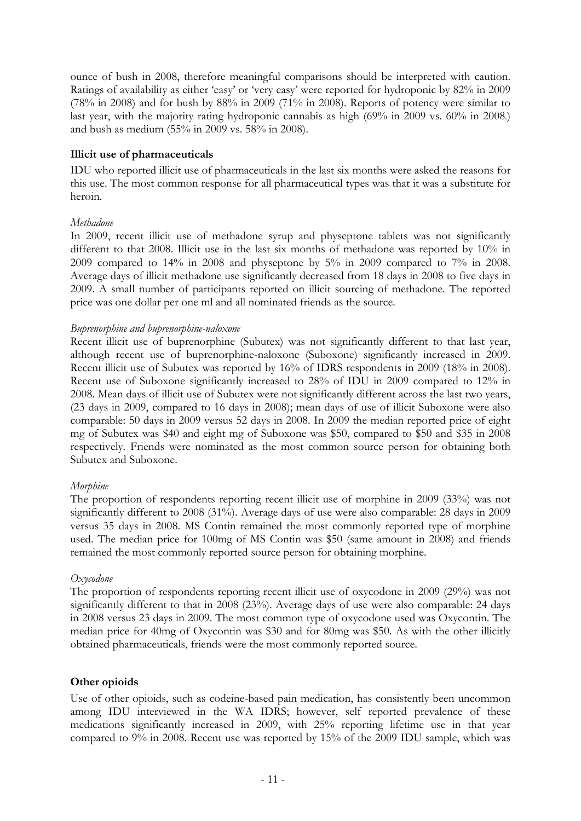ounce of bush in 2008, therefore meaningful comparisons should be interpreted with caution. Ratings of availability as either 'easy' or 'very easy' were reported for hydroponic by 82% in 2009 (78% in 2008) and for bush by 88% in 2009 (71% in 2008). Reports of potency were similar to last year, with the majority rating hydroponic cannabis as high (69% in 2009 vs. 60% in 2008.) and bush as medium (55% in 2009 vs. 58% in 2008).

#### **Illicit use of pharmaceuticals**

IDU who reported illicit use of pharmaceuticals in the last six months were asked the reasons for this use. The most common response for all pharmaceutical types was that it was a substitute for heroin.

#### *Methadone*

In 2009, recent illicit use of methadone syrup and physeptone tablets was not significantly different to that 2008. Illicit use in the last six months of methadone was reported by 10% in 2009 compared to 14% in 2008 and physeptone by 5% in 2009 compared to 7% in 2008. Average days of illicit methadone use significantly decreased from 18 days in 2008 to five days in 2009. A small number of participants reported on illicit sourcing of methadone. The reported price was one dollar per one ml and all nominated friends as the source.

#### *Buprenorphine and buprenorphine-naloxone*

Recent illicit use of buprenorphine (Subutex) was not significantly different to that last year, although recent use of buprenorphine-naloxone (Suboxone) significantly increased in 2009. Recent illicit use of Subutex was reported by 16% of IDRS respondents in 2009 (18% in 2008). Recent use of Suboxone significantly increased to 28% of IDU in 2009 compared to 12% in 2008. Mean days of illicit use of Subutex were not significantly different across the last two years, (23 days in 2009, compared to 16 days in 2008); mean days of use of illicit Suboxone were also comparable: 50 days in 2009 versus 52 days in 2008. In 2009 the median reported price of eight mg of Subutex was \$40 and eight mg of Suboxone was \$50, compared to \$50 and \$35 in 2008 respectively. Friends were nominated as the most common source person for obtaining both Subutex and Suboxone.

#### *Morphine*

The proportion of respondents reporting recent illicit use of morphine in 2009 (33%) was not significantly different to 2008 (31%). Average days of use were also comparable: 28 days in 2009 versus 35 days in 2008. MS Contin remained the most commonly reported type of morphine used. The median price for 100mg of MS Contin was \$50 (same amount in 2008) and friends remained the most commonly reported source person for obtaining morphine.

#### *Oxycodone*

The proportion of respondents reporting recent illicit use of oxycodone in 2009 (29%) was not significantly different to that in 2008 (23%). Average days of use were also comparable: 24 days in 2008 versus 23 days in 2009. The most common type of oxycodone used was Oxycontin. The median price for 40mg of Oxycontin was \$30 and for 80mg was \$50. As with the other illicitly obtained pharmaceuticals, friends were the most commonly reported source.

#### **Other opioids**

Use of other opioids, such as codeine-based pain medication, has consistently been uncommon among IDU interviewed in the WA IDRS; however, self reported prevalence of these medications significantly increased in 2009, with 25% reporting lifetime use in that year compared to 9% in 2008. Recent use was reported by 15% of the 2009 IDU sample, which was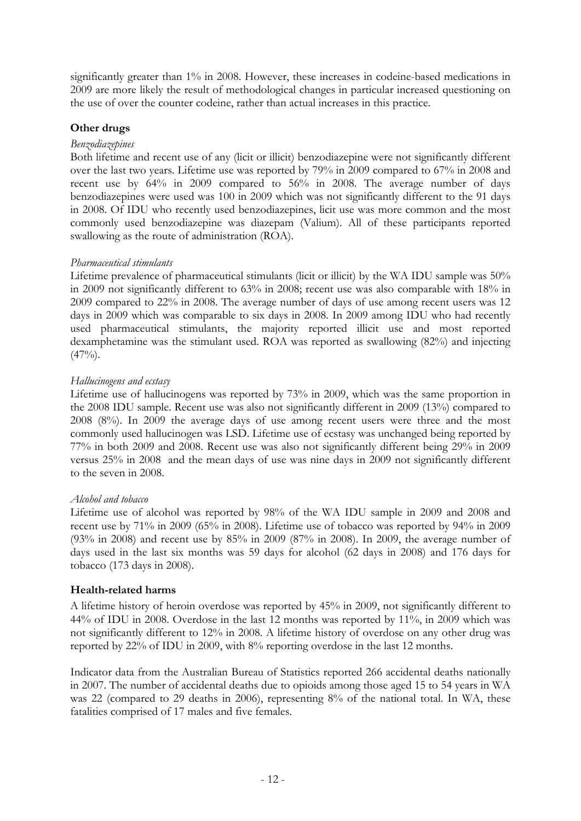significantly greater than 1% in 2008. However, these increases in codeine-based medications in 2009 are more likely the result of methodological changes in particular increased questioning on the use of over the counter codeine, rather than actual increases in this practice.

### **Other drugs**

#### *Benzodiazepines*

Both lifetime and recent use of any (licit or illicit) benzodiazepine were not significantly different over the last two years. Lifetime use was reported by 79% in 2009 compared to 67% in 2008 and recent use by 64% in 2009 compared to 56% in 2008. The average number of days benzodiazepines were used was 100 in 2009 which was not significantly different to the 91 days in 2008. Of IDU who recently used benzodiazepines, licit use was more common and the most commonly used benzodiazepine was diazepam (Valium). All of these participants reported swallowing as the route of administration (ROA).

#### *Pharmaceutical stimulants*

Lifetime prevalence of pharmaceutical stimulants (licit or illicit) by the WA IDU sample was 50% in 2009 not significantly different to 63% in 2008; recent use was also comparable with 18% in 2009 compared to 22% in 2008. The average number of days of use among recent users was 12 days in 2009 which was comparable to six days in 2008. In 2009 among IDU who had recently used pharmaceutical stimulants, the majority reported illicit use and most reported dexamphetamine was the stimulant used. ROA was reported as swallowing (82%) and injecting  $(47\%)$ .

#### *Hallucinogens and ecstasy*

Lifetime use of hallucinogens was reported by 73% in 2009, which was the same proportion in the 2008 IDU sample. Recent use was also not significantly different in 2009 (13%) compared to 2008 (8%). In 2009 the average days of use among recent users were three and the most commonly used hallucinogen was LSD. Lifetime use of ecstasy was unchanged being reported by 77% in both 2009 and 2008. Recent use was also not significantly different being 29% in 2009 versus 25% in 2008 and the mean days of use was nine days in 2009 not significantly different to the seven in 2008.

#### *Alcohol and tobacco*

Lifetime use of alcohol was reported by 98% of the WA IDU sample in 2009 and 2008 and recent use by 71% in 2009 (65% in 2008). Lifetime use of tobacco was reported by 94% in 2009 (93% in 2008) and recent use by 85% in 2009 (87% in 2008). In 2009, the average number of days used in the last six months was 59 days for alcohol (62 days in 2008) and 176 days for tobacco (173 days in 2008).

#### **Health-related harms**

A lifetime history of heroin overdose was reported by 45% in 2009, not significantly different to 44% of IDU in 2008. Overdose in the last 12 months was reported by 11%, in 2009 which was not significantly different to 12% in 2008. A lifetime history of overdose on any other drug was reported by 22% of IDU in 2009, with 8% reporting overdose in the last 12 months.

Indicator data from the Australian Bureau of Statistics reported 266 accidental deaths nationally in 2007. The number of accidental deaths due to opioids among those aged 15 to 54 years in WA was 22 (compared to 29 deaths in 2006), representing 8% of the national total. In WA, these fatalities comprised of 17 males and five females.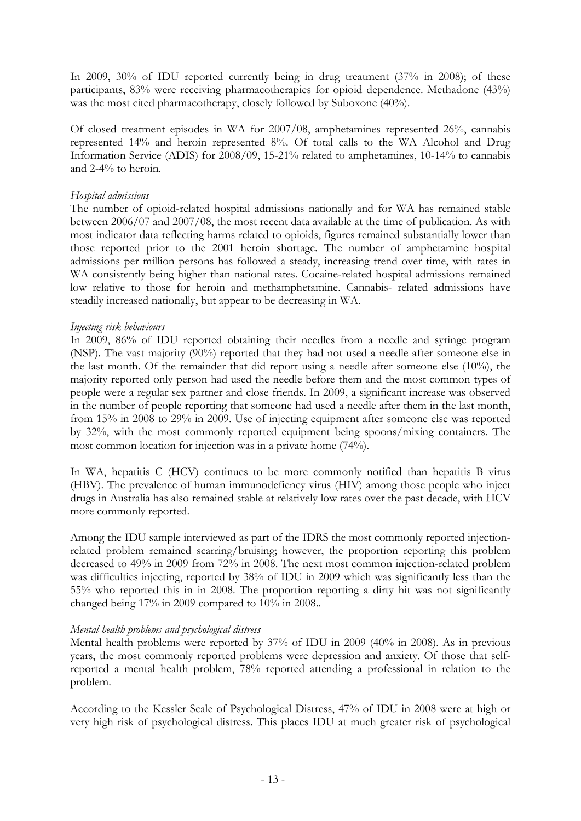In 2009, 30% of IDU reported currently being in drug treatment (37% in 2008); of these participants, 83% were receiving pharmacotherapies for opioid dependence. Methadone (43%) was the most cited pharmacotherapy, closely followed by Suboxone (40%).

Of closed treatment episodes in WA for 2007/08, amphetamines represented 26%, cannabis represented 14% and heroin represented 8%. Of total calls to the WA Alcohol and Drug Information Service (ADIS) for 2008/09, 15-21% related to amphetamines, 10-14% to cannabis and 2-4% to heroin.

#### *Hospital admissions*

The number of opioid-related hospital admissions nationally and for WA has remained stable between 2006/07 and 2007/08, the most recent data available at the time of publication. As with most indicator data reflecting harms related to opioids, figures remained substantially lower than those reported prior to the 2001 heroin shortage. The number of amphetamine hospital admissions per million persons has followed a steady, increasing trend over time, with rates in WA consistently being higher than national rates. Cocaine-related hospital admissions remained low relative to those for heroin and methamphetamine. Cannabis- related admissions have steadily increased nationally, but appear to be decreasing in WA.

#### *Injecting risk behaviours*

In 2009, 86% of IDU reported obtaining their needles from a needle and syringe program (NSP). The vast majority (90%) reported that they had not used a needle after someone else in the last month. Of the remainder that did report using a needle after someone else (10%), the majority reported only person had used the needle before them and the most common types of people were a regular sex partner and close friends. In 2009, a significant increase was observed in the number of people reporting that someone had used a needle after them in the last month, from 15% in 2008 to 29% in 2009. Use of injecting equipment after someone else was reported by 32%, with the most commonly reported equipment being spoons/mixing containers. The most common location for injection was in a private home (74%).

In WA, hepatitis C (HCV) continues to be more commonly notified than hepatitis B virus (HBV). The prevalence of human immunodefiency virus (HIV) among those people who inject drugs in Australia has also remained stable at relatively low rates over the past decade, with HCV more commonly reported.

Among the IDU sample interviewed as part of the IDRS the most commonly reported injectionrelated problem remained scarring/bruising; however, the proportion reporting this problem decreased to 49% in 2009 from 72% in 2008. The next most common injection-related problem was difficulties injecting, reported by 38% of IDU in 2009 which was significantly less than the 55% who reported this in in 2008. The proportion reporting a dirty hit was not significantly changed being 17% in 2009 compared to 10% in 2008..

#### *Mental health problems and psychological distress*

Mental health problems were reported by 37% of IDU in 2009 (40% in 2008). As in previous years, the most commonly reported problems were depression and anxiety. Of those that selfreported a mental health problem, 78% reported attending a professional in relation to the problem.

According to the Kessler Scale of Psychological Distress, 47% of IDU in 2008 were at high or very high risk of psychological distress. This places IDU at much greater risk of psychological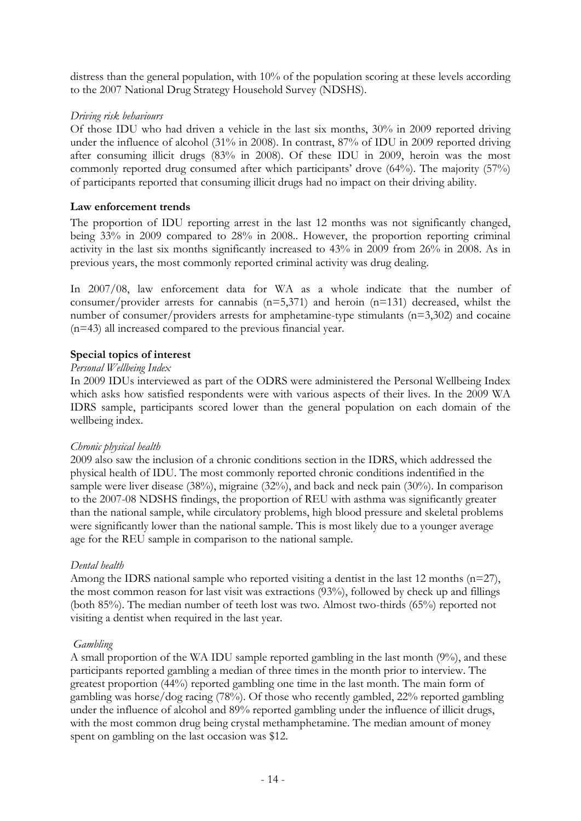distress than the general population, with 10% of the population scoring at these levels according to the 2007 National Drug Strategy Household Survey (NDSHS).

#### *Driving risk behaviours*

Of those IDU who had driven a vehicle in the last six months, 30% in 2009 reported driving under the influence of alcohol (31% in 2008). In contrast, 87% of IDU in 2009 reported driving after consuming illicit drugs (83% in 2008). Of these IDU in 2009, heroin was the most commonly reported drug consumed after which participants' drove (64%). The majority (57%) of participants reported that consuming illicit drugs had no impact on their driving ability.

#### **Law enforcement trends**

The proportion of IDU reporting arrest in the last 12 months was not significantly changed, being 33% in 2009 compared to 28% in 2008.. However, the proportion reporting criminal activity in the last six months significantly increased to 43% in 2009 from 26% in 2008. As in previous years, the most commonly reported criminal activity was drug dealing.

In 2007/08, law enforcement data for WA as a whole indicate that the number of consumer/provider arrests for cannabis  $(n=5,371)$  and heroin  $(n=131)$  decreased, whilst the number of consumer/providers arrests for amphetamine-type stimulants (n=3,302) and cocaine (n=43) all increased compared to the previous financial year.

#### **Special topics of interest**

#### *Personal Wellbeing Index*

In 2009 IDUs interviewed as part of the ODRS were administered the Personal Wellbeing Index which asks how satisfied respondents were with various aspects of their lives. In the 2009 WA IDRS sample, participants scored lower than the general population on each domain of the wellbeing index.

#### *Chronic physical health*

2009 also saw the inclusion of a chronic conditions section in the IDRS, which addressed the physical health of IDU. The most commonly reported chronic conditions indentified in the sample were liver disease (38%), migraine (32%), and back and neck pain (30%). In comparison to the 2007-08 NDSHS findings, the proportion of REU with asthma was significantly greater than the national sample, while circulatory problems, high blood pressure and skeletal problems were significantly lower than the national sample. This is most likely due to a younger average age for the REU sample in comparison to the national sample.

### *Dental health*

Among the IDRS national sample who reported visiting a dentist in the last 12 months (n=27), the most common reason for last visit was extractions (93%), followed by check up and fillings (both 85%). The median number of teeth lost was two. Almost two-thirds (65%) reported not visiting a dentist when required in the last year.

#### *Gambling*

A small proportion of the WA IDU sample reported gambling in the last month (9%), and these participants reported gambling a median of three times in the month prior to interview. The greatest proportion (44%) reported gambling one time in the last month. The main form of gambling was horse/dog racing (78%). Of those who recently gambled, 22% reported gambling under the influence of alcohol and 89% reported gambling under the influence of illicit drugs, with the most common drug being crystal methamphetamine. The median amount of money spent on gambling on the last occasion was \$12.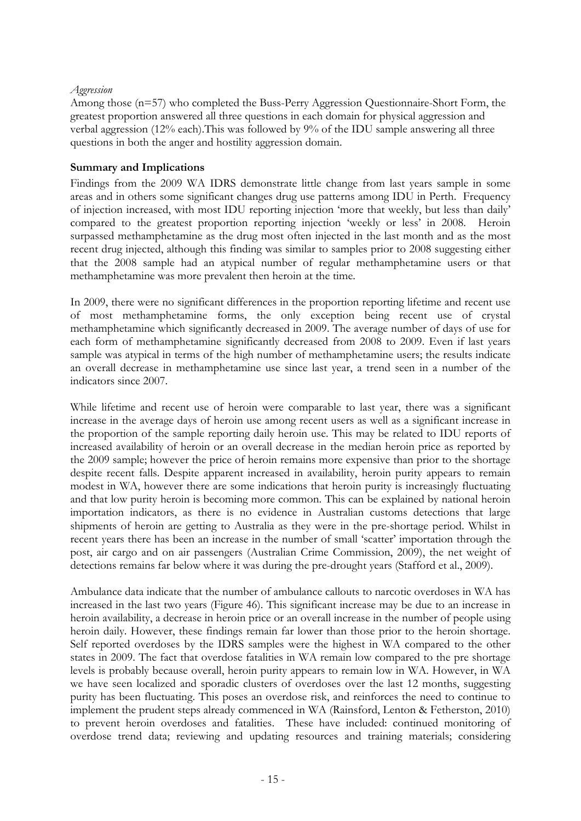#### *Aggression*

Among those (n=57) who completed the Buss-Perry Aggression Questionnaire-Short Form, the greatest proportion answered all three questions in each domain for physical aggression and verbal aggression (12% each).This was followed by 9% of the IDU sample answering all three questions in both the anger and hostility aggression domain.

#### **Summary and Implications**

Findings from the 2009 WA IDRS demonstrate little change from last years sample in some areas and in others some significant changes drug use patterns among IDU in Perth. Frequency of injection increased, with most IDU reporting injection 'more that weekly, but less than daily' compared to the greatest proportion reporting injection 'weekly or less' in 2008. Heroin surpassed methamphetamine as the drug most often injected in the last month and as the most recent drug injected, although this finding was similar to samples prior to 2008 suggesting either that the 2008 sample had an atypical number of regular methamphetamine users or that methamphetamine was more prevalent then heroin at the time.

In 2009, there were no significant differences in the proportion reporting lifetime and recent use of most methamphetamine forms, the only exception being recent use of crystal methamphetamine which significantly decreased in 2009. The average number of days of use for each form of methamphetamine significantly decreased from 2008 to 2009. Even if last years sample was atypical in terms of the high number of methamphetamine users; the results indicate an overall decrease in methamphetamine use since last year, a trend seen in a number of the indicators since 2007.

While lifetime and recent use of heroin were comparable to last year, there was a significant increase in the average days of heroin use among recent users as well as a significant increase in the proportion of the sample reporting daily heroin use. This may be related to IDU reports of increased availability of heroin or an overall decrease in the median heroin price as reported by the 2009 sample; however the price of heroin remains more expensive than prior to the shortage despite recent falls. Despite apparent increased in availability, heroin purity appears to remain modest in WA, however there are some indications that heroin purity is increasingly fluctuating and that low purity heroin is becoming more common. This can be explained by national heroin importation indicators, as there is no evidence in Australian customs detections that large shipments of heroin are getting to Australia as they were in the pre-shortage period. Whilst in recent years there has been an increase in the number of small 'scatter' importation through the post, air cargo and on air passengers (Australian Crime Commission, 2009), the net weight of detections remains far below where it was during the pre-drought years (Stafford et al., 2009).

Ambulance data indicate that the number of ambulance callouts to narcotic overdoses in WA has increased in the last two years (Figure 46). This significant increase may be due to an increase in heroin availability, a decrease in heroin price or an overall increase in the number of people using heroin daily. However, these findings remain far lower than those prior to the heroin shortage. Self reported overdoses by the IDRS samples were the highest in WA compared to the other states in 2009. The fact that overdose fatalities in WA remain low compared to the pre shortage levels is probably because overall, heroin purity appears to remain low in WA. However, in WA we have seen localized and sporadic clusters of overdoses over the last 12 months, suggesting purity has been fluctuating. This poses an overdose risk, and reinforces the need to continue to implement the prudent steps already commenced in WA (Rainsford, Lenton & Fetherston, 2010) to prevent heroin overdoses and fatalities. These have included: continued monitoring of overdose trend data; reviewing and updating resources and training materials; considering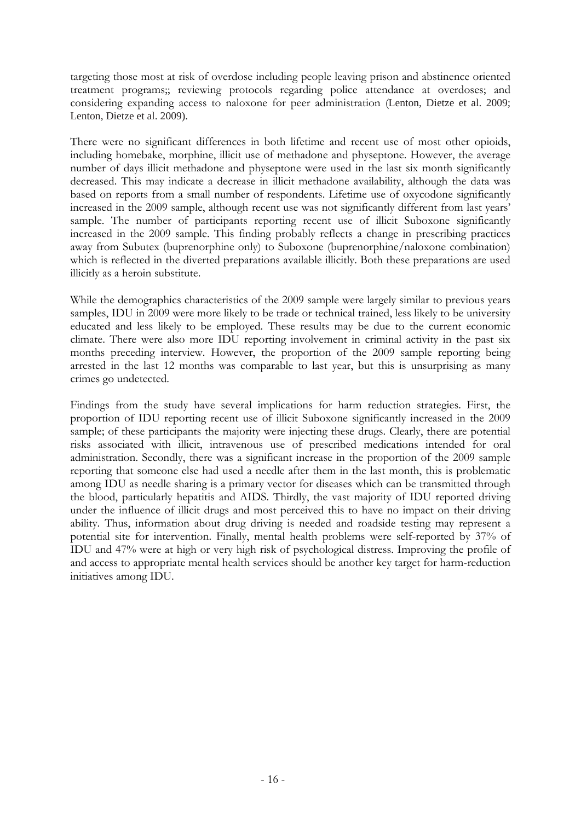targeting those most at risk of overdose including people leaving prison and abstinence oriented treatment programs;; reviewing protocols regarding police attendance at overdoses; and considering expanding access to naloxone for peer administration (Lenton, Dietze et al. 2009; Lenton, Dietze et al. 2009).

There were no significant differences in both lifetime and recent use of most other opioids, including homebake, morphine, illicit use of methadone and physeptone. However, the average number of days illicit methadone and physeptone were used in the last six month significantly decreased. This may indicate a decrease in illicit methadone availability, although the data was based on reports from a small number of respondents. Lifetime use of oxycodone significantly increased in the 2009 sample, although recent use was not significantly different from last years' sample. The number of participants reporting recent use of illicit Suboxone significantly increased in the 2009 sample. This finding probably reflects a change in prescribing practices away from Subutex (buprenorphine only) to Suboxone (buprenorphine/naloxone combination) which is reflected in the diverted preparations available illicitly. Both these preparations are used illicitly as a heroin substitute.

While the demographics characteristics of the 2009 sample were largely similar to previous years samples, IDU in 2009 were more likely to be trade or technical trained, less likely to be university educated and less likely to be employed. These results may be due to the current economic climate. There were also more IDU reporting involvement in criminal activity in the past six months preceding interview. However, the proportion of the 2009 sample reporting being arrested in the last 12 months was comparable to last year, but this is unsurprising as many crimes go undetected.

Findings from the study have several implications for harm reduction strategies. First, the proportion of IDU reporting recent use of illicit Suboxone significantly increased in the 2009 sample; of these participants the majority were injecting these drugs. Clearly, there are potential risks associated with illicit, intravenous use of prescribed medications intended for oral administration. Secondly, there was a significant increase in the proportion of the 2009 sample reporting that someone else had used a needle after them in the last month, this is problematic among IDU as needle sharing is a primary vector for diseases which can be transmitted through the blood, particularly hepatitis and AIDS. Thirdly, the vast majority of IDU reported driving under the influence of illicit drugs and most perceived this to have no impact on their driving ability. Thus, information about drug driving is needed and roadside testing may represent a potential site for intervention. Finally, mental health problems were self-reported by 37% of IDU and 47% were at high or very high risk of psychological distress. Improving the profile of and access to appropriate mental health services should be another key target for harm-reduction initiatives among IDU.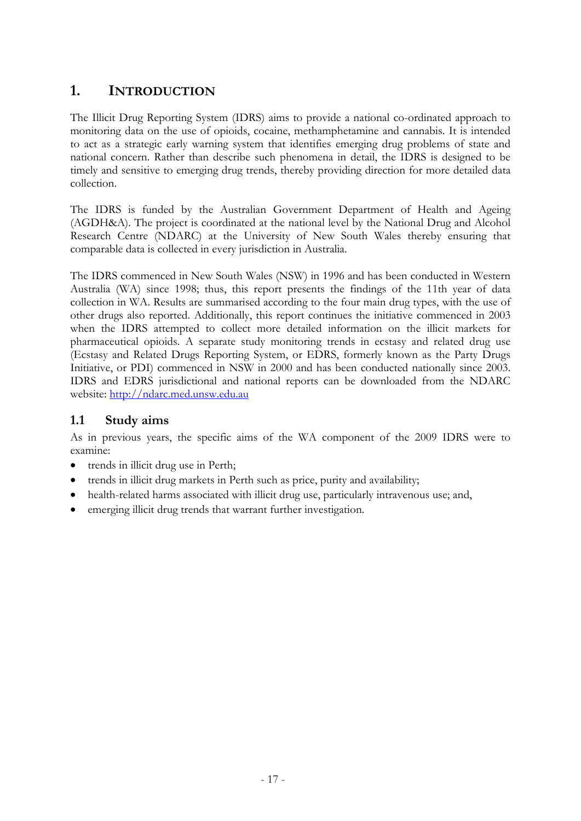# <span id="page-19-0"></span>**1. INTRODUCTION**

The Illicit Drug Reporting System (IDRS) aims to provide a national co-ordinated approach to monitoring data on the use of opioids, cocaine, methamphetamine and cannabis. It is intended to act as a strategic early warning system that identifies emerging drug problems of state and national concern. Rather than describe such phenomena in detail, the IDRS is designed to be timely and sensitive to emerging drug trends, thereby providing direction for more detailed data collection.

The IDRS is funded by the Australian Government Department of Health and Ageing (AGDH&A). The project is coordinated at the national level by the National Drug and Alcohol Research Centre (NDARC) at the University of New South Wales thereby ensuring that comparable data is collected in every jurisdiction in Australia.

The IDRS commenced in New South Wales (NSW) in 1996 and has been conducted in Western Australia (WA) since 1998; thus, this report presents the findings of the 11th year of data collection in WA. Results are summarised according to the four main drug types, with the use of other drugs also reported. Additionally, this report continues the initiative commenced in 2003 when the IDRS attempted to collect more detailed information on the illicit markets for pharmaceutical opioids. A separate study monitoring trends in ecstasy and related drug use (Ecstasy and Related Drugs Reporting System, or EDRS, formerly known as the Party Drugs Initiative, or PDI) commenced in NSW in 2000 and has been conducted nationally since 2003. IDRS and EDRS jurisdictional and national reports can be downloaded from the NDARC website: [http://ndarc.med.unsw.edu.au](http://ndarc.med.unsw.edu.au/)

# <span id="page-19-1"></span>**1.1 Study aims**

As in previous years, the specific aims of the WA component of the 2009 IDRS were to examine:

- trends in illicit drug use in Perth;
- trends in illicit drug markets in Perth such as price, purity and availability;
- health-related harms associated with illicit drug use, particularly intravenous use; and,
- emerging illicit drug trends that warrant further investigation.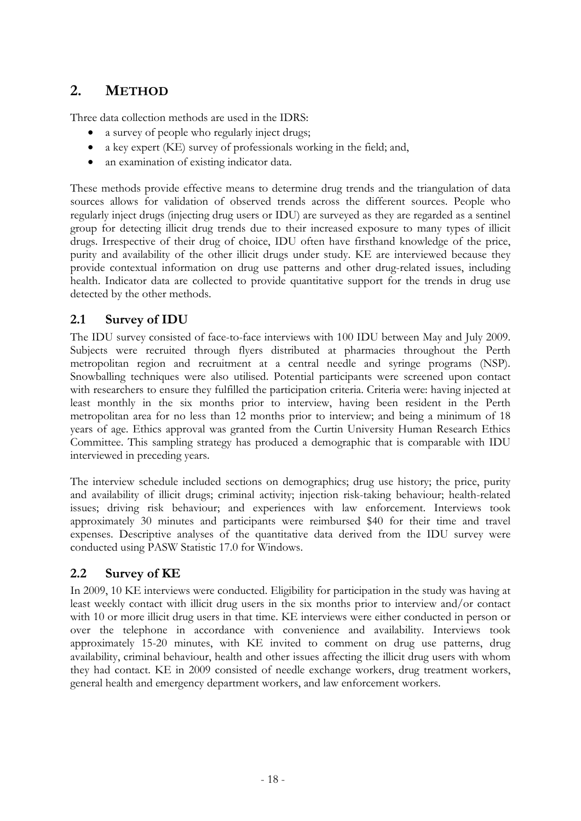# <span id="page-20-0"></span>**2. METHOD**

Three data collection methods are used in the IDRS:

- a survey of people who regularly inject drugs;
- a key expert (KE) survey of professionals working in the field; and,
- an examination of existing indicator data.

These methods provide effective means to determine drug trends and the triangulation of data sources allows for validation of observed trends across the different sources. People who regularly inject drugs (injecting drug users or IDU) are surveyed as they are regarded as a sentinel group for detecting illicit drug trends due to their increased exposure to many types of illicit drugs. Irrespective of their drug of choice, IDU often have firsthand knowledge of the price, purity and availability of the other illicit drugs under study. KE are interviewed because they provide contextual information on drug use patterns and other drug-related issues, including health. Indicator data are collected to provide quantitative support for the trends in drug use detected by the other methods.

### <span id="page-20-1"></span>**2.1 Survey of IDU**

The IDU survey consisted of face-to-face interviews with 100 IDU between May and July 2009. Subjects were recruited through flyers distributed at pharmacies throughout the Perth metropolitan region and recruitment at a central needle and syringe programs (NSP). Snowballing techniques were also utilised. Potential participants were screened upon contact with researchers to ensure they fulfilled the participation criteria. Criteria were: having injected at least monthly in the six months prior to interview, having been resident in the Perth metropolitan area for no less than 12 months prior to interview; and being a minimum of 18 years of age. Ethics approval was granted from the Curtin University Human Research Ethics Committee. This sampling strategy has produced a demographic that is comparable with IDU interviewed in preceding years.

The interview schedule included sections on demographics; drug use history; the price, purity and availability of illicit drugs; criminal activity; injection risk-taking behaviour; health-related issues; driving risk behaviour; and experiences with law enforcement. Interviews took approximately 30 minutes and participants were reimbursed \$40 for their time and travel expenses. Descriptive analyses of the quantitative data derived from the IDU survey were conducted using PASW Statistic 17.0 for Windows.

### <span id="page-20-2"></span>**2.2 Survey of KE**

In 2009, 10 KE interviews were conducted. Eligibility for participation in the study was having at least weekly contact with illicit drug users in the six months prior to interview and/or contact with 10 or more illicit drug users in that time. KE interviews were either conducted in person or over the telephone in accordance with convenience and availability. Interviews took approximately 15-20 minutes, with KE invited to comment on drug use patterns, drug availability, criminal behaviour, health and other issues affecting the illicit drug users with whom they had contact. KE in 2009 consisted of needle exchange workers, drug treatment workers, general health and emergency department workers, and law enforcement workers.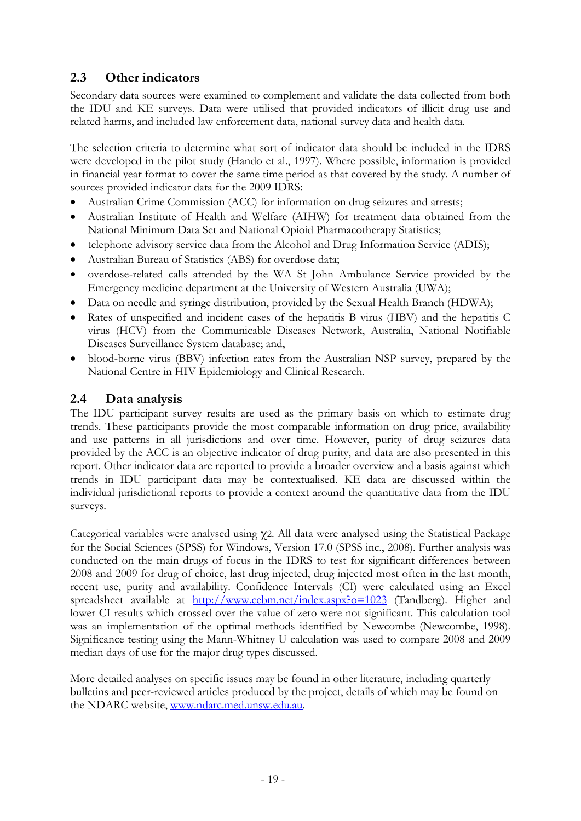# <span id="page-21-0"></span>**2.3 Other indicators**

Secondary data sources were examined to complement and validate the data collected from both the IDU and KE surveys. Data were utilised that provided indicators of illicit drug use and related harms, and included law enforcement data, national survey data and health data.

The selection criteria to determine what sort of indicator data should be included in the IDRS were developed in the pilot study (Hando et al., 1997). Where possible, information is provided in financial year format to cover the same time period as that covered by the study. A number of sources provided indicator data for the 2009 IDRS:

- Australian Crime Commission (ACC) for information on drug seizures and arrests;
- Australian Institute of Health and Welfare (AIHW) for treatment data obtained from the National Minimum Data Set and National Opioid Pharmacotherapy Statistics;
- telephone advisory service data from the Alcohol and Drug Information Service (ADIS);
- Australian Bureau of Statistics (ABS) for overdose data;
- overdose-related calls attended by the WA St John Ambulance Service provided by the Emergency medicine department at the University of Western Australia (UWA);
- Data on needle and syringe distribution, provided by the Sexual Health Branch (HDWA);
- Rates of unspecified and incident cases of the hepatitis B virus (HBV) and the hepatitis C virus (HCV) from the Communicable Diseases Network, Australia, National Notifiable Diseases Surveillance System database; and,
- blood-borne virus (BBV) infection rates from the Australian NSP survey, prepared by the National Centre in HIV Epidemiology and Clinical Research.

# **2.4 Data analysis**

The IDU participant survey results are used as the primary basis on which to estimate drug trends. These participants provide the most comparable information on drug price, availability and use patterns in all jurisdictions and over time. However, purity of drug seizures data provided by the ACC is an objective indicator of drug purity, and data are also presented in this report. Other indicator data are reported to provide a broader overview and a basis against which trends in IDU participant data may be contextualised. KE data are discussed within the individual jurisdictional reports to provide a context around the quantitative data from the IDU surveys.

Categorical variables were analysed using χ2. All data were analysed using the Statistical Package for the Social Sciences (SPSS) for Windows, Version 17.0 (SPSS inc., 2008). Further analysis was conducted on the main drugs of focus in the IDRS to test for significant differences between 2008 and 2009 for drug of choice, last drug injected, drug injected most often in the last month, recent use, purity and availability. Confidence Intervals (CI) were calculated using an Excel spreadsheet available at <http://www.cebm.net/index.aspx?o=1023> (Tandberg). Higher and lower CI results which crossed over the value of zero were not significant. This calculation tool was an implementation of the optimal methods identified by Newcombe (Newcombe, 1998). Significance testing using the Mann-Whitney U calculation was used to compare 2008 and 2009 median days of use for the major drug types discussed.

More detailed analyses on specific issues may be found in other literature, including quarterly bulletins and peer-reviewed articles produced by the project, details of which may be found on the NDARC website, [www.ndarc.med.unsw.edu.au](http://www.ndarc.med.unsw.edu.au/).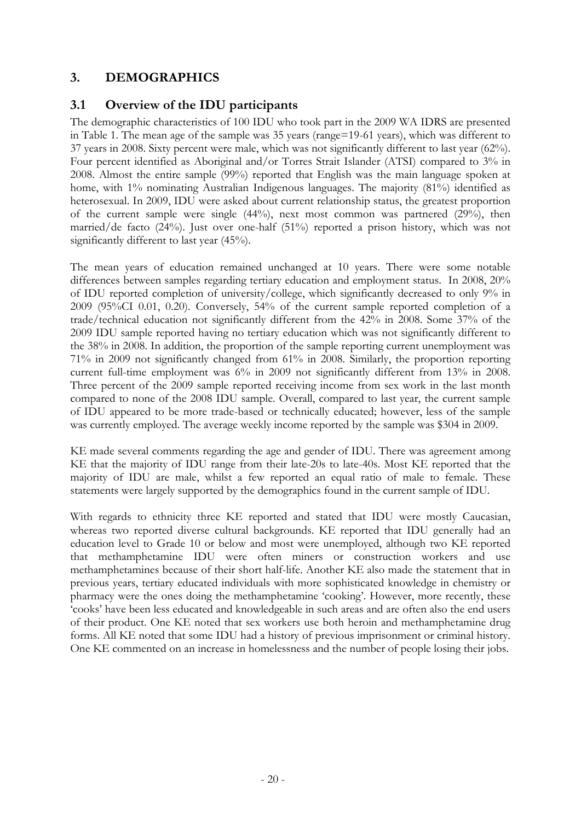# **3. DEMOGRAPHICS**

### <span id="page-22-0"></span>**3.1 Overview of the IDU participants**

The demographic characteristics of 100 IDU who took part in the 2009 WA IDRS are presented in Table 1. The mean age of the sample was 35 years (range=19-61 years), which was different to 37 years in 2008. Sixty percent were male, which was not significantly different to last year (62%). Four percent identified as Aboriginal and/or Torres Strait Islander (ATSI) compared to 3% in 2008. Almost the entire sample (99%) reported that English was the main language spoken at home, with 1% nominating Australian Indigenous languages. The majority (81%) identified as heterosexual. In 2009, IDU were asked about current relationship status, the greatest proportion of the current sample were single (44%), next most common was partnered (29%), then married/de facto (24%). Just over one-half (51%) reported a prison history, which was not significantly different to last year (45%).

The mean years of education remained unchanged at 10 years. There were some notable differences between samples regarding tertiary education and employment status. In 2008, 20% of IDU reported completion of university/college, which significantly decreased to only 9% in 2009 (95%CI 0.01, 0.20). Conversely, 54% of the current sample reported completion of a trade/technical education not significantly different from the 42% in 2008. Some 37% of the 2009 IDU sample reported having no tertiary education which was not significantly different to the 38% in 2008. In addition, the proportion of the sample reporting current unemployment was 71% in 2009 not significantly changed from 61% in 2008. Similarly, the proportion reporting current full-time employment was 6% in 2009 not significantly different from 13% in 2008. Three percent of the 2009 sample reported receiving income from sex work in the last month compared to none of the 2008 IDU sample. Overall, compared to last year, the current sample of IDU appeared to be more trade-based or technically educated; however, less of the sample was currently employed. The average weekly income reported by the sample was \$304 in 2009.

KE made several comments regarding the age and gender of IDU. There was agreement among KE that the majority of IDU range from their late-20s to late-40s. Most KE reported that the majority of IDU are male, whilst a few reported an equal ratio of male to female. These statements were largely supported by the demographics found in the current sample of IDU.

With regards to ethnicity three KE reported and stated that IDU were mostly Caucasian, whereas two reported diverse cultural backgrounds. KE reported that IDU generally had an education level to Grade 10 or below and most were unemployed, although two KE reported that methamphetamine IDU were often miners or construction workers and use methamphetamines because of their short half-life. Another KE also made the statement that in previous years, tertiary educated individuals with more sophisticated knowledge in chemistry or pharmacy were the ones doing the methamphetamine 'cooking'. However, more recently, these 'cooks' have been less educated and knowledgeable in such areas and are often also the end users of their product. One KE noted that sex workers use both heroin and methamphetamine drug forms. All KE noted that some IDU had a history of previous imprisonment or criminal history. One KE commented on an increase in homelessness and the number of people losing their jobs.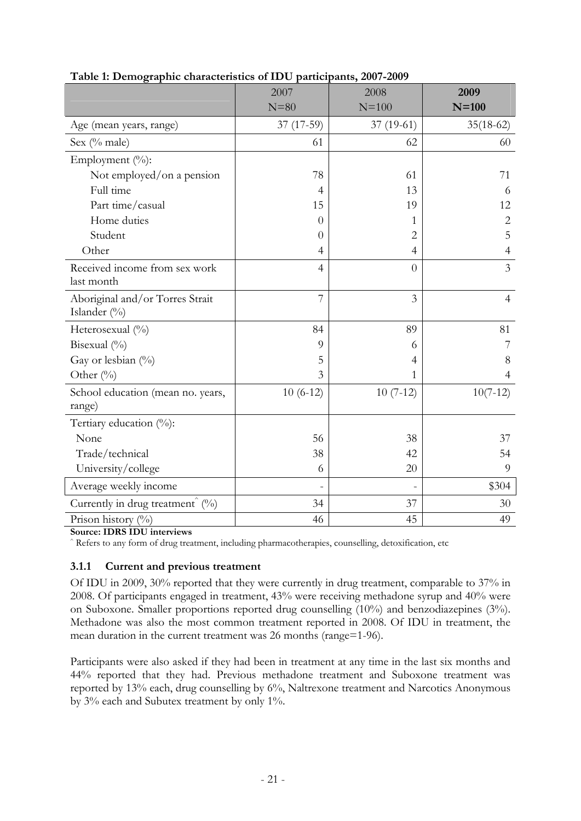<span id="page-23-0"></span>

|                                                 | 2007           | 2008           | 2009           |
|-------------------------------------------------|----------------|----------------|----------------|
|                                                 | $N = 80$       | $N = 100$      | $N=100$        |
| Age (mean years, range)                         | $37(17-59)$    | $37(19-61)$    | $35(18-62)$    |
| Sex (% male)                                    | 61             | 62             | 60             |
| Employment (%):                                 |                |                |                |
| Not employed/on a pension                       | 78             | 61             | 71             |
| Full time                                       | $\overline{4}$ | 13             | 6              |
| Part time/casual                                | 15             | 19             | 12             |
| Home duties                                     | $\Omega$       | 1              | $\overline{2}$ |
| Student                                         | $\overline{0}$ | $\overline{2}$ | 5              |
| Other                                           | $\overline{4}$ | $\overline{4}$ | $\overline{4}$ |
| Received income from sex work<br>last month     | $\overline{4}$ | $\overline{0}$ | $\overline{3}$ |
| Aboriginal and/or Torres Strait<br>Islander (%) | $\overline{7}$ | 3              | $\overline{4}$ |
| Heterosexual (%)                                | 84             | 89             | 81             |
| Bisexual (%)                                    | 9              | 6              | 7              |
| Gay or lesbian (%)                              | 5              | 4              | 8              |
| Other $(^{0}_{0})$                              | 3              | 1              | $\overline{4}$ |
| School education (mean no. years,<br>range)     | $10(6-12)$     | $10(7-12)$     | $10(7-12)$     |
| Tertiary education $(\%)$ :                     |                |                |                |
| None                                            | 56             | 38             | 37             |
| Trade/technical                                 | 38             | 42             | 54             |
| University/college                              | 6              | 20             | 9              |
| Average weekly income                           |                |                | \$304          |
| Currently in drug treatment $(\%)$              | 34             | 37             | 30             |
| Prison history $(\%)$                           | 46             | 45             | 49             |

**Table 1: Demographic characteristics of IDU participants, 2007-2009** 

**Source: IDRS IDU interviews** 

^ Refers to any form of drug treatment, including pharmacotherapies, counselling, detoxification, etc

### **3.1.1 Current and previous treatment**

Of IDU in 2009, 30% reported that they were currently in drug treatment, comparable to 37% in 2008. Of participants engaged in treatment, 43% were receiving methadone syrup and 40% were on Suboxone. Smaller proportions reported drug counselling (10%) and benzodiazepines (3%). Methadone was also the most common treatment reported in 2008. Of IDU in treatment, the mean duration in the current treatment was 26 months (range=1-96).

Participants were also asked if they had been in treatment at any time in the last six months and 44% reported that they had. Previous methadone treatment and Suboxone treatment was reported by 13% each, drug counselling by 6%, Naltrexone treatment and Narcotics Anonymous by 3% each and Subutex treatment by only 1%.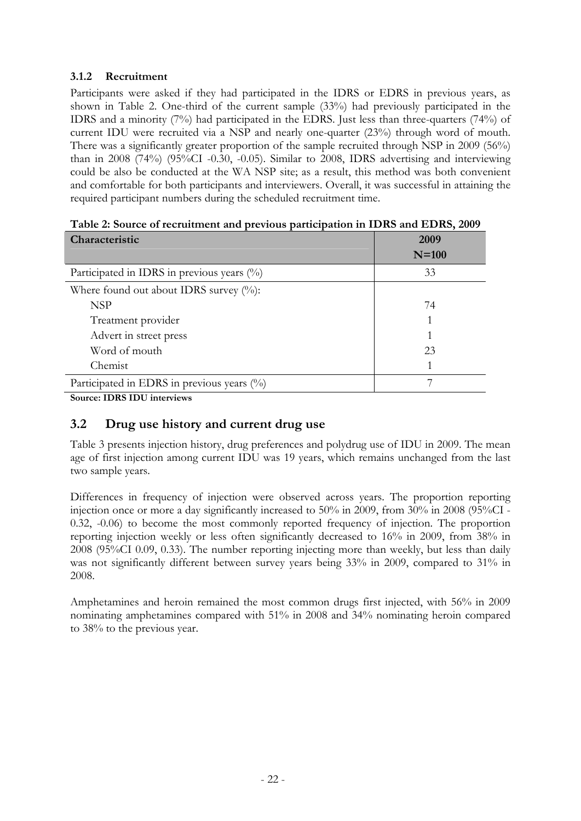### **3.1.2 Recruitment**

Participants were asked if they had participated in the IDRS or EDRS in previous years, as shown in Table 2. One-third of the current sample (33%) had previously participated in the IDRS and a minority (7%) had participated in the EDRS. Just less than three-quarters (74%) of current IDU were recruited via a NSP and nearly one-quarter (23%) through word of mouth. There was a significantly greater proportion of the sample recruited through NSP in 2009 (56%) than in 2008 (74%) (95%CI -0.30, -0.05). Similar to 2008, IDRS advertising and interviewing could be also be conducted at the WA NSP site; as a result, this method was both convenient and comfortable for both participants and interviewers. Overall, it was successful in attaining the required participant numbers during the scheduled recruitment time.

<span id="page-24-1"></span>

| Characteristic                                | 2009<br>$N=100$ |
|-----------------------------------------------|-----------------|
| Participated in IDRS in previous years $(\%)$ | 33              |
| Where found out about IDRS survey $(\%):$     |                 |
| <b>NSP</b>                                    | 74              |
| Treatment provider                            |                 |
| Advert in street press                        |                 |
| Word of mouth                                 | 23              |
| Chemist                                       |                 |
| Participated in EDRS in previous years (%)    |                 |

| Table 2: Source of recruitment and previous participation in IDRS and EDRS, 2009 |  |  |  |  |  |
|----------------------------------------------------------------------------------|--|--|--|--|--|
|----------------------------------------------------------------------------------|--|--|--|--|--|

**Source: IDRS IDU interviews** 

# <span id="page-24-0"></span>**3.2 Drug use history and current drug use**

Table 3 presents injection history, drug preferences and polydrug use of IDU in 2009. The mean age of first injection among current IDU was 19 years, which remains unchanged from the last two sample years.

Differences in frequency of injection were observed across years. The proportion reporting injection once or more a day significantly increased to 50% in 2009, from 30% in 2008 (95%CI - 0.32, -0.06) to become the most commonly reported frequency of injection. The proportion reporting injection weekly or less often significantly decreased to 16% in 2009, from 38% in 2008 (95%CI 0.09, 0.33). The number reporting injecting more than weekly, but less than daily was not significantly different between survey years being 33% in 2009, compared to 31% in 2008.

Amphetamines and heroin remained the most common drugs first injected, with 56% in 2009 nominating amphetamines compared with 51% in 2008 and 34% nominating heroin compared to 38% to the previous year.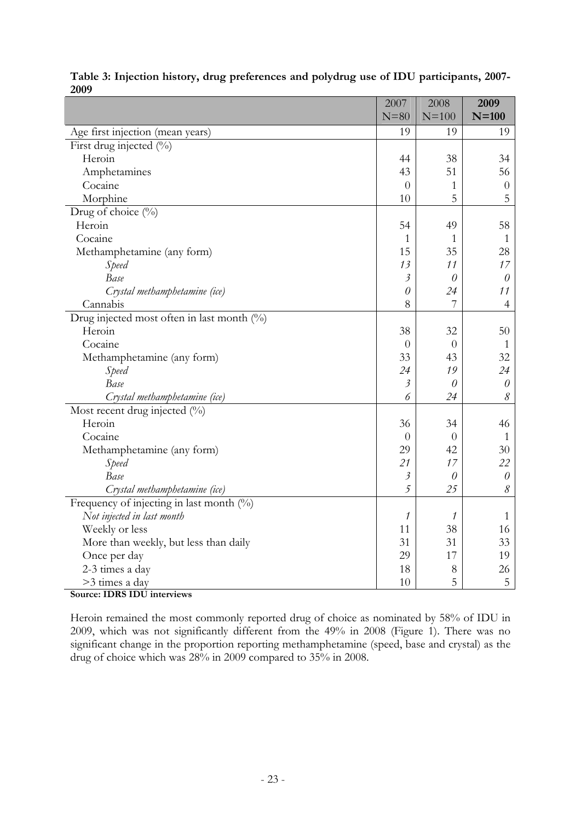<span id="page-25-0"></span>

|                                            | 2007           | 2008           | 2009           |
|--------------------------------------------|----------------|----------------|----------------|
|                                            | $N = 80$       | $N=100$        | $N=100$        |
| Age first injection (mean years)           | 19             | 19             | 19             |
| First drug injected (%)                    |                |                |                |
| Heroin                                     | 44             | 38             | 34             |
| Amphetamines                               | 43             | 51             | 56             |
| Cocaine                                    | $\overline{0}$ | $\mathbf{1}$   | $\theta$       |
| Morphine                                   | 10             | 5              | 5              |
| Drug of choice (%)                         |                |                |                |
| Heroin                                     | 54             | 49             | 58             |
| Cocaine                                    | $\mathbf{1}$   | $\mathbf{1}$   | 1              |
| Methamphetamine (any form)                 | 15             | 35             | 28             |
| Speed                                      | 13             | 11             | 17             |
| Base                                       | $\mathfrak{Z}$ | $\theta$       | $\theta$       |
| Crystal methamphetamine (ice)              | $\theta$       | 24             | 11             |
| Cannabis                                   | 8              | $\overline{7}$ | $\overline{4}$ |
| Drug injected most often in last month (%) |                |                |                |
| Heroin                                     | 38             | 32             | 50             |
| Cocaine                                    | $\theta$       | $\theta$       | 1              |
| Methamphetamine (any form)                 | 33             | 43             | 32             |
| Speed                                      | 24             | 19             | 24             |
| Base                                       | $\mathfrak{Z}$ | 0              | $\theta$       |
| Crystal methamphetamine (ice)              | 6              | 24             | $\mathcal S$   |
| Most recent drug injected (%)              |                |                |                |
| Heroin                                     | 36             | 34             | 46             |
| Cocaine                                    | $\overline{0}$ | $\theta$       | $\mathbf{1}$   |
| Methamphetamine (any form)                 | 29             | 42             | 30             |
| Speed                                      | 21             | 17             | 22             |
| Base                                       | $\mathfrak{Z}$ | $\theta$       | $\theta$       |
| Crystal methamphetamine (ice)              | 5              | 25             | 8              |
| Frequency of injecting in last month $(%)$ |                |                |                |
| Not injected in last month                 | 1              | 1              | $\mathbf{1}$   |
| Weekly or less                             | 11             | 38             | 16             |
| More than weekly, but less than daily      | 31             | 31             | 33             |
| Once per day                               | 29             | 17             | 19             |
| 2-3 times a day                            | 18             | 8              | 26             |
| >3 times a day                             | 10             | 5              | 5              |

|      | Table 3: Injection history, drug preferences and polydrug use of IDU participants, 2007- |  |  |
|------|------------------------------------------------------------------------------------------|--|--|
| 2009 |                                                                                          |  |  |

**Source: IDRS IDU interviews**

Heroin remained the most commonly reported drug of choice as nominated by 58% of IDU in 2009, which was not significantly different from the 49% in 2008 (Figure 1). There was no significant change in the proportion reporting methamphetamine (speed, base and crystal) as the drug of choice which was 28% in 2009 compared to 35% in 2008.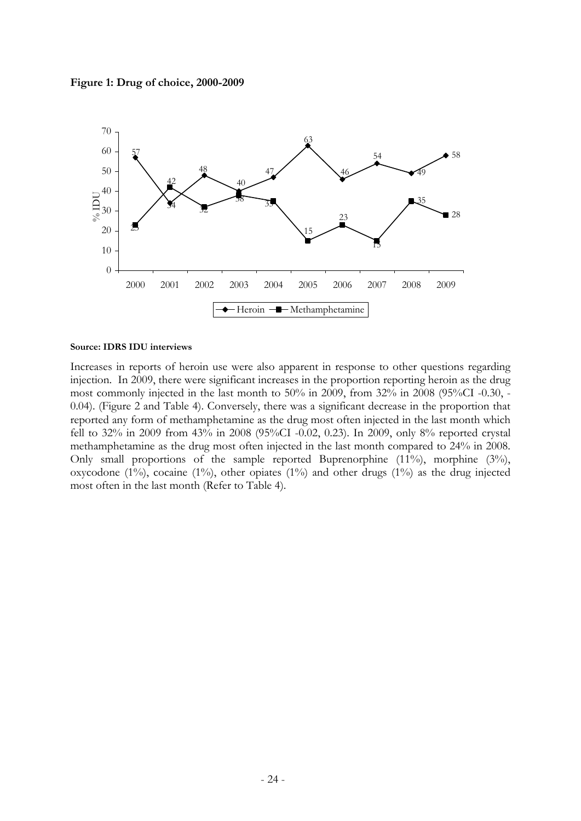<span id="page-26-0"></span>



#### **Source: IDRS IDU interviews**

Increases in reports of heroin use were also apparent in response to other questions regarding injection. In 2009, there were significant increases in the proportion reporting heroin as the drug most commonly injected in the last month to 50% in 2009, from 32% in 2008 (95%CI -0.30, - 0.04). (Figure 2 and Table 4). Conversely, there was a significant decrease in the proportion that reported any form of methamphetamine as the drug most often injected in the last month which fell to 32% in 2009 from 43% in 2008 (95%CI -0.02, 0.23). In 2009, only 8% reported crystal methamphetamine as the drug most often injected in the last month compared to 24% in 2008. Only small proportions of the sample reported Buprenorphine (11%), morphine (3%), oxycodone (1%), cocaine (1%), other opiates (1%) and other drugs (1%) as the drug injected most often in the last month (Refer to Table 4).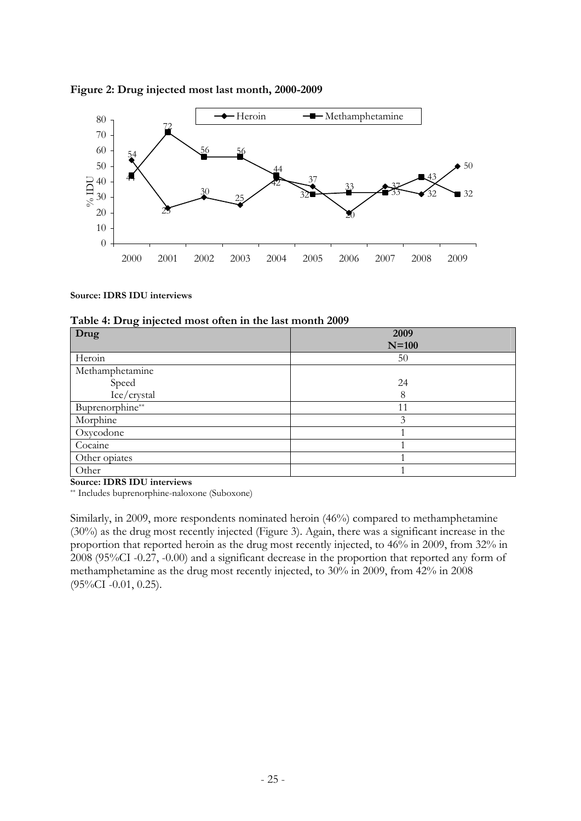

#### <span id="page-27-0"></span>**Figure 2: Drug injected most last month, 2000-2009**

#### **Source: IDRS IDU interviews**

|  |  |  |  | Table 4: Drug injected most often in the last month 2009 |
|--|--|--|--|----------------------------------------------------------|
|--|--|--|--|----------------------------------------------------------|

| ு<br>Drug       | 2009          |
|-----------------|---------------|
|                 | $N=100$       |
| Heroin          | 50            |
| Methamphetamine |               |
| Speed           | 24            |
| Ice/crystal     | 8             |
| Buprenorphine** | 11            |
| Morphine        | $\mathcal{Z}$ |
| Oxycodone       |               |
| Cocaine         |               |
| Other opiates   |               |
| Other           |               |

**Source: IDRS IDU interviews** 

\*\* Includes buprenorphine-naloxone (Suboxone)

Similarly, in 2009, more respondents nominated heroin (46%) compared to methamphetamine (30%) as the drug most recently injected (Figure 3). Again, there was a significant increase in the proportion that reported heroin as the drug most recently injected, to 46% in 2009, from 32% in 2008 (95%CI -0.27, -0.00) and a significant decrease in the proportion that reported any form of methamphetamine as the drug most recently injected, to 30% in 2009, from 42% in 2008 (95%CI -0.01, 0.25).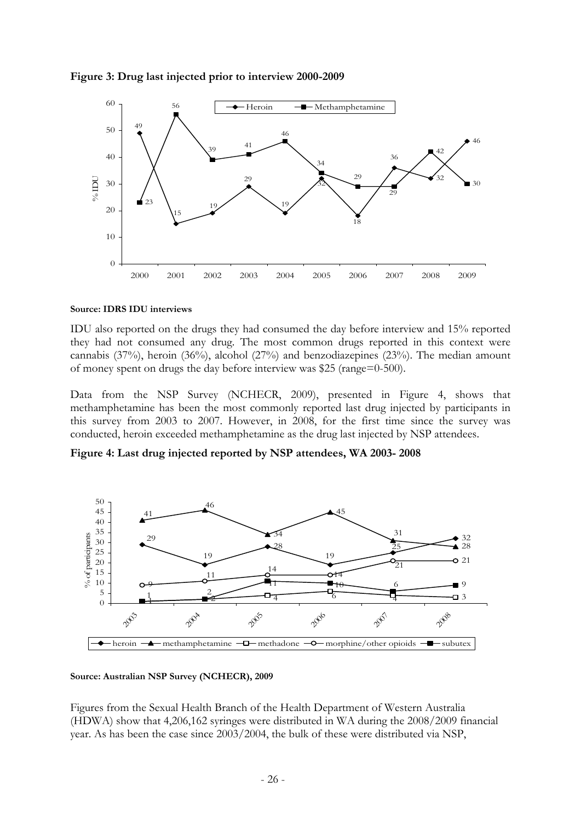<span id="page-28-0"></span>



#### **Source: IDRS IDU interviews**

IDU also reported on the drugs they had consumed the day before interview and 15% reported they had not consumed any drug. The most common drugs reported in this context were cannabis (37%), heroin (36%), alcohol (27%) and benzodiazepines (23%). The median amount of money spent on drugs the day before interview was \$25 (range=0-500).

Data from the NSP Survey (NCHECR, 2009), presented in Figure 4, shows that methamphetamine has been the most commonly reported last drug injected by participants in this survey from 2003 to 2007. However, in 2008, for the first time since the survey was conducted, heroin exceeded methamphetamine as the drug last injected by NSP attendees.

<span id="page-28-1"></span>**Figure 4: Last drug injected reported by NSP attendees, WA 2003- 2008** 



#### **Source: Australian NSP Survey (NCHECR), 2009**

Figures from the Sexual Health Branch of the Health Department of Western Australia (HDWA) show that 4,206,162 syringes were distributed in WA during the 2008/2009 financial year. As has been the case since 2003/2004, the bulk of these were distributed via NSP,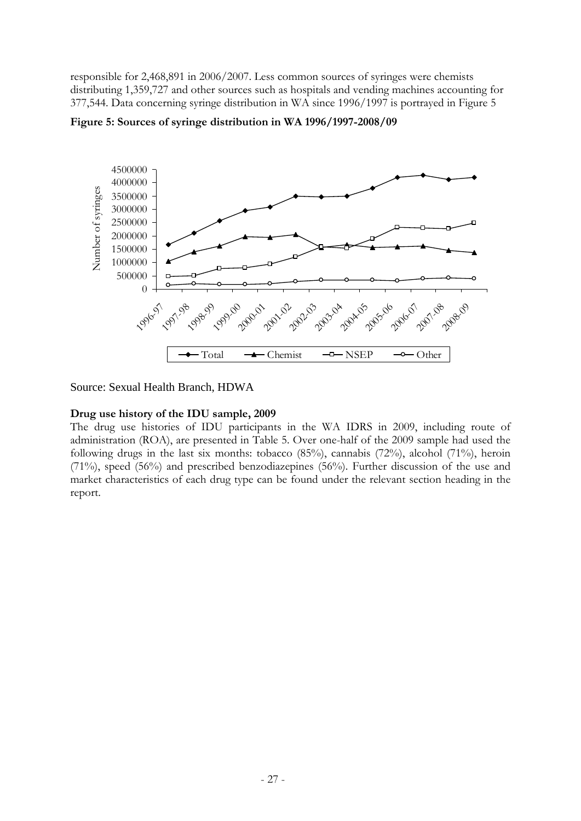responsible for 2,468,891 in 2006/2007. Less common sources of syringes were chemists distributing 1,359,727 and other sources such as hospitals and vending machines accounting for 377,544. Data concerning syringe distribution in WA since 1996/1997 is portrayed in Figure 5



<span id="page-29-0"></span>**Figure 5: Sources of syringe distribution in WA 1996/1997-2008/09** 

Source: Sexual Health Branch, HDWA

#### **Drug use history of the IDU sample, 2009**

The drug use histories of IDU participants in the WA IDRS in 2009, including route of administration (ROA), are presented in Table 5. Over one-half of the 2009 sample had used the following drugs in the last six months: tobacco (85%), cannabis (72%), alcohol (71%), heroin (71%), speed (56%) and prescribed benzodiazepines (56%). Further discussion of the use and market characteristics of each drug type can be found under the relevant section heading in the report.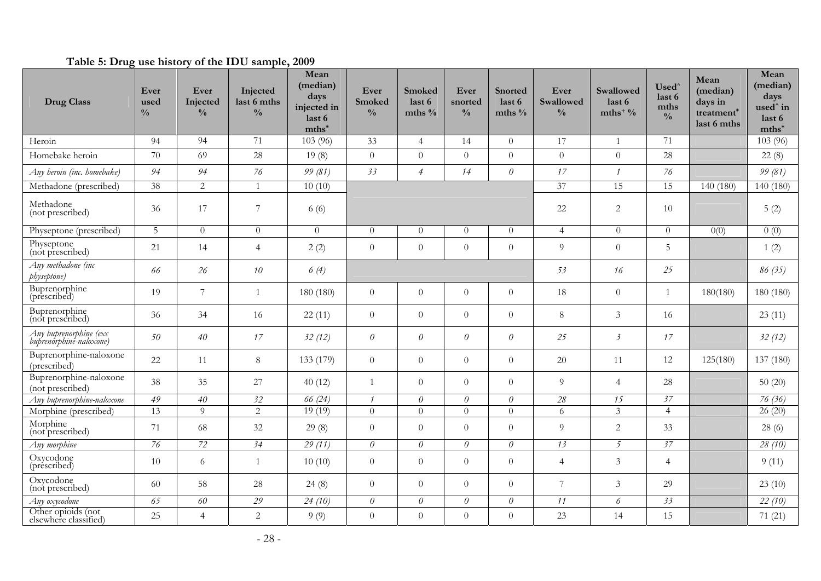### **Table 5: Drug use history of the IDU sample, 2009**

<span id="page-30-0"></span>

| <b>Drug Class</b>                                 | Ever<br>used<br>$\frac{0}{0}$ | Ever<br>Injected<br>$\frac{0}{0}$ | Injected<br>last 6 mths<br>$\frac{0}{0}$ | Mean<br>(median)<br>days<br>injected in<br>last 6<br>mths* | Ever<br>Smoked<br>$\frac{0}{0}$ | Smoked<br>last 6<br>mths $\%$ | Ever<br>snorted<br>$\frac{0}{0}$ | <b>Snorted</b><br>last 6<br>mths $\%$ | Ever<br><b>Swallowed</b><br>$\frac{0}{0}$ | Swallowed<br>last 6<br>mths <sup>+ <math>\frac{0}{0}</math></sup> | Used <sup>'</sup><br>last 6<br>mths<br>$\frac{0}{0}$ | Mean<br>(median)<br>days in<br>treatment <sup>*</sup><br>last 6 mths | Mean<br>(median)<br>days<br>used <sup>^</sup> in<br>last 6<br>$mths^*$ |
|---------------------------------------------------|-------------------------------|-----------------------------------|------------------------------------------|------------------------------------------------------------|---------------------------------|-------------------------------|----------------------------------|---------------------------------------|-------------------------------------------|-------------------------------------------------------------------|------------------------------------------------------|----------------------------------------------------------------------|------------------------------------------------------------------------|
| Heroin                                            | 94                            | 94                                | 71                                       | 103 (96)                                                   | 33                              | $\overline{4}$                | 14                               | $\Omega$                              | 17                                        | $\mathbf{1}$                                                      | 71                                                   |                                                                      | 103 (96)                                                               |
| Homebake heroin                                   | 70                            | 69                                | 28                                       | 19(8)                                                      | $\theta$                        | $\overline{0}$                | $\theta$                         | $\overline{0}$                        | $\overline{0}$                            | $\boldsymbol{0}$                                                  | 28                                                   |                                                                      | 22(8)                                                                  |
| Any heroin (inc. homebake)                        | 94                            | 94                                | 76                                       | 99 (81)                                                    | 33                              | $\overline{4}$                | 14                               | $\theta$                              | 17                                        | $\mathcal I$                                                      | 76                                                   |                                                                      | 99 (81)                                                                |
| Methadone (prescribed)                            | $\overline{38}$               | 2                                 | 1                                        | 10(10)                                                     |                                 |                               |                                  |                                       | 37                                        | 15                                                                | 15                                                   | 140 (180)                                                            | 140 (180)                                                              |
| Methadone<br>(not prescribed)                     | 36                            | 17                                | $\overline{7}$                           | 6(6)                                                       |                                 |                               |                                  |                                       | 22                                        | $\overline{c}$                                                    | 10                                                   |                                                                      | 5(2)                                                                   |
| Physeptone (prescribed)                           | 5                             | $\overline{0}$                    | $\overline{0}$                           | $\overline{0}$                                             | $\Omega$                        | $\theta$                      | $\theta$                         | $\Omega$                              | $\overline{4}$                            | $\overline{0}$                                                    | $\overline{0}$                                       | 0(0)                                                                 | 0(0)                                                                   |
| Physeptone<br>(not prescribed)                    | 21                            | 14                                | $\overline{4}$                           | 2(2)                                                       | $\theta$                        | $\overline{0}$                | $\theta$                         | $\overline{0}$                        | $\overline{Q}$                            | $\theta$                                                          | 5                                                    |                                                                      | 1(2)                                                                   |
| Any methadone (inc<br>physeptone)                 | 66                            | 26                                | 10                                       | 6(4)                                                       |                                 |                               |                                  |                                       | 53                                        | 16                                                                | 25                                                   |                                                                      | 86 (35)                                                                |
| Buprenorphine<br>(prescribed)                     | 19                            | $\overline{7}$                    | 1                                        | 180 (180)                                                  | $\overline{0}$                  | $\overline{0}$                | $\overline{0}$                   | $\overline{0}$                        | 18                                        | $\overline{0}$                                                    | 1                                                    | 180(180)                                                             | 180 (180)                                                              |
| Buprenorphine<br>(not prescribed)                 | 36                            | 34                                | 16                                       | 22(11)                                                     | $\theta$                        | $\overline{0}$                | $\theta$                         | $\overline{0}$                        | 8                                         | 3                                                                 | 16                                                   |                                                                      | 23(11)                                                                 |
| Any buprenorphine (exc<br>buprenorphine-naloxone) | 50                            | 40                                | 17                                       | 32(12)                                                     | $\theta$                        | $\theta$                      | $\theta$                         | $\theta$                              | 25                                        | $\mathfrak{Z}$                                                    | 17                                                   |                                                                      | 32(12)                                                                 |
| Buprenorphine-naloxone<br>(prescribed)            | 22                            | 11                                | $\,8\,$                                  | 133 (179)                                                  | $\theta$                        | $\overline{0}$                | $\overline{0}$                   | $\overline{0}$                        | 20                                        | 11                                                                | 12                                                   | 125(180)                                                             | 137 (180)                                                              |
| Buprenorphine-naloxone<br>(not prescribed)        | 38                            | 35                                | 27                                       | 40(12)                                                     | $\mathbf{1}$                    | $\overline{0}$                | $\Omega$                         | $\Omega$                              | $\overline{Q}$                            | $\overline{4}$                                                    | 28                                                   |                                                                      | 50(20)                                                                 |
| Any buprenorphine-naloxone                        | 49                            | 40                                | 32                                       | 66 (24)                                                    | $\mathcal I$                    | $\theta$                      | $\theta$                         | $\theta$                              | $28\,$                                    | 15                                                                | 37                                                   |                                                                      | 76(36)                                                                 |
| Morphine (prescribed)                             | 13                            | 9                                 | $\overline{2}$                           | 19(19)                                                     | $\theta$                        | $\overline{0}$                | $\theta$                         | $\Omega$                              | 6                                         | $\overline{3}$                                                    | $\overline{4}$                                       |                                                                      | 26(20)                                                                 |
| Morphine<br>(not prescribed)                      | 71                            | 68                                | 32                                       | 29(8)                                                      | $\theta$                        | $\overline{0}$                | $\theta$                         | $\Omega$                              | 9                                         | $\overline{2}$                                                    | 33                                                   |                                                                      | 28(6)                                                                  |
| Any morphine                                      | $\overline{76}$               | 72                                | $\overline{34}$                          | 29(11)                                                     | $\theta$                        | $\theta$                      | $\theta$                         | $\theta$                              | 13                                        | 5                                                                 | 37                                                   |                                                                      | 28(10)                                                                 |
| Oxycodone<br>(prescribed)                         | 10                            | 6                                 | 1                                        | 10(10)                                                     | $\theta$                        | $\overline{0}$                | $\theta$                         | $\overline{0}$                        | $\overline{4}$                            | 3                                                                 | $\overline{4}$                                       |                                                                      | 9(11)                                                                  |
| Oxycodone<br>(not prescribed)                     | 60                            | 58                                | 28                                       | 24(8)                                                      | $\theta$                        | $\overline{0}$                | $\overline{0}$                   | $\overline{0}$                        | 7                                         | 3                                                                 | 29                                                   |                                                                      | 23(10)                                                                 |
| Any oxycodone                                     | $\overline{65}$               | 60                                | 29                                       | 24(10)                                                     | $\boldsymbol{\theta}$           | $\theta$                      | $\theta$                         | $\theta$                              | 11                                        | 6                                                                 | 33                                                   |                                                                      | 22(10)                                                                 |
| Other opioids (not<br>elsewhere classified)       | 25                            | $\overline{4}$                    | 2                                        | 9(9)                                                       | $\theta$                        | $\overline{0}$                | $\theta$                         | $\overline{0}$                        | 23                                        | 14                                                                | 15                                                   |                                                                      | 71(21)                                                                 |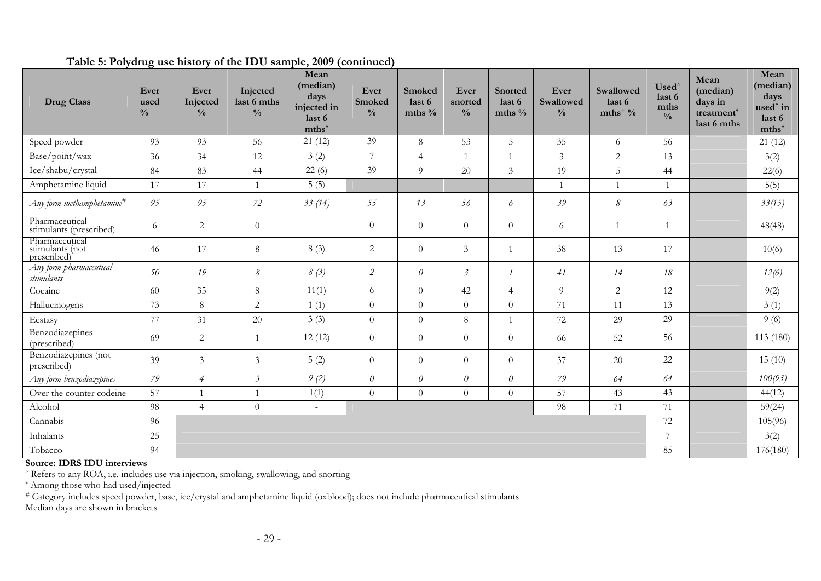| <b>Drug Class</b>                                | Ever<br>used<br>$\frac{0}{0}$ | Ever<br>Injected<br>$\frac{0}{0}$ | Injected<br>last 6 mths<br>$\frac{0}{0}$ | Mean<br>(median)<br>days<br>injected in<br>last 6<br>$mths^*$ | Ever<br>Smoked<br>$\frac{0}{0}$ | Smoked<br>last 6<br>mths $%$ | Ever<br>snorted<br>$\frac{0}{0}$ | <b>Snorted</b><br>last 6<br>mths $\%$ | Ever<br>Swallowed<br>$\frac{0}{0}$ | Swallowed<br>last 6<br>mths <sup>+<math>9/6</math></sup> | Used <sup>^</sup><br>last 6<br>mths<br>$\frac{0}{0}$ | Mean<br>(median)<br>days in<br>treatment*<br>last 6 mths | Mean<br>(median)<br>days<br>used <sup>^</sup> in<br>last 6<br>$mths^*$ |
|--------------------------------------------------|-------------------------------|-----------------------------------|------------------------------------------|---------------------------------------------------------------|---------------------------------|------------------------------|----------------------------------|---------------------------------------|------------------------------------|----------------------------------------------------------|------------------------------------------------------|----------------------------------------------------------|------------------------------------------------------------------------|
| Speed powder                                     | 93                            | 93                                | 56                                       | 21(12)                                                        | 39                              | $8\,$                        | 53                               | 5                                     | 35                                 | 6                                                        | 56                                                   |                                                          | 21(12)                                                                 |
| Base/point/wax                                   | 36                            | 34                                | 12                                       | 3(2)                                                          | $\overline{7}$                  | $\overline{4}$               | $\overline{1}$                   | $\overline{1}$                        | 3                                  | $\overline{2}$                                           | 13                                                   |                                                          | 3(2)                                                                   |
| Ice/shabu/crystal                                | 84                            | 83                                | 44                                       | 22(6)                                                         | 39                              | $\overline{9}$               | 20                               | $\overline{3}$                        | 19                                 | 5                                                        | 44                                                   |                                                          | 22(6)                                                                  |
| Amphetamine liquid                               | 17                            | 17                                | $\overline{1}$                           | 5(5)                                                          |                                 |                              |                                  |                                       |                                    | $\mathbf{1}$                                             | $\mathbf{1}$                                         |                                                          | 5(5)                                                                   |
| Any form methamphetamine <sup>#</sup>            | 95                            | 95                                | 72                                       | 33(14)                                                        | 55                              | 13                           | 56                               | 6                                     | 39                                 | $\mathcal S$                                             | 63                                                   |                                                          | 33(15)                                                                 |
| Pharmaceutical<br>stimulants (prescribed)        | 6                             | 2                                 | $\theta$                                 | $\overline{\phantom{a}}$                                      | $\theta$                        | $\overline{0}$               | $\overline{0}$                   | $\theta$                              | 6                                  | 1                                                        | $\mathbf{1}$                                         |                                                          | 48(48)                                                                 |
| Pharmaceutical<br>stimulants (not<br>prescribed) | 46                            | 17                                | $\,8\,$                                  | 8(3)                                                          | $\overline{2}$                  | $\overline{0}$               | 3                                |                                       | 38                                 | 13                                                       | 17                                                   |                                                          | 10(6)                                                                  |
| Any form pharmaceutical<br>stimulants            | 50                            | 19                                | $\mathcal S$                             | 8(3)                                                          | $\sqrt{2}$                      | $\theta$                     | $\overline{\mathbf{3}}$          | 1                                     | 41                                 | 14                                                       | $18$                                                 |                                                          | 12(6)                                                                  |
| Cocaine                                          | 60                            | 35                                | 8                                        | 11(1)                                                         | 6                               | $\overline{0}$               | 42                               | $\overline{4}$                        | 9                                  | $\overline{2}$                                           | 12                                                   |                                                          | 9(2)                                                                   |
| Hallucinogens                                    | 73                            | $8\phantom{.}$                    | $\overline{2}$                           | 1(1)                                                          | $\boldsymbol{0}$                | $\overline{0}$               | $\overline{0}$                   | $\overline{0}$                        | 71                                 | 11                                                       | 13                                                   |                                                          | 3(1)                                                                   |
| Ecstasy                                          | 77                            | 31                                | 20                                       | 3(3)                                                          | $\theta$                        | $\overline{0}$               | 8                                |                                       | 72                                 | 29                                                       | 29                                                   |                                                          | 9(6)                                                                   |
| Benzodiazepines<br>(prescribed)                  | 69                            | 2                                 | $\overline{1}$                           | 12(12)                                                        | $\theta$                        | $\overline{0}$               | $\overline{0}$                   | $\theta$                              | -66                                | 52                                                       | 56                                                   |                                                          | 113 (180)                                                              |
| Benzodiazepines (not<br>prescribed)              | 39                            | $\mathfrak{Z}$                    | 3                                        | 5(2)                                                          | $\boldsymbol{0}$                | $\overline{0}$               | $\overline{0}$                   | $\theta$                              | 37                                 | 20                                                       | 22                                                   |                                                          | 15(10)                                                                 |
| Any form benzodiazepines                         | 79                            | $\overline{4}$                    | $\mathfrak{Z}$                           | 9(2)                                                          | $\theta$                        | $\theta$                     | $\theta$                         | $\theta$                              | 79                                 | 64                                                       | 64                                                   |                                                          | 100(93)                                                                |
| Over the counter codeine                         | 57                            | $\mathbf{1}$                      | $\overline{1}$                           | 1(1)                                                          | $\theta$                        | $\overline{0}$               | $\overline{0}$                   | $\overline{0}$                        | 57                                 | 43                                                       | 43                                                   |                                                          | 44(12)                                                                 |
| Alcohol                                          | 98                            | $\overline{4}$                    | $\theta$                                 | $\omega$                                                      |                                 |                              |                                  |                                       | 98                                 | 71                                                       | 71                                                   |                                                          | 59(24)                                                                 |
| Cannabis                                         | 96                            |                                   |                                          |                                                               |                                 |                              |                                  |                                       |                                    |                                                          | 72                                                   |                                                          | 105(96)                                                                |
| Inhalants                                        | 25                            |                                   |                                          |                                                               |                                 |                              |                                  |                                       |                                    |                                                          | $\overline{7}$                                       |                                                          | 3(2)                                                                   |
| Tobacco                                          | 94                            |                                   |                                          |                                                               |                                 |                              |                                  |                                       |                                    |                                                          | 85                                                   |                                                          | 176(180)                                                               |

#### **Table 5: Polydrug use history of the IDU sample, 2009 (continued)**

#### **Source: IDRS IDU interviews**

^ Refers to any ROA, i.e. includes use via injection, smoking, swallowing, and snorting

\* Among those who had used/injected

# Category includes speed powder, base, ice/crystal and amphetamine liquid (oxblood); does not include pharmaceutical stimulants

Median days are shown in brackets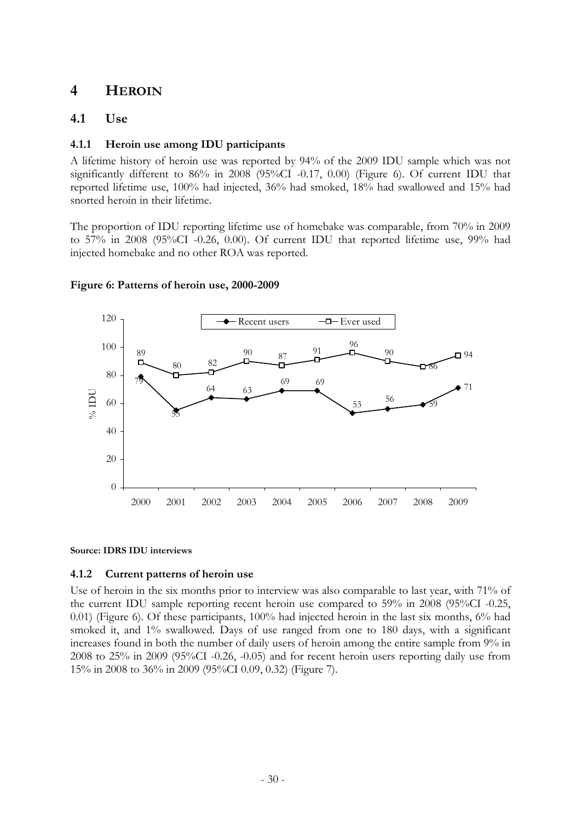# <span id="page-32-0"></span>**4 HEROIN**

### <span id="page-32-1"></span>**4.1 Use**

### **4.1.1 Heroin use among IDU participants**

A lifetime history of heroin use was reported by 94% of the 2009 IDU sample which was not significantly different to 86% in 2008 (95%CI -0.17, 0.00) (Figure 6). Of current IDU that reported lifetime use, 100% had injected, 36% had smoked, 18% had swallowed and 15% had snorted heroin in their lifetime.

The proportion of IDU reporting lifetime use of homebake was comparable, from 70% in 2009 to 57% in 2008 (95%CI -0.26, 0.00). Of current IDU that reported lifetime use, 99% had injected homebake and no other ROA was reported.



### <span id="page-32-2"></span>**Figure 6: Patterns of heroin use, 2000-2009**

**Source: IDRS IDU interviews** 

### **4.1.2 Current patterns of heroin use**

Use of heroin in the six months prior to interview was also comparable to last year, with 71% of the current IDU sample reporting recent heroin use compared to 59% in 2008 (95%CI -0.25, 0.01) (Figure 6). Of these participants, 100% had injected heroin in the last six months, 6% had smoked it, and 1% swallowed. Days of use ranged from one to 180 days, with a significant increases found in both the number of daily users of heroin among the entire sample from 9% in 2008 to 25% in 2009 (95%CI -0.26, -0.05) and for recent heroin users reporting daily use from 15% in 2008 to 36% in 2009 (95%CI 0.09, 0.32) (Figure 7).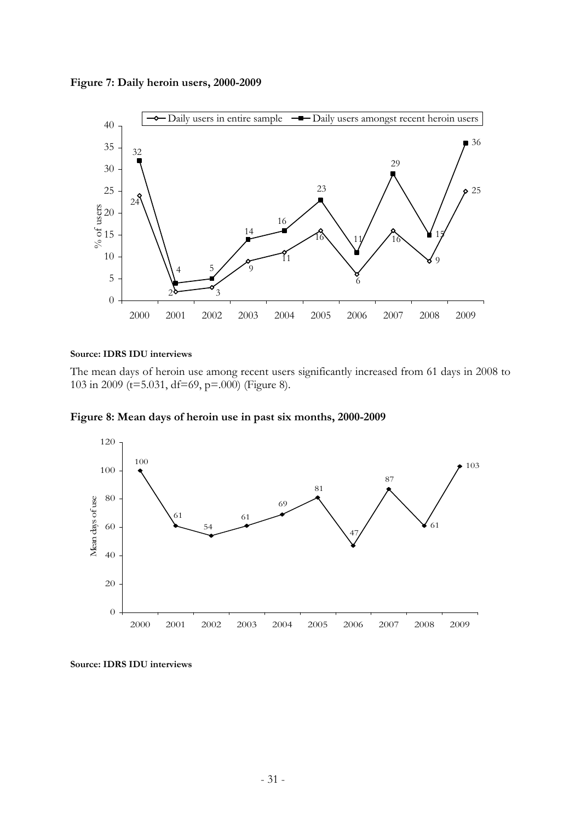<span id="page-33-0"></span>**Figure 7: Daily heroin users, 2000-2009** 



#### **Source: IDRS IDU interviews**

The mean days of heroin use among recent users significantly increased from 61 days in 2008 to 103 in 2009 (t=5.031, df=69, p=.000) (Figure 8).

<span id="page-33-1"></span>**Figure 8: Mean days of heroin use in past six months, 2000-2009** 



**Source: IDRS IDU interviews**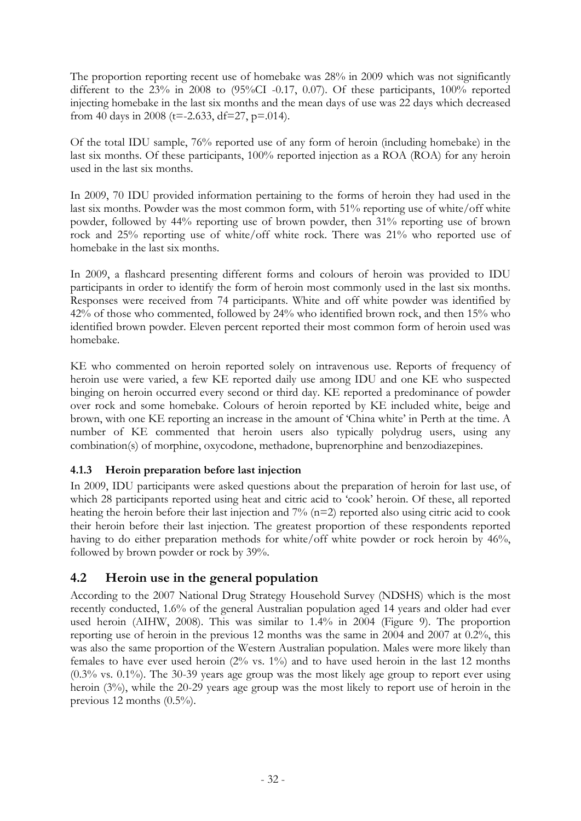The proportion reporting recent use of homebake was 28% in 2009 which was not significantly different to the 23% in 2008 to (95%CI -0.17, 0.07). Of these participants, 100% reported injecting homebake in the last six months and the mean days of use was 22 days which decreased from 40 days in 2008 (t=-2.633, df=27, p=.014).

Of the total IDU sample, 76% reported use of any form of heroin (including homebake) in the last six months. Of these participants, 100% reported injection as a ROA (ROA) for any heroin used in the last six months.

In 2009, 70 IDU provided information pertaining to the forms of heroin they had used in the last six months. Powder was the most common form, with 51% reporting use of white/off white powder, followed by 44% reporting use of brown powder, then 31% reporting use of brown rock and 25% reporting use of white/off white rock. There was 21% who reported use of homebake in the last six months.

In 2009, a flashcard presenting different forms and colours of heroin was provided to IDU participants in order to identify the form of heroin most commonly used in the last six months. Responses were received from 74 participants. White and off white powder was identified by 42% of those who commented, followed by 24% who identified brown rock, and then 15% who identified brown powder. Eleven percent reported their most common form of heroin used was homebake.

KE who commented on heroin reported solely on intravenous use. Reports of frequency of heroin use were varied, a few KE reported daily use among IDU and one KE who suspected binging on heroin occurred every second or third day. KE reported a predominance of powder over rock and some homebake. Colours of heroin reported by KE included white, beige and brown, with one KE reporting an increase in the amount of 'China white' in Perth at the time. A number of KE commented that heroin users also typically polydrug users, using any combination(s) of morphine, oxycodone, methadone, buprenorphine and benzodiazepines.

### **4.1.3 Heroin preparation before last injection**

In 2009, IDU participants were asked questions about the preparation of heroin for last use, of which 28 participants reported using heat and citric acid to 'cook' heroin. Of these, all reported heating the heroin before their last injection and 7% (n=2) reported also using citric acid to cook their heroin before their last injection. The greatest proportion of these respondents reported having to do either preparation methods for white/off white powder or rock heroin by 46%, followed by brown powder or rock by 39%.

# <span id="page-34-0"></span>**4.2 Heroin use in the general population**

According to the 2007 National Drug Strategy Household Survey (NDSHS) which is the most recently conducted, 1.6% of the general Australian population aged 14 years and older had ever used heroin (AIHW, 2008). This was similar to 1.4% in 2004 (Figure 9). The proportion reporting use of heroin in the previous 12 months was the same in 2004 and 2007 at 0.2%, this was also the same proportion of the Western Australian population. Males were more likely than females to have ever used heroin  $(2\% \text{ vs. } 1\%)$  and to have used heroin in the last 12 months (0.3% vs. 0.1%). The 30-39 years age group was the most likely age group to report ever using heroin (3%), while the 20-29 years age group was the most likely to report use of heroin in the previous 12 months (0.5%).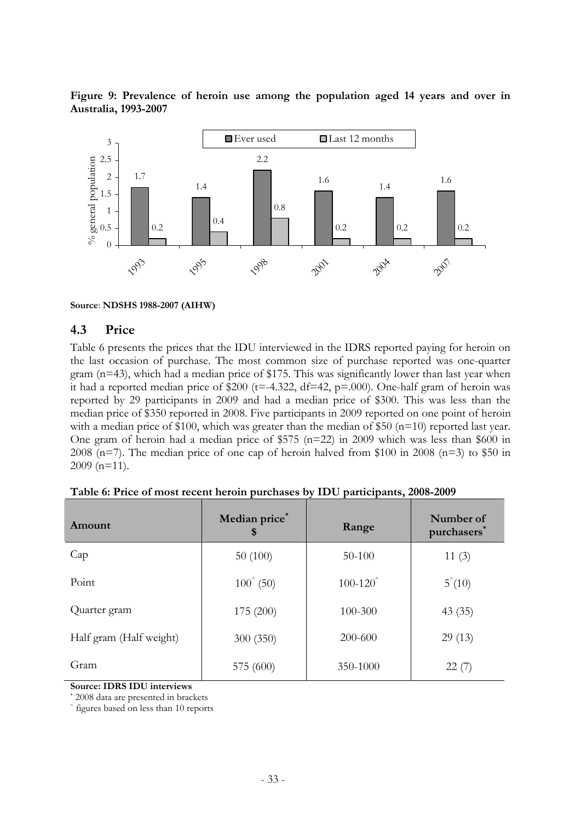<span id="page-35-2"></span>**Figure 9: Prevalence of heroin use among the population aged 14 years and over in Australia, 1993-2007** 



**Source**: **NDSHS 1988-2007 (AIHW)**

#### <span id="page-35-0"></span>**4.3 Price**

Table 6 presents the prices that the IDU interviewed in the IDRS reported paying for heroin on the last occasion of purchase. The most common size of purchase reported was one-quarter gram (n=43), which had a median price of \$175. This was significantly lower than last year when it had a reported median price of \$200 ( $t=4.322$ ,  $df=42$ ,  $p=.000$ ). One-half gram of heroin was reported by 29 participants in 2009 and had a median price of \$300. This was less than the median price of \$350 reported in 2008. Five participants in 2009 reported on one point of heroin with a median price of \$100, which was greater than the median of \$50 ( $n=10$ ) reported last year. One gram of heroin had a median price of \$575 (n=22) in 2009 which was less than \$600 in 2008 (n=7). The median price of one cap of heroin halved from \$100 in 2008 (n=3) to \$50 in 2009 (n=11).

<span id="page-35-1"></span>

| Amount                  | Median price*<br>\$  | Range       | Number of<br>purchasers <sup>®</sup> |
|-------------------------|----------------------|-------------|--------------------------------------|
| Cap                     | 50(100)              | $50 - 100$  | 11(3)                                |
| Point                   | $100^{\degree}$ (50) | $100 - 120$ | $5^{\degree}(10)$                    |
| Quarter gram            | 175 (200)            | 100-300     | 43(35)                               |
| Half gram (Half weight) | 300 (350)            | 200-600     | 29(13)                               |
| Gram                    | 575 (600)            | 350-1000    | 22(7)                                |

|  | Table 6: Price of most recent heroin purchases by IDU participants, 2008-2009 |  |  |  |
|--|-------------------------------------------------------------------------------|--|--|--|
|  |                                                                               |  |  |  |

**Source: IDRS IDU interviews** 

2008 data are presented in brackets

figures based on less than 10 reports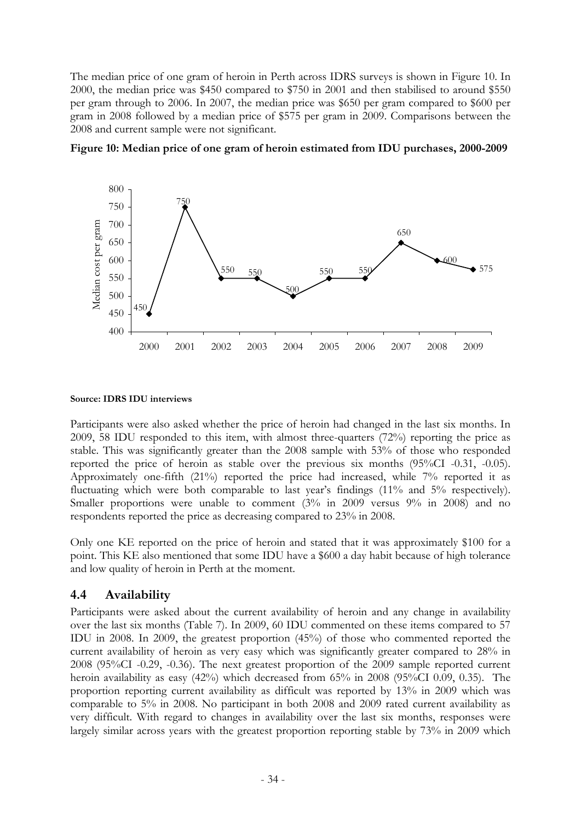The median price of one gram of heroin in Perth across IDRS surveys is shown in Figure 10. In 2000, the median price was \$450 compared to \$750 in 2001 and then stabilised to around \$550 per gram through to 2006. In 2007, the median price was \$650 per gram compared to \$600 per gram in 2008 followed by a median price of \$575 per gram in 2009. Comparisons between the 2008 and current sample were not significant.



**Figure 10: Median price of one gram of heroin estimated from IDU purchases, 2000-2009** 

### **Source: IDRS IDU interviews**

Participants were also asked whether the price of heroin had changed in the last six months. In 2009, 58 IDU responded to this item, with almost three-quarters (72%) reporting the price as stable. This was significantly greater than the 2008 sample with 53% of those who responded reported the price of heroin as stable over the previous six months (95%CI -0.31, -0.05). Approximately one-fifth (21%) reported the price had increased, while 7% reported it as fluctuating which were both comparable to last year's findings (11% and 5% respectively). Smaller proportions were unable to comment (3% in 2009 versus 9% in 2008) and no respondents reported the price as decreasing compared to 23% in 2008.

Only one KE reported on the price of heroin and stated that it was approximately \$100 for a point. This KE also mentioned that some IDU have a \$600 a day habit because of high tolerance and low quality of heroin in Perth at the moment.

# **4.4 Availability**

Participants were asked about the current availability of heroin and any change in availability over the last six months (Table 7). In 2009, 60 IDU commented on these items compared to 57 IDU in 2008. In 2009, the greatest proportion (45%) of those who commented reported the current availability of heroin as very easy which was significantly greater compared to 28% in 2008 (95%CI -0.29, -0.36). The next greatest proportion of the 2009 sample reported current heroin availability as easy (42%) which decreased from 65% in 2008 (95%CI 0.09, 0.35). The proportion reporting current availability as difficult was reported by 13% in 2009 which was comparable to 5% in 2008. No participant in both 2008 and 2009 rated current availability as very difficult. With regard to changes in availability over the last six months, responses were largely similar across years with the greatest proportion reporting stable by 73% in 2009 which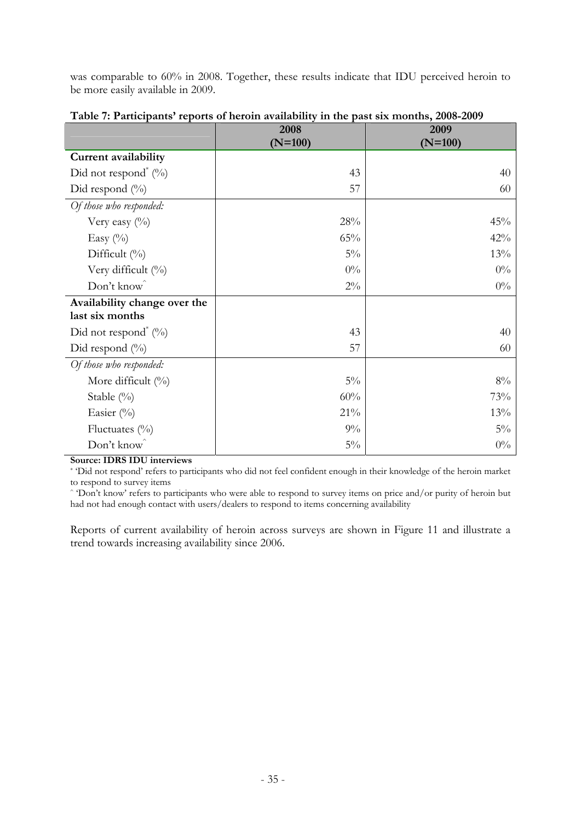was comparable to 60% in 2008. Together, these results indicate that IDU perceived heroin to be more easily available in 2009.

|                                     | 2008<br>$(N=100)$ | 2009<br>$(N=100)$ |
|-------------------------------------|-------------------|-------------------|
| <b>Current availability</b>         |                   |                   |
| Did not respond <sup>*</sup> $(\%)$ | 43                | 40                |
| Did respond $(\%)$                  | 57                | 60                |
| Of those who responded:             |                   |                   |
| Very easy $(\%)$                    | 28%               | 45%               |
| Easy $(\%)$                         | 65%               | 42%               |
| Difficult $(\%)$                    | $5\%$             | 13%               |
| Very difficult (%)                  | $0\%$             | $0\%$             |
| Don't know                          | $2\%$             | $0\%$             |
| Availability change over the        |                   |                   |
| last six months                     |                   |                   |
| Did not respond <sup>*</sup> $(\%)$ | 43                | 40                |
| Did respond $(\%)$                  | 57                | 60                |
| Of those who responded:             |                   |                   |
| More difficult (%)                  | $5\%$             | $8\%$             |
| Stable (%)                          | 60%               | 73%               |
| Easier (%)                          | 21%               | 13%               |
| Fluctuates $(\%)$                   | $9\%$             | $5\%$             |
| Don't know                          | $5\%$             | $0\%$             |

**Table 7: Participants' reports of heroin availability in the past six months, 2008-2009** 

**Source: IDRS IDU interviews** 

\* 'Did not respond' refers to participants who did not feel confident enough in their knowledge of the heroin market to respond to survey items

^ 'Don't know' refers to participants who were able to respond to survey items on price and/or purity of heroin but had not had enough contact with users/dealers to respond to items concerning availability

Reports of current availability of heroin across surveys are shown in Figure 11 and illustrate a trend towards increasing availability since 2006.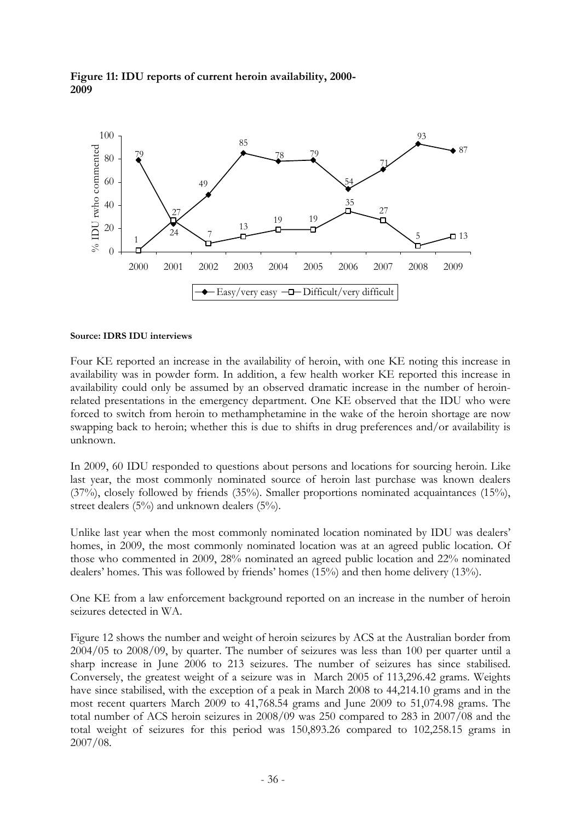

### **Figure 11: IDU reports of current heroin availability, 2000- 2009**

### **Source: IDRS IDU interviews**

Four KE reported an increase in the availability of heroin, with one KE noting this increase in availability was in powder form. In addition, a few health worker KE reported this increase in availability could only be assumed by an observed dramatic increase in the number of heroinrelated presentations in the emergency department. One KE observed that the IDU who were forced to switch from heroin to methamphetamine in the wake of the heroin shortage are now swapping back to heroin; whether this is due to shifts in drug preferences and/or availability is unknown.

In 2009, 60 IDU responded to questions about persons and locations for sourcing heroin. Like last year, the most commonly nominated source of heroin last purchase was known dealers (37%), closely followed by friends (35%). Smaller proportions nominated acquaintances (15%), street dealers (5%) and unknown dealers (5%).

Unlike last year when the most commonly nominated location nominated by IDU was dealers' homes, in 2009, the most commonly nominated location was at an agreed public location. Of those who commented in 2009, 28% nominated an agreed public location and 22% nominated dealers' homes. This was followed by friends' homes (15%) and then home delivery (13%).

One KE from a law enforcement background reported on an increase in the number of heroin seizures detected in WA.

Figure 12 shows the number and weight of heroin seizures by ACS at the Australian border from 2004/05 to 2008/09, by quarter. The number of seizures was less than 100 per quarter until a sharp increase in June 2006 to 213 seizures. The number of seizures has since stabilised. Conversely, the greatest weight of a seizure was in March 2005 of 113,296.42 grams. Weights have since stabilised, with the exception of a peak in March 2008 to 44,214.10 grams and in the most recent quarters March 2009 to 41,768.54 grams and June 2009 to 51,074.98 grams. The total number of ACS heroin seizures in 2008/09 was 250 compared to 283 in 2007/08 and the total weight of seizures for this period was 150,893.26 compared to 102,258.15 grams in 2007/08.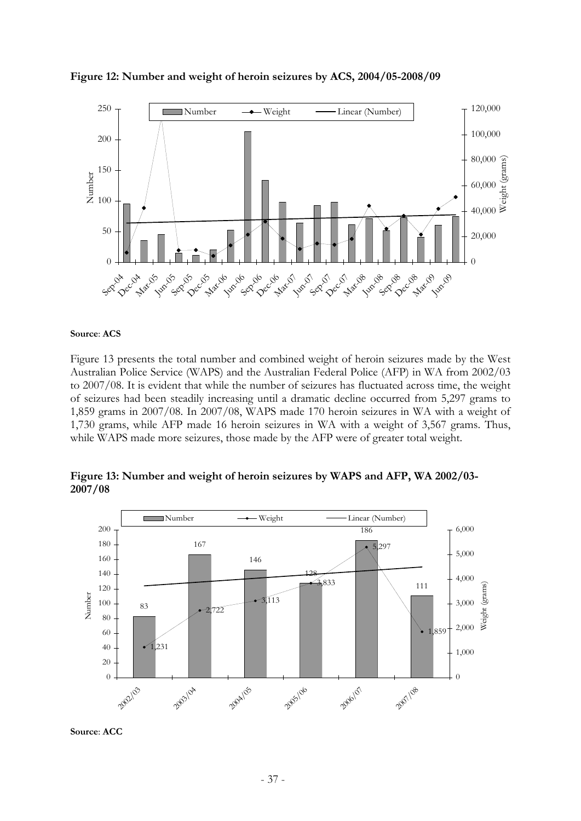

**Figure 12: Number and weight of heroin seizures by ACS, 2004/05-2008/09** 

#### **Source**: **ACS**

Figure 13 presents the total number and combined weight of heroin seizures made by the West Australian Police Service (WAPS) and the Australian Federal Police (AFP) in WA from 2002/03 to 2007/08. It is evident that while the number of seizures has fluctuated across time, the weight of seizures had been steadily increasing until a dramatic decline occurred from 5,297 grams to 1,859 grams in 2007/08. In 2007/08, WAPS made 170 heroin seizures in WA with a weight of 1,730 grams, while AFP made 16 heroin seizures in WA with a weight of 3,567 grams. Thus, while WAPS made more seizures, those made by the AFP were of greater total weight.

**Figure 13: Number and weight of heroin seizures by WAPS and AFP, WA 2002/03- 2007/08** 



**Source**: **ACC**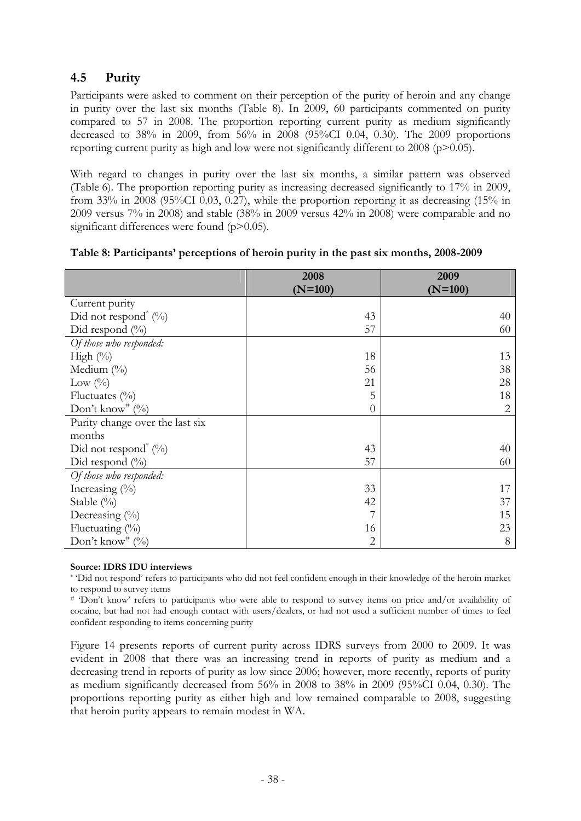# **4.5 Purity**

Participants were asked to comment on their perception of the purity of heroin and any change in purity over the last six months (Table 8). In 2009, 60 participants commented on purity compared to 57 in 2008. The proportion reporting current purity as medium significantly decreased to 38% in 2009, from 56% in 2008 (95%CI 0.04, 0.30). The 2009 proportions reporting current purity as high and low were not significantly different to 2008 ( $p$ >0.05).

With regard to changes in purity over the last six months, a similar pattern was observed (Table 6). The proportion reporting purity as increasing decreased significantly to 17% in 2009, from 33% in 2008 (95%CI 0.03, 0.27), while the proportion reporting it as decreasing (15% in 2009 versus 7% in 2008) and stable (38% in 2009 versus 42% in 2008) were comparable and no significant differences were found (p>0.05).

|                                           | 2008           | 2009      |
|-------------------------------------------|----------------|-----------|
|                                           | $(N=100)$      | $(N=100)$ |
| Current purity                            |                |           |
| Did not respond <sup>*</sup> $(^{0}_{0})$ | 43             | 40        |
| Did respond $(\%)$                        | 57             | 60        |
| Of those who responded:                   |                |           |
| High $(\%)$                               | 18             | 13        |
| Medium $(\%)$                             | 56             | 38        |
| Low $(\%)$                                | 21             | 28        |
| Fluctuates $(\%$                          | 5              | 18        |
| Don't know <sup>#</sup> $(\%)$            | $\overline{0}$ | 2         |
| Purity change over the last six           |                |           |
| months                                    |                |           |
| Did not respond <sup>*</sup> $(\%)$       | 43             | 40        |
| Did respond $(\%)$                        | 57             | 60        |
| Of those who responded:                   |                |           |
| Increasing $(\% )$                        | 33             | 17        |
| Stable $(\%)$                             | 42             | 37        |
| Decreasing $(\%)$                         |                | 15        |
| Fluctuating $(\%)$                        | 16             | 23        |
| Don't know <sup>#</sup> $(\%)$            | $\overline{2}$ | 8         |

### **Table 8: Participants' perceptions of heroin purity in the past six months, 2008-2009**

### **Source: IDRS IDU interviews**

\* 'Did not respond' refers to participants who did not feel confident enough in their knowledge of the heroin market to respond to survey items

# 'Don't know' refers to participants who were able to respond to survey items on price and/or availability of cocaine, but had not had enough contact with users/dealers, or had not used a sufficient number of times to feel confident responding to items concerning purity

Figure 14 presents reports of current purity across IDRS surveys from 2000 to 2009. It was evident in 2008 that there was an increasing trend in reports of purity as medium and a decreasing trend in reports of purity as low since 2006; however, more recently, reports of purity as medium significantly decreased from 56% in 2008 to 38% in 2009 (95%CI 0.04, 0.30). The proportions reporting purity as either high and low remained comparable to 2008, suggesting that heroin purity appears to remain modest in WA.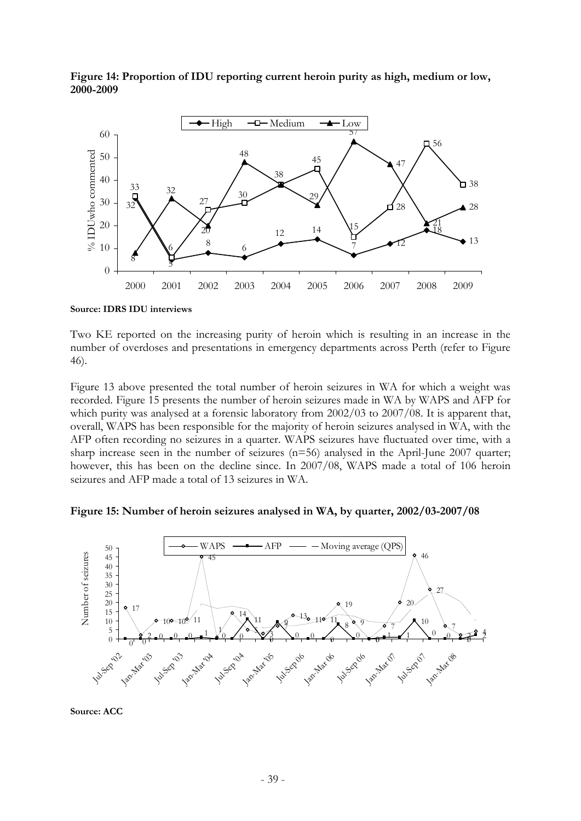

**Figure 14: Proportion of IDU reporting current heroin purity as high, medium or low, 2000-2009** 

**Source: IDRS IDU interviews** 

Two KE reported on the increasing purity of heroin which is resulting in an increase in the number of overdoses and presentations in emergency departments across Perth (refer to Figure 46).

Figure 13 above presented the total number of heroin seizures in WA for which a weight was recorded. Figure 15 presents the number of heroin seizures made in WA by WAPS and AFP for which purity was analysed at a forensic laboratory from 2002/03 to 2007/08. It is apparent that, overall, WAPS has been responsible for the majority of heroin seizures analysed in WA, with the AFP often recording no seizures in a quarter. WAPS seizures have fluctuated over time, with a sharp increase seen in the number of seizures (n=56) analysed in the April-June 2007 quarter; however, this has been on the decline since. In 2007/08, WAPS made a total of 106 heroin seizures and AFP made a total of 13 seizures in WA.





**Source: ACC**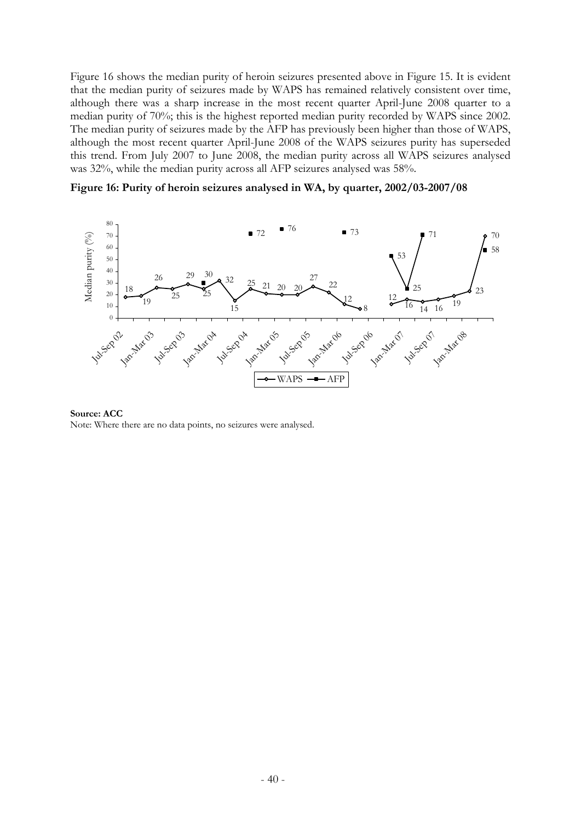Figure 16 shows the median purity of heroin seizures presented above in Figure 15. It is evident that the median purity of seizures made by WAPS has remained relatively consistent over time, although there was a sharp increase in the most recent quarter April-June 2008 quarter to a median purity of 70%; this is the highest reported median purity recorded by WAPS since 2002. The median purity of seizures made by the AFP has previously been higher than those of WAPS, although the most recent quarter April-June 2008 of the WAPS seizures purity has superseded this trend. From July 2007 to June 2008, the median purity across all WAPS seizures analysed was 32%, while the median purity across all AFP seizures analysed was 58%.

**Figure 16: Purity of heroin seizures analysed in WA, by quarter, 2002/03-2007/08** 



**Source: ACC** Note: Where there are no data points, no seizures were analysed.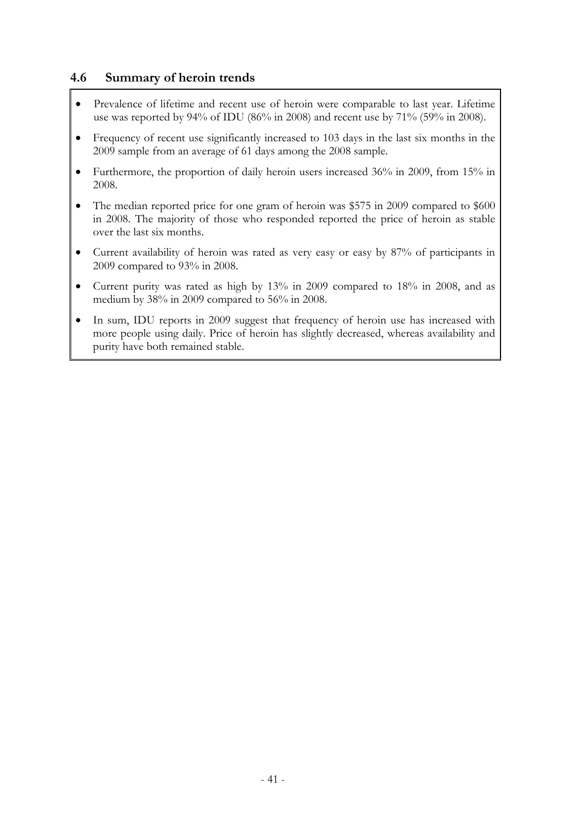### **4.6 Summary of heroin trends**

- Prevalence of lifetime and recent use of heroin were comparable to last year. Lifetime use was reported by 94% of IDU (86% in 2008) and recent use by 71% (59% in 2008).
- Frequency of recent use significantly increased to 103 days in the last six months in the 2009 sample from an average of 61 days among the 2008 sample.
- Furthermore, the proportion of daily heroin users increased 36% in 2009, from 15% in 2008.
- The median reported price for one gram of heroin was \$575 in 2009 compared to \$600 in 2008. The majority of those who responded reported the price of heroin as stable over the last six months.
- Current availability of heroin was rated as very easy or easy by 87% of participants in 2009 compared to 93% in 2008.
- Current purity was rated as high by 13% in 2009 compared to 18% in 2008, and as medium by 38% in 2009 compared to 56% in 2008.
- In sum, IDU reports in 2009 suggest that frequency of heroin use has increased with more people using daily. Price of heroin has slightly decreased, whereas availability and purity have both remained stable.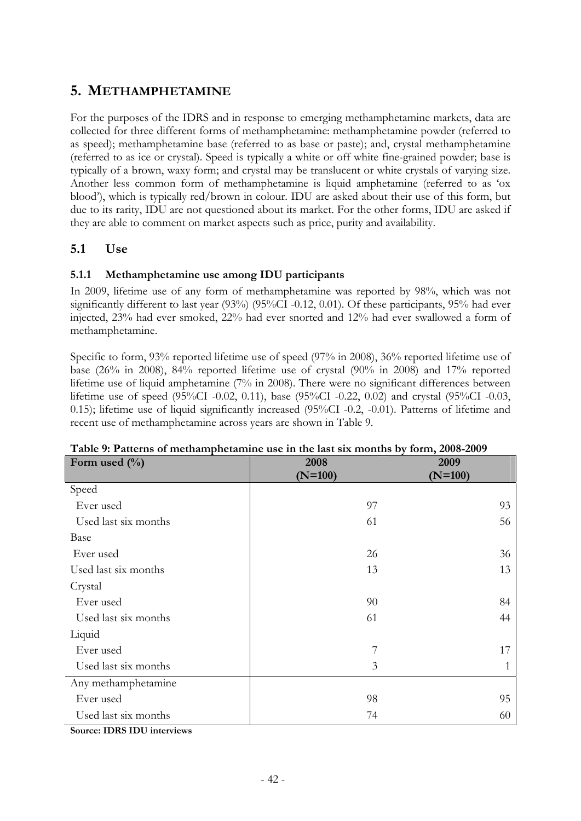# **5. METHAMPHETAMINE**

For the purposes of the IDRS and in response to emerging methamphetamine markets, data are collected for three different forms of methamphetamine: methamphetamine powder (referred to as speed); methamphetamine base (referred to as base or paste); and, crystal methamphetamine (referred to as ice or crystal). Speed is typically a white or off white fine-grained powder; base is typically of a brown, waxy form; and crystal may be translucent or white crystals of varying size. Another less common form of methamphetamine is liquid amphetamine (referred to as 'ox blood'), which is typically red/brown in colour. IDU are asked about their use of this form, but due to its rarity, IDU are not questioned about its market. For the other forms, IDU are asked if they are able to comment on market aspects such as price, purity and availability.

# **5.1 Use**

### **5.1.1 Methamphetamine use among IDU participants**

In 2009, lifetime use of any form of methamphetamine was reported by 98%, which was not significantly different to last year (93%) (95%CI -0.12, 0.01). Of these participants, 95% had ever injected, 23% had ever smoked, 22% had ever snorted and 12% had ever swallowed a form of methamphetamine.

Specific to form, 93% reported lifetime use of speed (97% in 2008), 36% reported lifetime use of base (26% in 2008), 84% reported lifetime use of crystal (90% in 2008) and 17% reported lifetime use of liquid amphetamine (7% in 2008). There were no significant differences between lifetime use of speed (95%CI -0.02, 0.11), base (95%CI -0.22, 0.02) and crystal (95%CI -0.03, 0.15); lifetime use of liquid significantly increased (95%CI -0.2, -0.01). Patterns of lifetime and recent use of methamphetamine across years are shown in Table 9.

| Form used $(\%)$     | 2008      | 2009      |
|----------------------|-----------|-----------|
|                      | $(N=100)$ | $(N=100)$ |
| Speed                |           |           |
| Ever used            | 97        | 93        |
| Used last six months | 61        | 56        |
| Base                 |           |           |
| Ever used            | 26        | 36        |
| Used last six months | 13        | 13        |
| Crystal              |           |           |
| Ever used            | 90        | 84        |
| Used last six months | 61        | 44        |
| Liquid               |           |           |
| Ever used            | 7         | 17        |
| Used last six months | 3         |           |
| Any methamphetamine  |           |           |
| Ever used            | 98        | 95        |
| Used last six months | 74        | 60        |
| $\mathbf{r}$         |           |           |

**Table 9: Patterns of methamphetamine use in the last six months by form, 2008-2009** 

**Source: IDRS IDU interviews**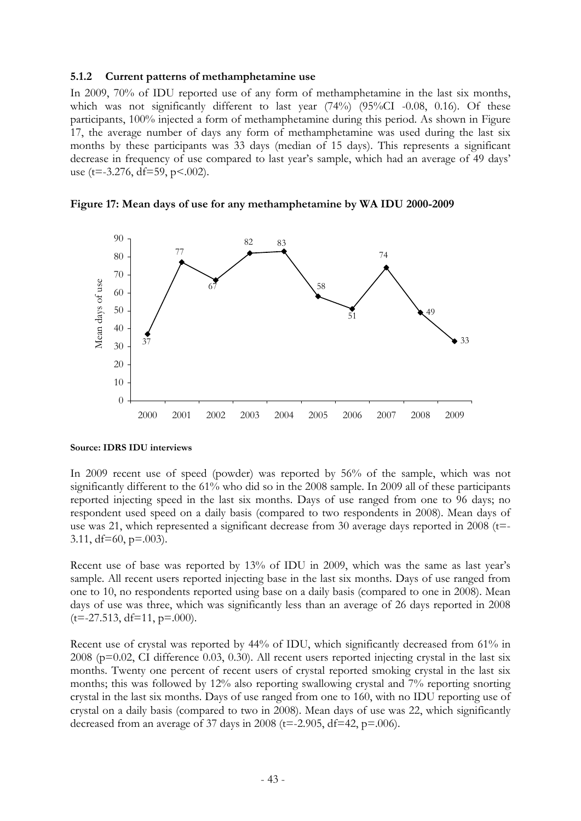### **5.1.2 Current patterns of methamphetamine use**

In 2009, 70% of IDU reported use of any form of methamphetamine in the last six months, which was not significantly different to last year  $(74%)$   $(95%CI -0.08, 0.16)$ . Of these participants, 100% injected a form of methamphetamine during this period. As shown in Figure 17, the average number of days any form of methamphetamine was used during the last six months by these participants was 33 days (median of 15 days). This represents a significant decrease in frequency of use compared to last year's sample, which had an average of 49 days' use (t=-3.276, df=59, p<.002).





#### **Source: IDRS IDU interviews**

In 2009 recent use of speed (powder) was reported by 56% of the sample, which was not significantly different to the 61% who did so in the 2008 sample. In 2009 all of these participants reported injecting speed in the last six months. Days of use ranged from one to 96 days; no respondent used speed on a daily basis (compared to two respondents in 2008). Mean days of use was 21, which represented a significant decrease from 30 average days reported in 2008 (t=-3.11,  $df=60$ ,  $p=.003$ ).

Recent use of base was reported by 13% of IDU in 2009, which was the same as last year's sample. All recent users reported injecting base in the last six months. Days of use ranged from one to 10, no respondents reported using base on a daily basis (compared to one in 2008). Mean days of use was three, which was significantly less than an average of 26 days reported in 2008  $(t=-27.513, df=11, p=.000)$ .

Recent use of crystal was reported by 44% of IDU, which significantly decreased from 61% in  $2008$  ( $p=0.02$ , CI difference 0.03, 0.30). All recent users reported injecting crystal in the last six months. Twenty one percent of recent users of crystal reported smoking crystal in the last six months; this was followed by 12% also reporting swallowing crystal and 7% reporting snorting crystal in the last six months. Days of use ranged from one to 160, with no IDU reporting use of crystal on a daily basis (compared to two in 2008). Mean days of use was 22, which significantly decreased from an average of 37 days in 2008 ( $t=-2.905$ ,  $df=42$ ,  $p=.006$ ).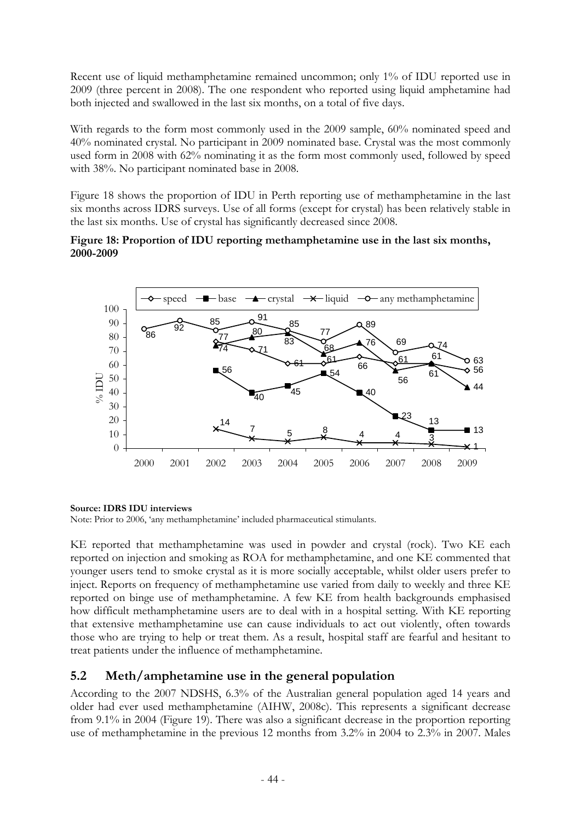Recent use of liquid methamphetamine remained uncommon; only 1% of IDU reported use in 2009 (three percent in 2008). The one respondent who reported using liquid amphetamine had both injected and swallowed in the last six months, on a total of five days.

With regards to the form most commonly used in the 2009 sample, 60% nominated speed and 40% nominated crystal. No participant in 2009 nominated base. Crystal was the most commonly used form in 2008 with 62% nominating it as the form most commonly used, followed by speed with 38%. No participant nominated base in 2008.

Figure 18 shows the proportion of IDU in Perth reporting use of methamphetamine in the last six months across IDRS surveys. Use of all forms (except for crystal) has been relatively stable in the last six months. Use of crystal has significantly decreased since 2008.

### **Figure 18: Proportion of IDU reporting methamphetamine use in the last six months, 2000-2009**



### **Source: IDRS IDU interviews**

Note: Prior to 2006, 'any methamphetamine' included pharmaceutical stimulants.

KE reported that methamphetamine was used in powder and crystal (rock). Two KE each reported on injection and smoking as ROA for methamphetamine, and one KE commented that younger users tend to smoke crystal as it is more socially acceptable, whilst older users prefer to inject. Reports on frequency of methamphetamine use varied from daily to weekly and three KE reported on binge use of methamphetamine. A few KE from health backgrounds emphasised how difficult methamphetamine users are to deal with in a hospital setting. With KE reporting that extensive methamphetamine use can cause individuals to act out violently, often towards those who are trying to help or treat them. As a result, hospital staff are fearful and hesitant to treat patients under the influence of methamphetamine.

# **5.2 Meth/amphetamine use in the general population**

According to the 2007 NDSHS, 6.3% of the Australian general population aged 14 years and older had ever used methamphetamine (AIHW, 2008c). This represents a significant decrease from 9.1% in 2004 (Figure 19). There was also a significant decrease in the proportion reporting use of methamphetamine in the previous 12 months from 3.2% in 2004 to 2.3% in 2007. Males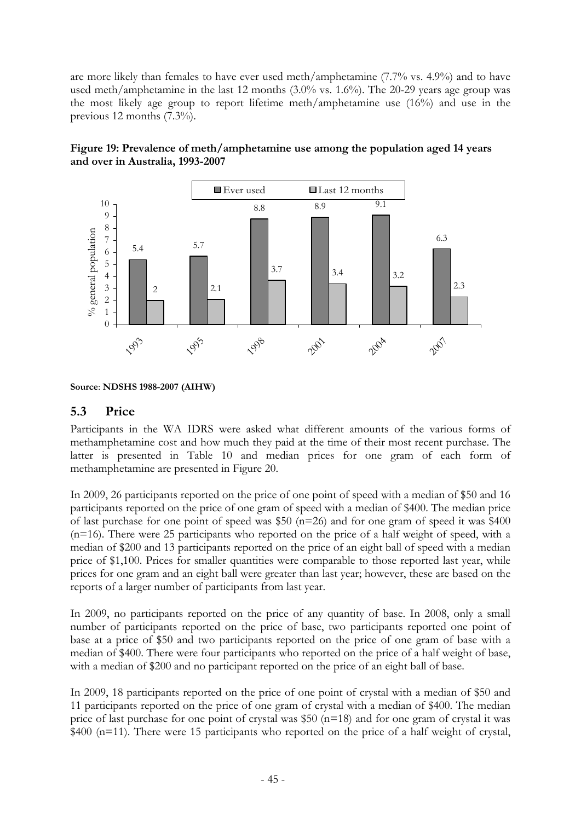are more likely than females to have ever used meth/amphetamine (7.7% vs. 4.9%) and to have used meth/amphetamine in the last 12 months (3.0% vs. 1.6%). The 20-29 years age group was the most likely age group to report lifetime meth/amphetamine use (16%) and use in the previous 12 months (7.3%).





# **5.3 Price**

Participants in the WA IDRS were asked what different amounts of the various forms of methamphetamine cost and how much they paid at the time of their most recent purchase. The latter is presented in Table 10 and median prices for one gram of each form of methamphetamine are presented in Figure 20.

In 2009, 26 participants reported on the price of one point of speed with a median of \$50 and 16 participants reported on the price of one gram of speed with a median of \$400. The median price of last purchase for one point of speed was \$50 (n=26) and for one gram of speed it was \$400 (n=16). There were 25 participants who reported on the price of a half weight of speed, with a median of \$200 and 13 participants reported on the price of an eight ball of speed with a median price of \$1,100. Prices for smaller quantities were comparable to those reported last year, while prices for one gram and an eight ball were greater than last year; however, these are based on the reports of a larger number of participants from last year.

In 2009, no participants reported on the price of any quantity of base. In 2008, only a small number of participants reported on the price of base, two participants reported one point of base at a price of \$50 and two participants reported on the price of one gram of base with a median of \$400. There were four participants who reported on the price of a half weight of base, with a median of \$200 and no participant reported on the price of an eight ball of base.

In 2009, 18 participants reported on the price of one point of crystal with a median of \$50 and 11 participants reported on the price of one gram of crystal with a median of \$400. The median price of last purchase for one point of crystal was \$50 (n=18) and for one gram of crystal it was \$400 (n=11). There were 15 participants who reported on the price of a half weight of crystal,

**Source**: **NDSHS 1988-2007 (AIHW)**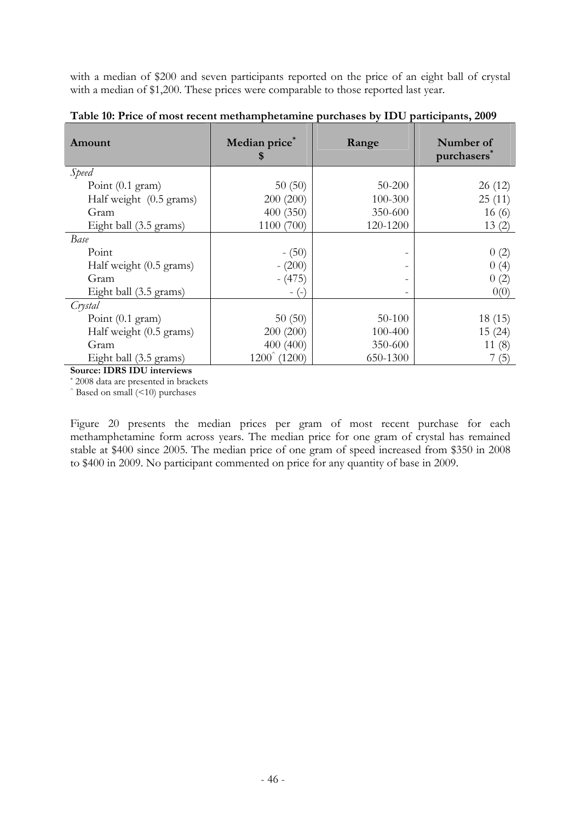with a median of \$200 and seven participants reported on the price of an eight ball of crystal with a median of \$1,200. These prices were comparable to those reported last year.

| Amount                     | Median price*<br>\$     | Range                        | Number of<br>purchasers <sup>*</sup> |
|----------------------------|-------------------------|------------------------------|--------------------------------------|
| Speed                      |                         |                              |                                      |
| Point $(0.1 \text{ gram})$ | 50(50)                  | 50-200                       | 26(12)                               |
| Half weight (0.5 grams)    | 200 (200)               | 100-300                      | 25(11)                               |
| Gram                       | 400(350)                | 350-600                      | 16(6)                                |
| Eight ball (3.5 grams)     | 1100 (700)              | 120-1200                     | 13(2)                                |
| Base                       |                         |                              |                                      |
| Point                      | $- (50)$                | $\overline{\phantom{a}}$     | 0(2)                                 |
| Half weight (0.5 grams)    | $- (200)$               | -                            | 0(4)                                 |
| Gram                       | $-(475)$                | $\qquad \qquad -$            | 0(2)                                 |
| Eight ball (3.5 grams)     | $-(-)$                  | $\qquad \qquad \blacksquare$ | 0(0)                                 |
| Crystal                    |                         |                              |                                      |
| Point (0.1 gram)           | 50(50)                  | 50-100                       | 18(15)                               |
| Half weight (0.5 grams)    | 200 (200)               | 100-400                      | 15(24)                               |
| Gram                       | 400 (400)               | 350-600                      | 11(8)                                |
| Eight ball (3.5 grams)     | $1200^{\degree}$ (1200) | 650-1300                     | 7(5)                                 |

**Table 10: Price of most recent methamphetamine purchases by IDU participants, 2009** 

**Source: IDRS IDU interviews** 

\* 2008 data are presented in brackets

 $\hat{\ }$  Based on small ( $\leq$ 10) purchases

Figure 20 presents the median prices per gram of most recent purchase for each methamphetamine form across years. The median price for one gram of crystal has remained stable at \$400 since 2005. The median price of one gram of speed increased from \$350 in 2008 to \$400 in 2009. No participant commented on price for any quantity of base in 2009.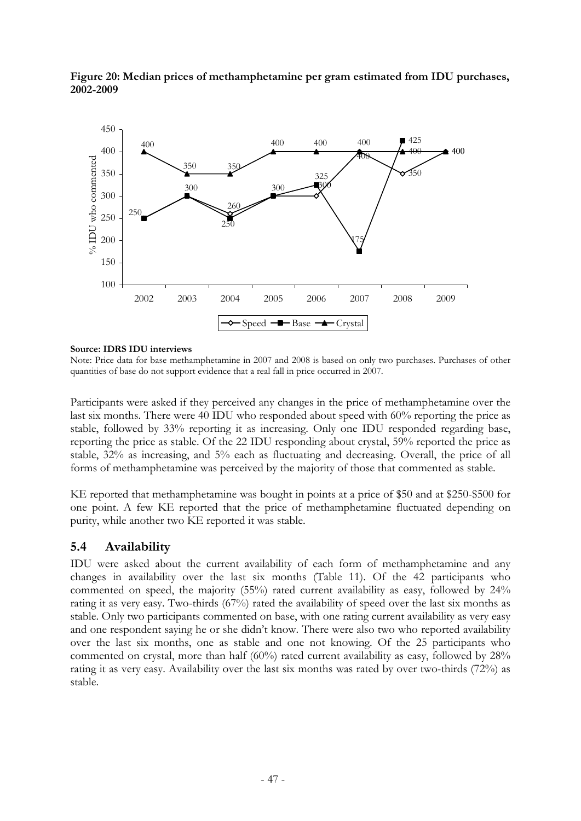

**Figure 20: Median prices of methamphetamine per gram estimated from IDU purchases, 2002-2009** 

#### **Source: IDRS IDU interviews**

Note: Price data for base methamphetamine in 2007 and 2008 is based on only two purchases. Purchases of other quantities of base do not support evidence that a real fall in price occurred in 2007.

Participants were asked if they perceived any changes in the price of methamphetamine over the last six months. There were 40 IDU who responded about speed with 60% reporting the price as stable, followed by 33% reporting it as increasing. Only one IDU responded regarding base, reporting the price as stable. Of the 22 IDU responding about crystal, 59% reported the price as stable, 32% as increasing, and 5% each as fluctuating and decreasing. Overall, the price of all forms of methamphetamine was perceived by the majority of those that commented as stable.

KE reported that methamphetamine was bought in points at a price of \$50 and at \$250-\$500 for one point. A few KE reported that the price of methamphetamine fluctuated depending on purity, while another two KE reported it was stable.

### **5.4 Availability**

IDU were asked about the current availability of each form of methamphetamine and any changes in availability over the last six months (Table 11). Of the 42 participants who commented on speed, the majority (55%) rated current availability as easy, followed by 24% rating it as very easy. Two-thirds (67%) rated the availability of speed over the last six months as stable. Only two participants commented on base, with one rating current availability as very easy and one respondent saying he or she didn't know. There were also two who reported availability over the last six months, one as stable and one not knowing. Of the 25 participants who commented on crystal, more than half (60%) rated current availability as easy, followed by 28% rating it as very easy. Availability over the last six months was rated by over two-thirds (72%) as stable.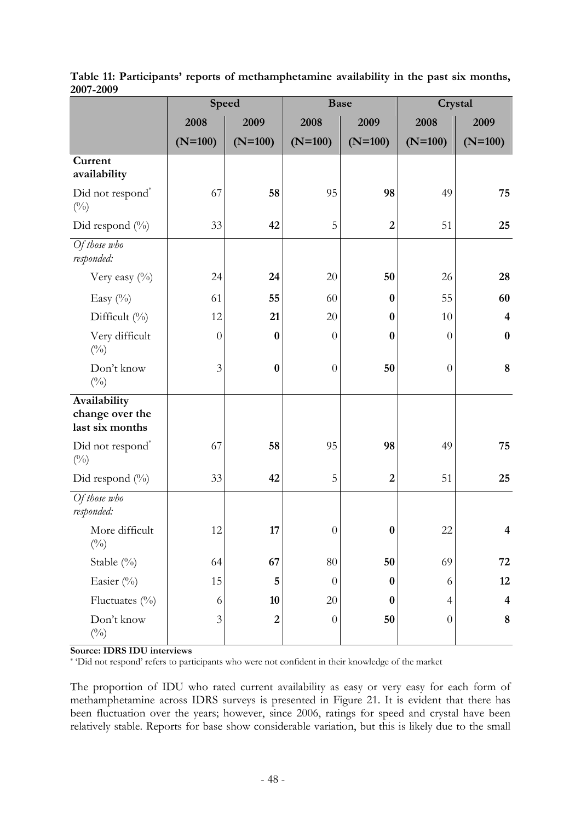|                                                    |                | Speed            |                  | <b>Base</b>    |                  | Crystal                 |
|----------------------------------------------------|----------------|------------------|------------------|----------------|------------------|-------------------------|
|                                                    | 2008           | 2009             | 2008             | 2009           | 2008             | 2009                    |
|                                                    | $(N=100)$      | $(N=100)$        | $(N=100)$        | $(N=100)$      | $(N=100)$        | $(N=100)$               |
| Current<br>availability                            |                |                  |                  |                |                  |                         |
| Did not respond*<br>$(^{0}_{0})$                   | 67             | 58               | 95               | 98             | 49               | 75                      |
| Did respond $(\%)$                                 | 33             | 42               | 5                | $\overline{2}$ | 51               | 25                      |
| Of those who<br>responded:                         |                |                  |                  |                |                  |                         |
| Very easy $(^{0}_{0})$                             | 24             | 24               | 20               | 50             | 26               | 28                      |
| Easy $(\%)$                                        | 61             | 55               | 60               | $\bf{0}$       | 55               | 60                      |
| Difficult (%)                                      | 12             | 21               | 20               | $\bf{0}$       | 10               | $\overline{4}$          |
| Very difficult<br>$(^{0}_{0})$                     | $\overline{0}$ | $\bf{0}$         | $\theta$         | $\bf{0}$       | $\theta$         | $\bf{0}$                |
| Don't know<br>$(^{0}_{0})$                         | $\overline{3}$ | $\bf{0}$         | $\theta$         | 50             | $\boldsymbol{0}$ | $\bf 8$                 |
| Availability<br>change over the<br>last six months |                |                  |                  |                |                  |                         |
| Did not respond <sup>*</sup><br>$(^{0}_{0})$       | 67             | 58               | 95               | 98             | 49               | 75                      |
| Did respond $(\%)$                                 | 33             | 42               | 5                | $\overline{2}$ | 51               | 25                      |
| Of those who<br>responded:                         |                |                  |                  |                |                  |                         |
| More difficult<br>$(^{0}_{0})$                     | 12             | $17\,$           | $\boldsymbol{0}$ | $\bf{0}$       | $22\,$           | 4                       |
| Stable (%)                                         | 64             | 67               | $80\,$           | 50             | 69               | 72                      |
| Easier (%)                                         | 15             | 5                | $\overline{0}$   | $\bf{0}$       | 6                | 12                      |
| Fluctuates (%)                                     | 6              | 10               | $20\,$           | $\bf{0}$       | $\overline{4}$   | $\overline{\mathbf{4}}$ |
| Don't know<br>$\left(^{0}\!/_{\!0}\right)$         | 3              | $\boldsymbol{2}$ | $\theta$         | 50             | $\boldsymbol{0}$ | $\bf 8$                 |

**Table 11: Participants' reports of methamphetamine availability in the past six months, 2007-2009** 

#### **Source: IDRS IDU interviews**

\* 'Did not respond' refers to participants who were not confident in their knowledge of the market

The proportion of IDU who rated current availability as easy or very easy for each form of methamphetamine across IDRS surveys is presented in Figure 21. It is evident that there has been fluctuation over the years; however, since 2006, ratings for speed and crystal have been relatively stable. Reports for base show considerable variation, but this is likely due to the small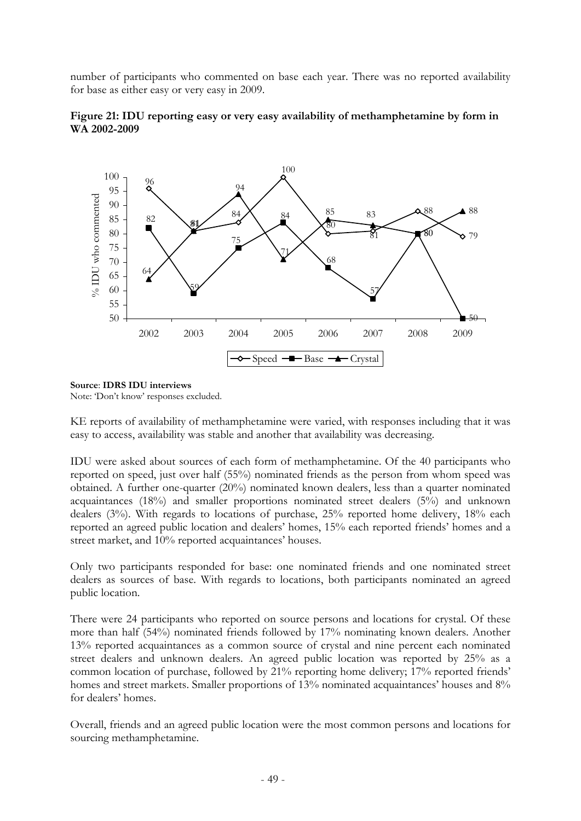number of participants who commented on base each year. There was no reported availability for base as either easy or very easy in 2009.





### **Source**: **IDRS IDU interviews**

Note: 'Don't know' responses excluded.

KE reports of availability of methamphetamine were varied, with responses including that it was easy to access, availability was stable and another that availability was decreasing.

IDU were asked about sources of each form of methamphetamine. Of the 40 participants who reported on speed, just over half (55%) nominated friends as the person from whom speed was obtained. A further one-quarter (20%) nominated known dealers, less than a quarter nominated acquaintances (18%) and smaller proportions nominated street dealers (5%) and unknown dealers (3%). With regards to locations of purchase, 25% reported home delivery, 18% each reported an agreed public location and dealers' homes, 15% each reported friends' homes and a street market, and 10% reported acquaintances' houses.

Only two participants responded for base: one nominated friends and one nominated street dealers as sources of base. With regards to locations, both participants nominated an agreed public location.

There were 24 participants who reported on source persons and locations for crystal. Of these more than half (54%) nominated friends followed by 17% nominating known dealers. Another 13% reported acquaintances as a common source of crystal and nine percent each nominated street dealers and unknown dealers. An agreed public location was reported by 25% as a common location of purchase, followed by 21% reporting home delivery; 17% reported friends' homes and street markets. Smaller proportions of 13% nominated acquaintances' houses and 8% for dealers' homes.

Overall, friends and an agreed public location were the most common persons and locations for sourcing methamphetamine.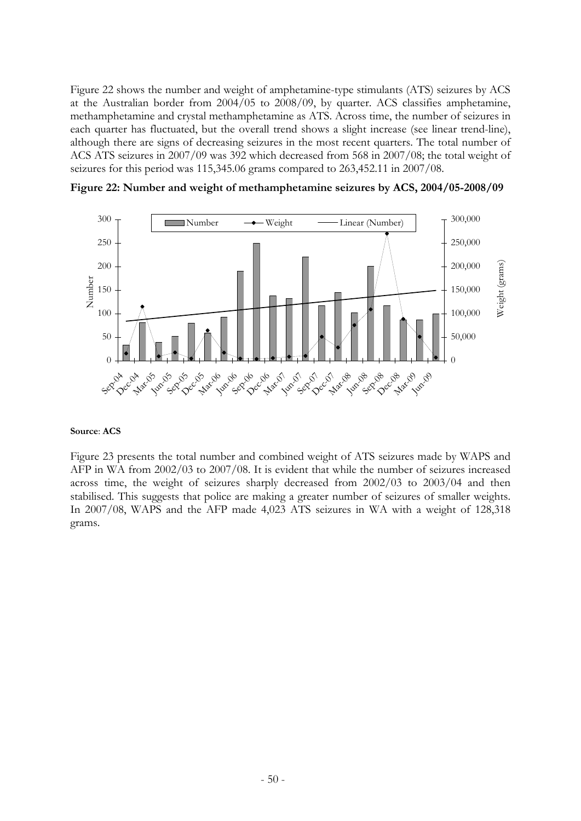Figure 22 shows the number and weight of amphetamine-type stimulants (ATS) seizures by ACS at the Australian border from 2004/05 to 2008/09, by quarter. ACS classifies amphetamine, methamphetamine and crystal methamphetamine as ATS. Across time, the number of seizures in each quarter has fluctuated, but the overall trend shows a slight increase (see linear trend-line), although there are signs of decreasing seizures in the most recent quarters. The total number of ACS ATS seizures in 2007/09 was 392 which decreased from 568 in 2007/08; the total weight of seizures for this period was 115,345.06 grams compared to 263,452.11 in 2007/08.

**Figure 22: Number and weight of methamphetamine seizures by ACS, 2004/05-2008/09** 



#### **Source**: **ACS**

Figure 23 presents the total number and combined weight of ATS seizures made by WAPS and AFP in WA from 2002/03 to 2007/08. It is evident that while the number of seizures increased across time, the weight of seizures sharply decreased from 2002/03 to 2003/04 and then stabilised. This suggests that police are making a greater number of seizures of smaller weights. In 2007/08, WAPS and the AFP made 4,023 ATS seizures in WA with a weight of 128,318 grams.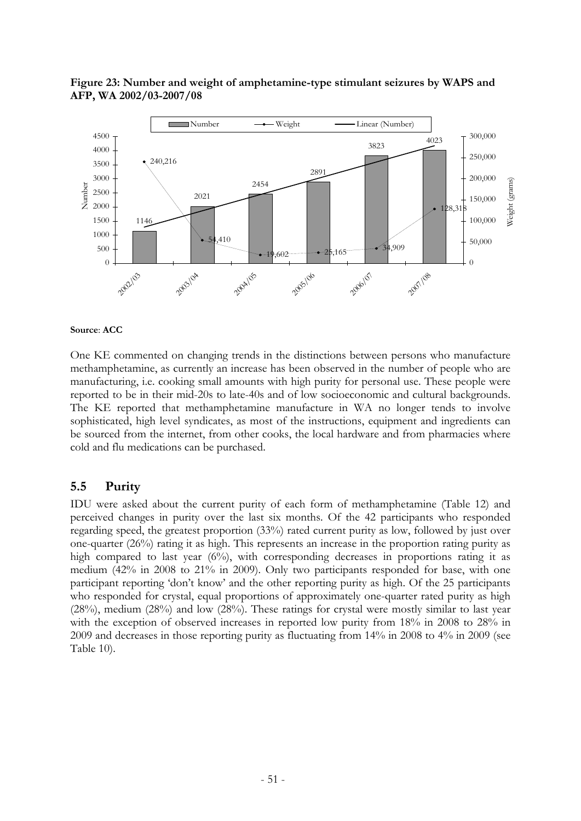

### **Figure 23: Number and weight of amphetamine-type stimulant seizures by WAPS and AFP, WA 2002/03-2007/08**

#### **Source**: **ACC**

One KE commented on changing trends in the distinctions between persons who manufacture methamphetamine, as currently an increase has been observed in the number of people who are manufacturing, i.e. cooking small amounts with high purity for personal use. These people were reported to be in their mid-20s to late-40s and of low socioeconomic and cultural backgrounds. The KE reported that methamphetamine manufacture in WA no longer tends to involve sophisticated, high level syndicates, as most of the instructions, equipment and ingredients can be sourced from the internet, from other cooks, the local hardware and from pharmacies where cold and flu medications can be purchased.

### **5.5 Purity**

IDU were asked about the current purity of each form of methamphetamine (Table 12) and perceived changes in purity over the last six months. Of the 42 participants who responded regarding speed, the greatest proportion (33%) rated current purity as low, followed by just over one-quarter (26%) rating it as high. This represents an increase in the proportion rating purity as high compared to last year (6%), with corresponding decreases in proportions rating it as medium (42% in 2008 to 21% in 2009). Only two participants responded for base, with one participant reporting 'don't know' and the other reporting purity as high. Of the 25 participants who responded for crystal, equal proportions of approximately one-quarter rated purity as high  $(28%)$ , medium  $(28%)$  and low  $(28%)$ . These ratings for crystal were mostly similar to last year with the exception of observed increases in reported low purity from 18% in 2008 to 28% in 2009 and decreases in those reporting purity as fluctuating from 14% in 2008 to 4% in 2009 (see Table 10).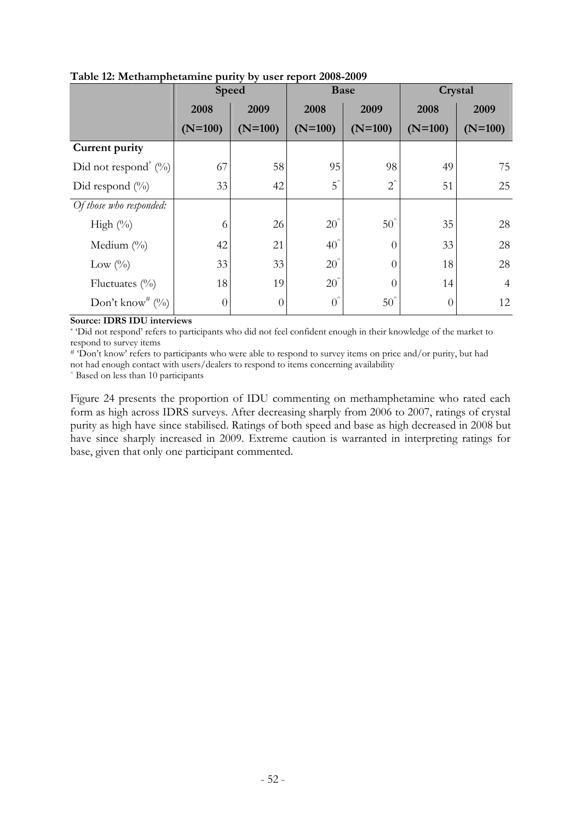|                                     | <b>Speed</b> |           | <b>Base</b>    |                | Crystal   |                |
|-------------------------------------|--------------|-----------|----------------|----------------|-----------|----------------|
|                                     | 2008         | 2009      | 2008           | 2009           | 2008      | 2009           |
|                                     | $(N=100)$    | $(N=100)$ | $(N=100)$      | $(N=100)$      | $(N=100)$ | $(N=100)$      |
| Current purity                      |              |           |                |                |           |                |
| Did not respond <sup>*</sup> $(\%)$ | 67           | 58        | 95             | 98             | 49        | 75             |
| Did respond $(\%)$                  | 33           | 42        | $5^{\degree}$  | $2^{\hat{}}$   | 51        | 25             |
| Of those who responded:             |              |           |                |                |           |                |
| High $(\%)$                         | 6            | 26        | $20^{\degree}$ | $50^\circ$     | 35        | 28             |
| Medium $(\%$                        | 42           | 21        | $40^{\degree}$ | $\overline{0}$ | 33        | 28             |
| Low $(\%)$                          | 33           | 33        | $20^{\degree}$ | $\theta$       | 18        | 28             |
| Fluctuates $(\%)$                   | 18           | 19        | $20^{\degree}$ | $\Omega$       | 14        | $\overline{4}$ |
| Don't know <sup>#</sup> $(\%)$      | $\theta$     | $\theta$  | $0^{\hat{}}$   | $50^{\degree}$ | $\theta$  | 12             |

**Table 12: Methamphetamine purity by user report 2008-2009** 

**Source: IDRS IDU interviews** 

\* 'Did not respond' refers to participants who did not feel confident enough in their knowledge of the market to respond to survey items

# 'Don't know' refers to participants who were able to respond to survey items on price and/or purity, but had

not had enough contact with users/dealers to respond to items concerning availability ^ Based on less than 10 participants

Figure 24 presents the proportion of IDU commenting on methamphetamine who rated each form as high across IDRS surveys. After decreasing sharply from 2006 to 2007, ratings of crystal purity as high have since stabilised. Ratings of both speed and base as high decreased in 2008 but have since sharply increased in 2009. Extreme caution is warranted in interpreting ratings for base, given that only one participant commented.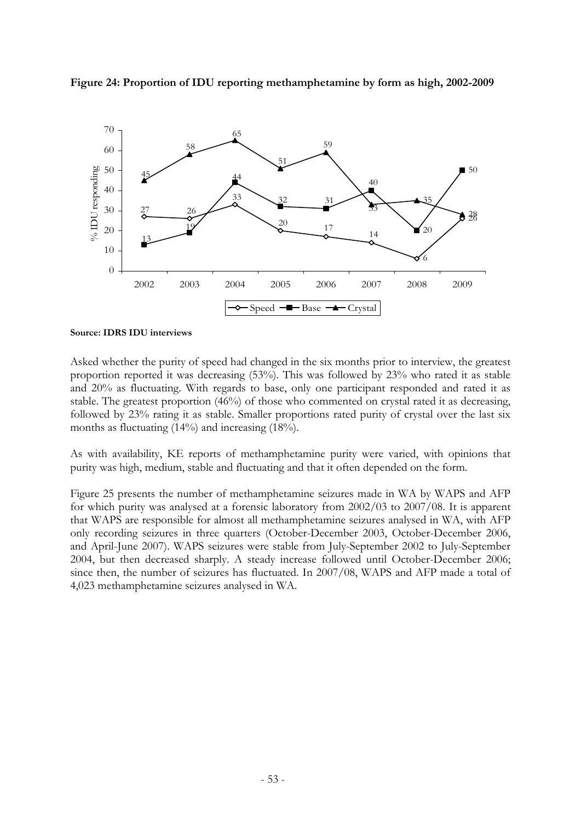



**Source: IDRS IDU interviews** 

Asked whether the purity of speed had changed in the six months prior to interview, the greatest proportion reported it was decreasing (53%). This was followed by 23% who rated it as stable and 20% as fluctuating. With regards to base, only one participant responded and rated it as stable. The greatest proportion (46%) of those who commented on crystal rated it as decreasing, followed by 23% rating it as stable. Smaller proportions rated purity of crystal over the last six months as fluctuating (14%) and increasing (18%).

As with availability, KE reports of methamphetamine purity were varied, with opinions that purity was high, medium, stable and fluctuating and that it often depended on the form.

Figure 25 presents the number of methamphetamine seizures made in WA by WAPS and AFP for which purity was analysed at a forensic laboratory from 2002/03 to 2007/08. It is apparent that WAPS are responsible for almost all methamphetamine seizures analysed in WA, with AFP only recording seizures in three quarters (October-December 2003, October-December 2006, and April-June 2007). WAPS seizures were stable from July-September 2002 to July-September 2004, but then decreased sharply. A steady increase followed until October-December 2006; since then, the number of seizures has fluctuated. In 2007/08, WAPS and AFP made a total of 4,023 methamphetamine seizures analysed in WA.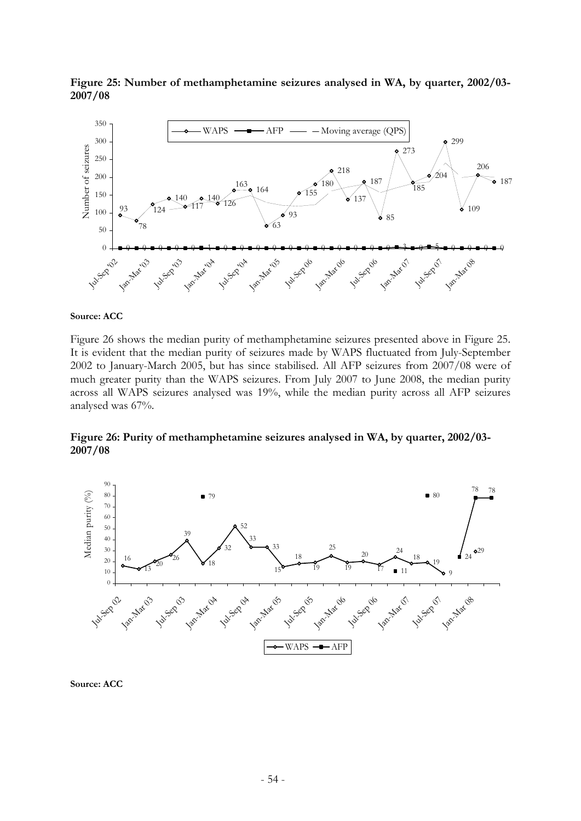

**Figure 25: Number of methamphetamine seizures analysed in WA, by quarter, 2002/03- 2007/08** 

#### **Source: ACC**

Figure 26 shows the median purity of methamphetamine seizures presented above in Figure 25. It is evident that the median purity of seizures made by WAPS fluctuated from July-September 2002 to January-March 2005, but has since stabilised. All AFP seizures from 2007/08 were of much greater purity than the WAPS seizures. From July 2007 to June 2008, the median purity across all WAPS seizures analysed was 19%, while the median purity across all AFP seizures analysed was 67%.

**Figure 26: Purity of methamphetamine seizures analysed in WA, by quarter, 2002/03- 2007/08** 



**Source: ACC**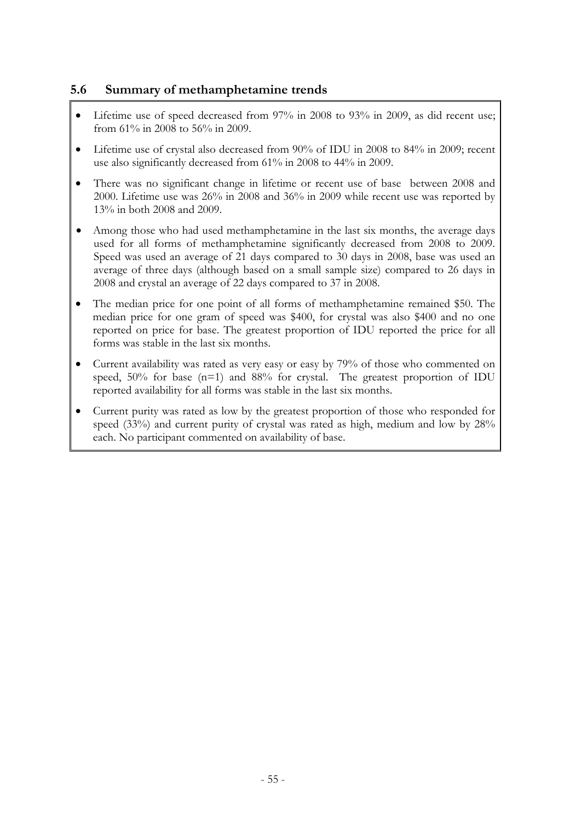# **5.6 Summary of methamphetamine trends**

- Lifetime use of speed decreased from 97% in 2008 to 93% in 2009, as did recent use; from 61% in 2008 to 56% in 2009.
- Lifetime use of crystal also decreased from 90% of IDU in 2008 to 84% in 2009; recent use also significantly decreased from 61% in 2008 to 44% in 2009.
- There was no significant change in lifetime or recent use of base between 2008 and 2000. Lifetime use was 26% in 2008 and 36% in 2009 while recent use was reported by 13% in both 2008 and 2009.
- Among those who had used methamphetamine in the last six months, the average days used for all forms of methamphetamine significantly decreased from 2008 to 2009. Speed was used an average of 21 days compared to 30 days in 2008, base was used an average of three days (although based on a small sample size) compared to 26 days in 2008 and crystal an average of 22 days compared to 37 in 2008.
- The median price for one point of all forms of methamphetamine remained \$50. The median price for one gram of speed was \$400, for crystal was also \$400 and no one reported on price for base. The greatest proportion of IDU reported the price for all forms was stable in the last six months.
- Current availability was rated as very easy or easy by 79% of those who commented on speed, 50% for base (n=1) and 88% for crystal. The greatest proportion of IDU reported availability for all forms was stable in the last six months.
- Current purity was rated as low by the greatest proportion of those who responded for speed (33%) and current purity of crystal was rated as high, medium and low by 28% each. No participant commented on availability of base.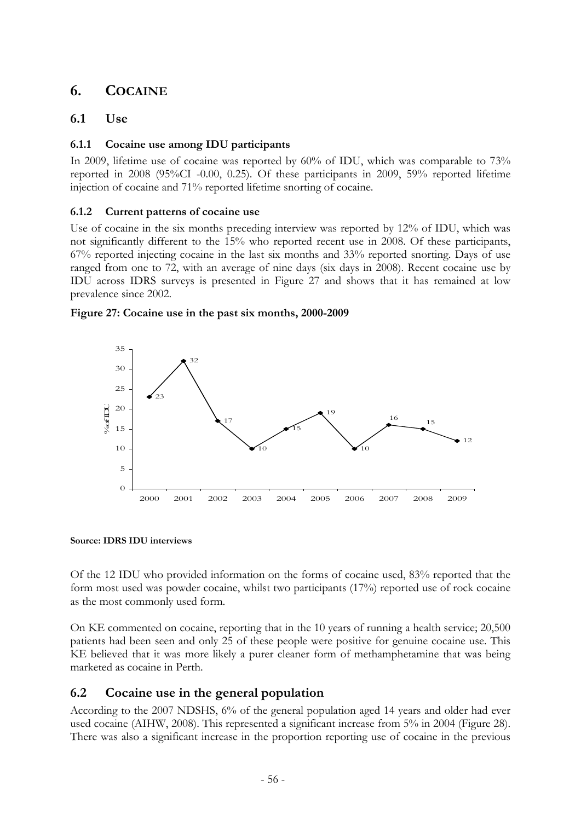# **6. COCAINE**

# **6.1 Use**

### **6.1.1 Cocaine use among IDU participants**

In 2009, lifetime use of cocaine was reported by 60% of IDU, which was comparable to 73% reported in 2008 (95%CI -0.00, 0.25). Of these participants in 2009, 59% reported lifetime injection of cocaine and 71% reported lifetime snorting of cocaine.

### **6.1.2 Current patterns of cocaine use**

Use of cocaine in the six months preceding interview was reported by 12% of IDU, which was not significantly different to the 15% who reported recent use in 2008. Of these participants, 67% reported injecting cocaine in the last six months and 33% reported snorting. Days of use ranged from one to 72, with an average of nine days (six days in 2008). Recent cocaine use by IDU across IDRS surveys is presented in Figure 27 and shows that it has remained at low prevalence since 2002.





**Source: IDRS IDU interviews** 

Of the 12 IDU who provided information on the forms of cocaine used, 83% reported that the form most used was powder cocaine, whilst two participants (17%) reported use of rock cocaine as the most commonly used form.

On KE commented on cocaine, reporting that in the 10 years of running a health service; 20,500 patients had been seen and only 25 of these people were positive for genuine cocaine use. This KE believed that it was more likely a purer cleaner form of methamphetamine that was being marketed as cocaine in Perth.

# **6.2 Cocaine use in the general population**

According to the 2007 NDSHS, 6% of the general population aged 14 years and older had ever used cocaine (AIHW, 2008). This represented a significant increase from 5% in 2004 (Figure 28). There was also a significant increase in the proportion reporting use of cocaine in the previous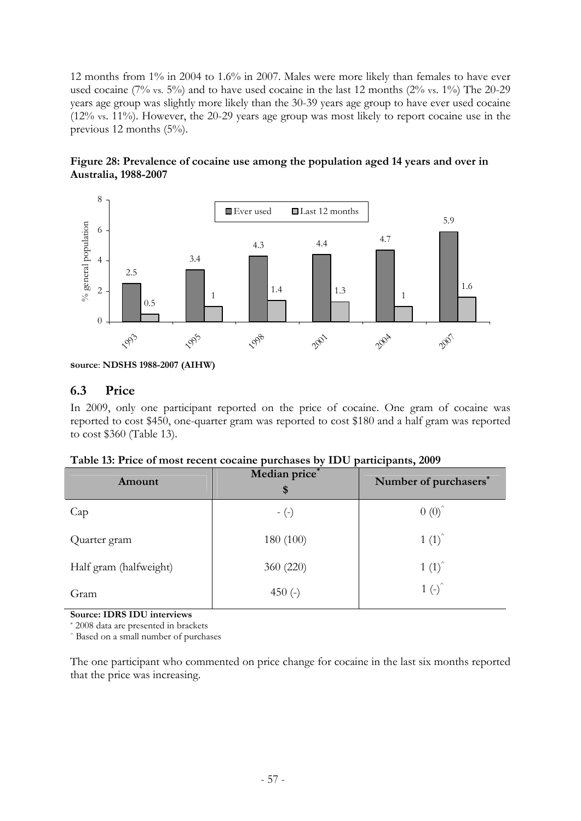12 months from 1% in 2004 to 1.6% in 2007. Males were more likely than females to have ever used cocaine (7% vs. 5%) and to have used cocaine in the last 12 months (2% vs. 1%) The 20-29 years age group was slightly more likely than the 30-39 years age group to have ever used cocaine (12% vs. 11%). However, the 20-29 years age group was most likely to report cocaine use in the previous 12 months (5%).





### **6.3 Price**

In 2009, only one participant reported on the price of cocaine. One gram of cocaine was reported to cost \$450, one-quarter gram was reported to cost \$180 and a half gram was reported to cost \$360 (Table 13).

| Table 13: Price of most recent cocaine purchases by IDU participants, 2009 |  |  |  |  |  |
|----------------------------------------------------------------------------|--|--|--|--|--|
|----------------------------------------------------------------------------|--|--|--|--|--|

| Amount                 | Median price*<br>\$ | Number of purchasers <sup>*</sup>      |
|------------------------|---------------------|----------------------------------------|
| Cap                    | $-(-)$              | $0(0)^{\hat{ }}$                       |
| Quarter gram           | 180 (100)           | $1(1)^{^{\wedge}}$                     |
| Half gram (halfweight) | 360 (220)           | $1(1)^{\hat{ }}$                       |
| Gram                   | 450 $(-)$           | $1$ (-) <sup><math>\hat{}</math></sup> |

**Source: IDRS IDU interviews** 

\* 2008 data are presented in brackets

^ Based on a small number of purchases

The one participant who commented on price change for cocaine in the last six months reported that the price was increasing.

**source**: **NDSHS 1988-2007 (AIHW)**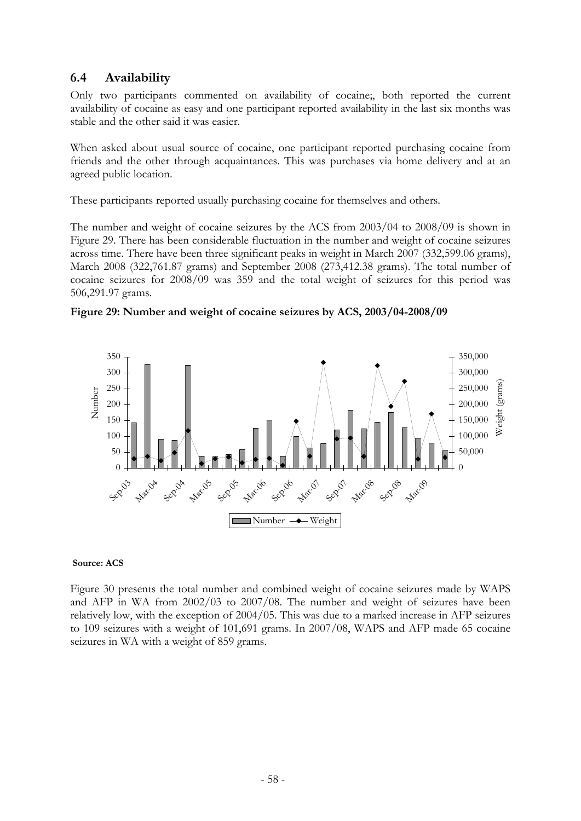# **6.4 Availability**

Only two participants commented on availability of cocaine;, both reported the current availability of cocaine as easy and one participant reported availability in the last six months was stable and the other said it was easier.

When asked about usual source of cocaine, one participant reported purchasing cocaine from friends and the other through acquaintances. This was purchases via home delivery and at an agreed public location.

These participants reported usually purchasing cocaine for themselves and others.

The number and weight of cocaine seizures by the ACS from 2003/04 to 2008/09 is shown in Figure 29. There has been considerable fluctuation in the number and weight of cocaine seizures across time. There have been three significant peaks in weight in March 2007 (332,599.06 grams), March 2008 (322,761.87 grams) and September 2008 (273,412.38 grams). The total number of cocaine seizures for 2008/09 was 359 and the total weight of seizures for this period was 506,291.97 grams.





### **Source: ACS**

Figure 30 presents the total number and combined weight of cocaine seizures made by WAPS and AFP in WA from 2002/03 to 2007/08. The number and weight of seizures have been relatively low, with the exception of 2004/05. This was due to a marked increase in AFP seizures to 109 seizures with a weight of 101,691 grams. In 2007/08, WAPS and AFP made 65 cocaine seizures in WA with a weight of 859 grams.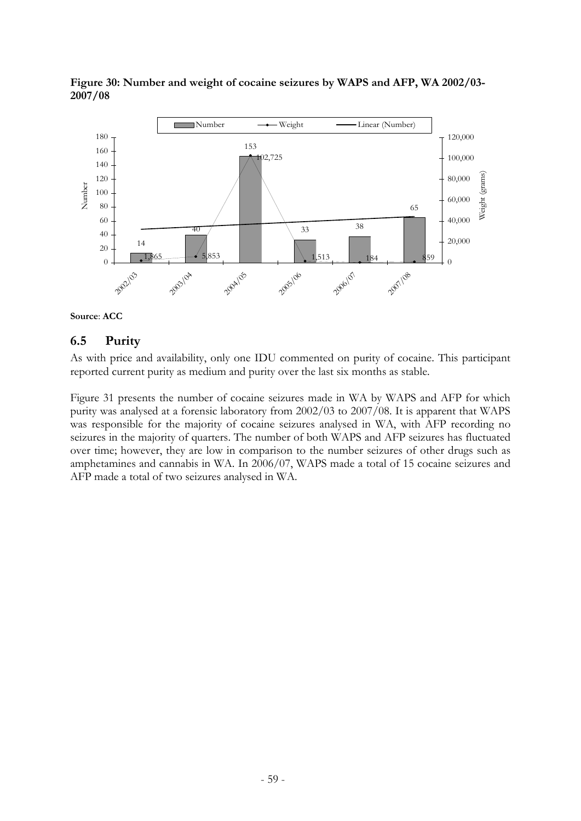

**Figure 30: Number and weight of cocaine seizures by WAPS and AFP, WA 2002/03- 2007/08** 



### **6.5 Purity**

As with price and availability, only one IDU commented on purity of cocaine. This participant reported current purity as medium and purity over the last six months as stable.

Figure 31 presents the number of cocaine seizures made in WA by WAPS and AFP for which purity was analysed at a forensic laboratory from 2002/03 to 2007/08. It is apparent that WAPS was responsible for the majority of cocaine seizures analysed in WA, with AFP recording no seizures in the majority of quarters. The number of both WAPS and AFP seizures has fluctuated over time; however, they are low in comparison to the number seizures of other drugs such as amphetamines and cannabis in WA. In 2006/07, WAPS made a total of 15 cocaine seizures and AFP made a total of two seizures analysed in WA.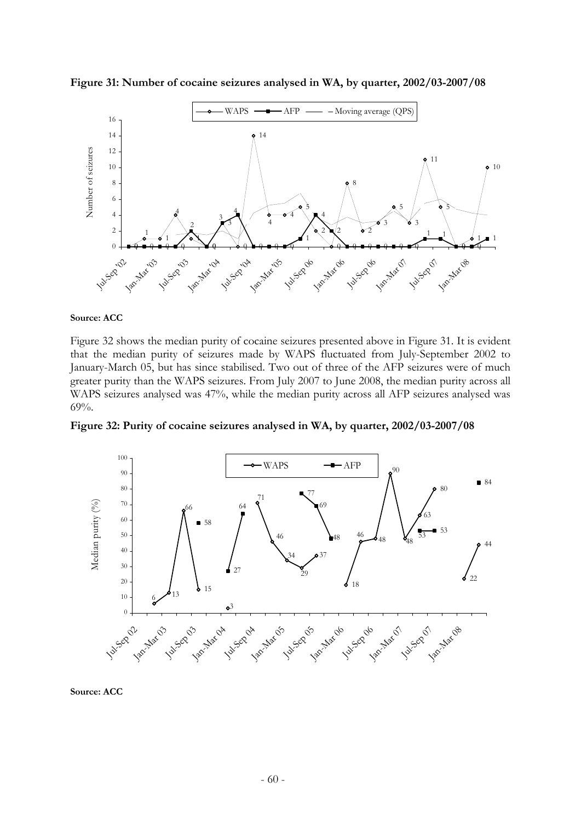

**Figure 31: Number of cocaine seizures analysed in WA, by quarter, 2002/03-2007/08** 

#### **Source: ACC**

Figure 32 shows the median purity of cocaine seizures presented above in Figure 31. It is evident that the median purity of seizures made by WAPS fluctuated from July-September 2002 to January-March 05, but has since stabilised. Two out of three of the AFP seizures were of much greater purity than the WAPS seizures. From July 2007 to June 2008, the median purity across all WAPS seizures analysed was 47%, while the median purity across all AFP seizures analysed was 69%.

**Figure 32: Purity of cocaine seizures analysed in WA, by quarter, 2002/03-2007/08** 



**Source: ACC**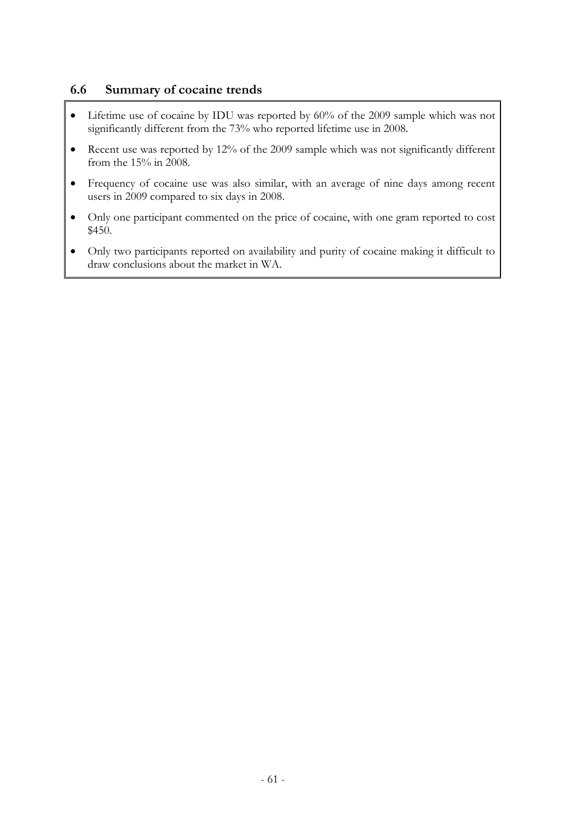# **6.6 Summary of cocaine trends**

- Lifetime use of cocaine by IDU was reported by 60% of the 2009 sample which was not significantly different from the 73% who reported lifetime use in 2008.
- Recent use was reported by 12% of the 2009 sample which was not significantly different from the 15% in 2008.
- Frequency of cocaine use was also similar, with an average of nine days among recent users in 2009 compared to six days in 2008.
- Only one participant commented on the price of cocaine, with one gram reported to cost \$450.
- Only two participants reported on availability and purity of cocaine making it difficult to draw conclusions about the market in WA.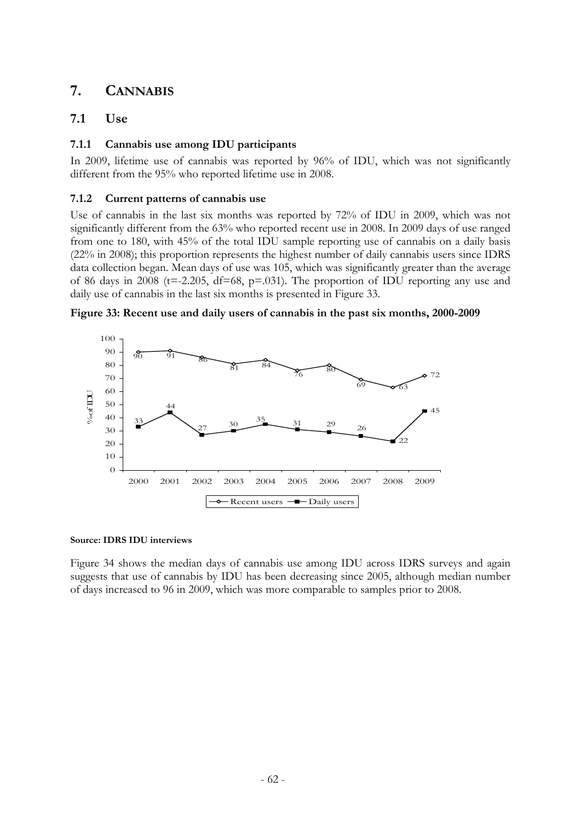# **7. CANNABIS**

# **7.1 Use**

### **7.1.1 Cannabis use among IDU participants**

In 2009, lifetime use of cannabis was reported by 96% of IDU, which was not significantly different from the 95% who reported lifetime use in 2008.

### **7.1.2 Current patterns of cannabis use**

Use of cannabis in the last six months was reported by 72% of IDU in 2009, which was not significantly different from the 63% who reported recent use in 2008. In 2009 days of use ranged from one to 180, with 45% of the total IDU sample reporting use of cannabis on a daily basis (22% in 2008); this proportion represents the highest number of daily cannabis users since IDRS data collection began. Mean days of use was 105, which was significantly greater than the average of 86 days in 2008 ( $t=-2.205$ ,  $df=68$ ,  $p=.031$ ). The proportion of IDU reporting any use and daily use of cannabis in the last six months is presented in Figure 33.





### **Source: IDRS IDU interviews**

Figure 34 shows the median days of cannabis use among IDU across IDRS surveys and again suggests that use of cannabis by IDU has been decreasing since 2005, although median number of days increased to 96 in 2009, which was more comparable to samples prior to 2008.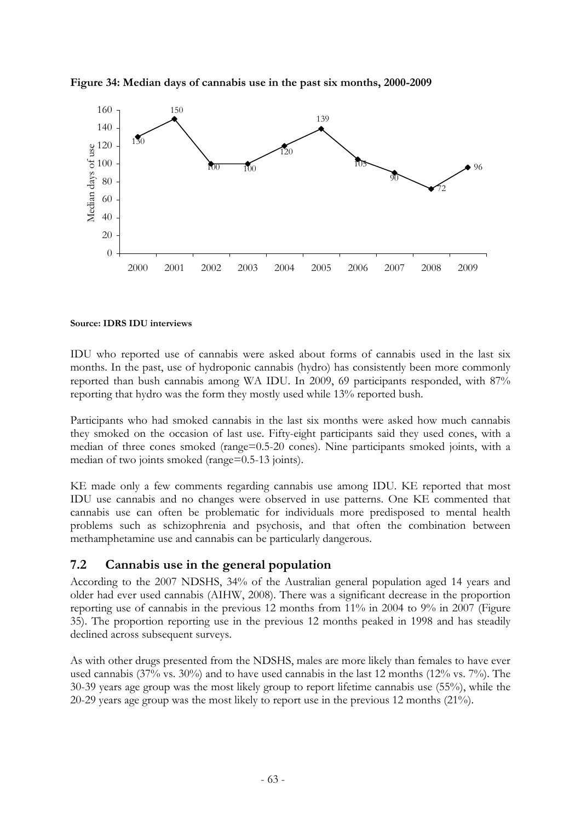

**Figure 34: Median days of cannabis use in the past six months, 2000-2009** 

### **Source: IDRS IDU interviews**

IDU who reported use of cannabis were asked about forms of cannabis used in the last six months. In the past, use of hydroponic cannabis (hydro) has consistently been more commonly reported than bush cannabis among WA IDU. In 2009, 69 participants responded, with 87% reporting that hydro was the form they mostly used while 13% reported bush.

Participants who had smoked cannabis in the last six months were asked how much cannabis they smoked on the occasion of last use. Fifty-eight participants said they used cones, with a median of three cones smoked (range=0.5-20 cones). Nine participants smoked joints, with a median of two joints smoked (range=0.5-13 joints).

KE made only a few comments regarding cannabis use among IDU. KE reported that most IDU use cannabis and no changes were observed in use patterns. One KE commented that cannabis use can often be problematic for individuals more predisposed to mental health problems such as schizophrenia and psychosis, and that often the combination between methamphetamine use and cannabis can be particularly dangerous.

# **7.2 Cannabis use in the general population**

According to the 2007 NDSHS, 34% of the Australian general population aged 14 years and older had ever used cannabis (AIHW, 2008). There was a significant decrease in the proportion reporting use of cannabis in the previous 12 months from 11% in 2004 to 9% in 2007 (Figure 35). The proportion reporting use in the previous 12 months peaked in 1998 and has steadily declined across subsequent surveys.

As with other drugs presented from the NDSHS, males are more likely than females to have ever used cannabis (37% vs. 30%) and to have used cannabis in the last 12 months (12% vs. 7%). The 30-39 years age group was the most likely group to report lifetime cannabis use (55%), while the 20-29 years age group was the most likely to report use in the previous 12 months (21%).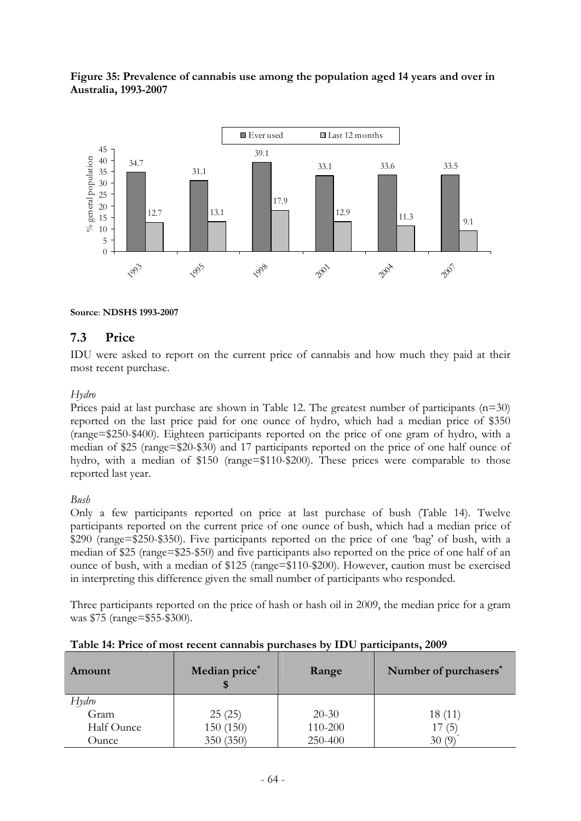



### **Source**: **NDSHS 1993-2007**

### **7.3 Price**

IDU were asked to report on the current price of cannabis and how much they paid at their most recent purchase.

### *Hydro*

Prices paid at last purchase are shown in Table 12. The greatest number of participants  $(n=30)$ reported on the last price paid for one ounce of hydro, which had a median price of \$350 (range=\$250-\$400). Eighteen participants reported on the price of one gram of hydro, with a median of \$25 (range=\$20-\$30) and 17 participants reported on the price of one half ounce of hydro, with a median of \$150 (range=\$110-\$200). These prices were comparable to those reported last year.

### *Bush*

Only a few participants reported on price at last purchase of bush (Table 14). Twelve participants reported on the current price of one ounce of bush, which had a median price of \$290 (range=\$250-\$350). Five participants reported on the price of one 'bag' of bush, with a median of \$25 (range=\$25-\$50) and five participants also reported on the price of one half of an ounce of bush, with a median of \$125 (range=\$110-\$200). However, caution must be exercised in interpreting this difference given the small number of participants who responded.

Three participants reported on the price of hash or hash oil in 2009, the median price for a gram was \$75 (range=\$55-\$300).

| Amount     | Median price* | Range     | Number of purchasers* |
|------------|---------------|-----------|-----------------------|
| Hydro      |               |           |                       |
| Gram       | 25(25)        | $20 - 30$ | 18(11)                |
| Half Ounce | 150(150)      | 110-200   | 17(5)                 |
| Ounce      | 350 (350)     | 250-400   | 30(9)                 |

### **Table 14: Price of most recent cannabis purchases by IDU participants, 2009**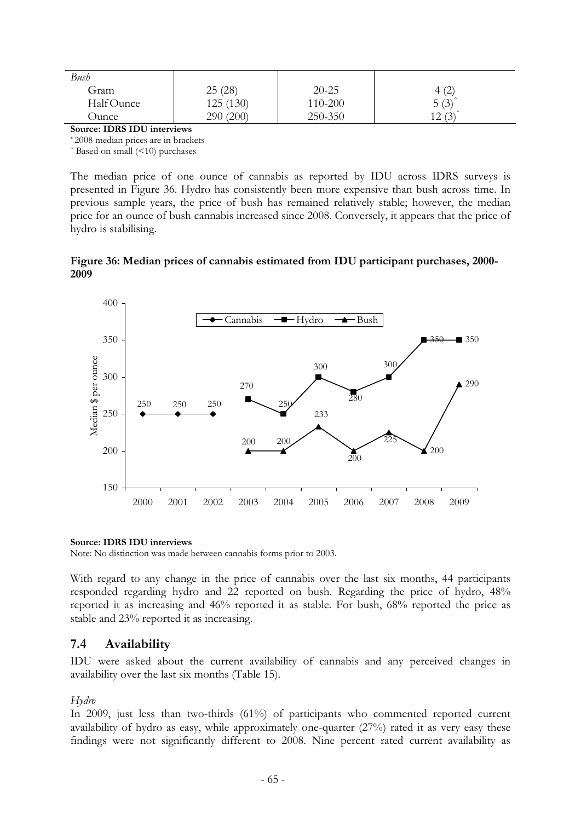| Bush       |           |           |                             |
|------------|-----------|-----------|-----------------------------|
| Gram       | 25(28)    | $20 - 25$ | $\overline{4}$<br>└         |
| Half Ounce | 125 (130) | 110-200   | $5(3)^{^{\degree}}$         |
| Ounce      | 290(200)  | 250-350   | 12. $(2)^{^{\circ}}$<br>1/2 |

**Source: IDRS IDU interviews** 

\* 2008 median prices are in brackets

 $\hat{\ }$  Based on small ( $\leq$ 10) purchases

The median price of one ounce of cannabis as reported by IDU across IDRS surveys is presented in Figure 36. Hydro has consistently been more expensive than bush across time. In previous sample years, the price of bush has remained relatively stable; however, the median price for an ounce of bush cannabis increased since 2008. Conversely, it appears that the price of hydro is stabilising.

**Figure 36: Median prices of cannabis estimated from IDU participant purchases, 2000- 2009** 



#### **Source: IDRS IDU interviews**

Note: No distinction was made between cannabis forms prior to 2003.

With regard to any change in the price of cannabis over the last six months, 44 participants responded regarding hydro and 22 reported on bush. Regarding the price of hydro, 48% reported it as increasing and 46% reported it as stable. For bush, 68% reported the price as stable and 23% reported it as increasing.

### **7.4 Availability**

IDU were asked about the current availability of cannabis and any perceived changes in availability over the last six months (Table 15).

### *Hydro*

In 2009, just less than two-thirds (61%) of participants who commented reported current availability of hydro as easy, while approximately one-quarter (27%) rated it as very easy these findings were not significantly different to 2008. Nine percent rated current availability as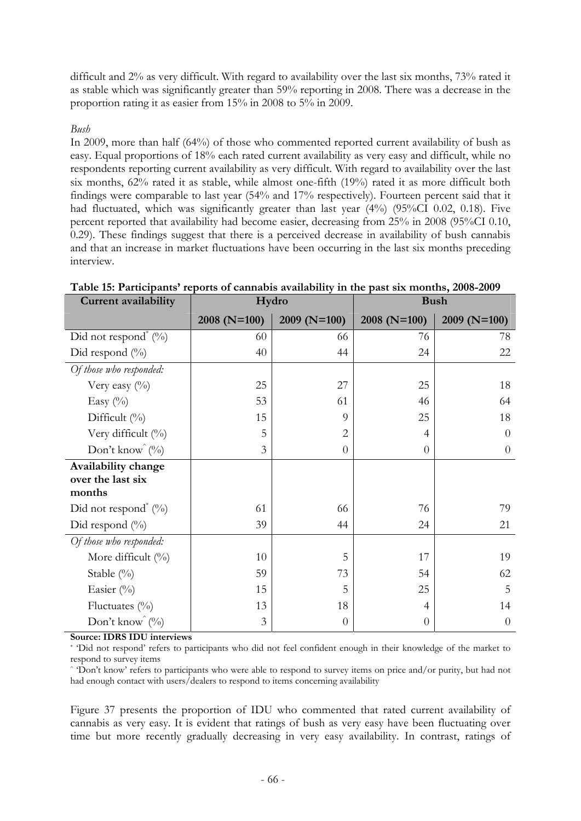difficult and 2% as very difficult. With regard to availability over the last six months, 73% rated it as stable which was significantly greater than 59% reporting in 2008. There was a decrease in the proportion rating it as easier from 15% in 2008 to 5% in 2009.

### *Bush*

In 2009, more than half (64%) of those who commented reported current availability of bush as easy. Equal proportions of 18% each rated current availability as very easy and difficult, while no respondents reporting current availability as very difficult. With regard to availability over the last six months, 62% rated it as stable, while almost one-fifth (19%) rated it as more difficult both findings were comparable to last year (54% and 17% respectively). Fourteen percent said that it had fluctuated, which was significantly greater than last year (4%) (95%CI 0.02, 0.18). Five percent reported that availability had become easier, decreasing from 25% in 2008 (95%CI 0.10, 0.29). These findings suggest that there is a perceived decrease in availability of bush cannabis and that an increase in market fluctuations have been occurring in the last six months preceding interview.

| Current availability                               | Hydro        |                | <b>Bush</b>    |                |
|----------------------------------------------------|--------------|----------------|----------------|----------------|
|                                                    | 2008 (N=100) | $2009(N=100)$  | $2008$ (N=100) | $2009$ (N=100) |
| Did not respond <sup>*</sup> $(^{0}/_{0})$         | 60           | 66             | 76             | 78             |
| Did respond $(\%)$                                 | 40           | 44             | 24             | 22             |
| Of those who responded:                            |              |                |                |                |
| Very easy $(\%)$                                   | 25           | 27             | 25             | 18             |
| Easy $(\%)$                                        | 53           | 61             | 46             | 64             |
| Difficult $(\% )$                                  | 15           | 9              | 25             | 18             |
| Very difficult (%)                                 | 5            | $\overline{2}$ | 4              | $\theta$       |
| Don't know $(\%)$                                  | 3            | $\theta$       | $\theta$       | $\theta$       |
| Availability change<br>over the last six<br>months |              |                |                |                |
| Did not respond <sup>*</sup> $(\%)$                | 61           | 66             | 76             | 79             |
| Did respond $(\%)$                                 | 39           | 44             | 24             | 21             |
| Of those who responded:                            |              |                |                |                |
| More difficult $(\%)$                              | 10           | 5              | 17             | 19             |
| Stable $(\%)$                                      | 59           | 73             | 54             | 62             |
| Easier $(\%)$                                      | 15           | 5              | 25             | 5              |
| Fluctuates $(\%)$                                  | 13           | 18             | 4              | 14             |
| Don't know $(\%)$                                  | 3            | $\theta$       | $\theta$       | $\theta$       |

**Table 15: Participants' reports of cannabis availability in the past six months, 2008-2009** 

**Source: IDRS IDU interviews** 

\* 'Did not respond' refers to participants who did not feel confident enough in their knowledge of the market to respond to survey items

^ 'Don't know' refers to participants who were able to respond to survey items on price and/or purity, but had not had enough contact with users/dealers to respond to items concerning availability

Figure 37 presents the proportion of IDU who commented that rated current availability of cannabis as very easy. It is evident that ratings of bush as very easy have been fluctuating over time but more recently gradually decreasing in very easy availability. In contrast, ratings of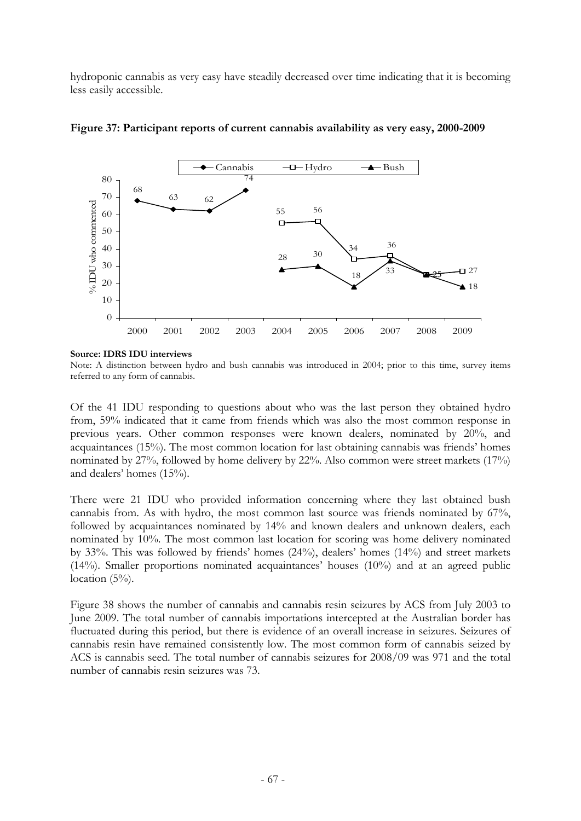hydroponic cannabis as very easy have steadily decreased over time indicating that it is becoming less easily accessible.



**Figure 37: Participant reports of current cannabis availability as very easy, 2000-2009** 

#### **Source: IDRS IDU interviews**

Note: A distinction between hydro and bush cannabis was introduced in 2004; prior to this time, survey items referred to any form of cannabis.

Of the 41 IDU responding to questions about who was the last person they obtained hydro from, 59% indicated that it came from friends which was also the most common response in previous years. Other common responses were known dealers, nominated by 20%, and acquaintances (15%). The most common location for last obtaining cannabis was friends' homes nominated by 27%, followed by home delivery by 22%. Also common were street markets (17%) and dealers' homes (15%).

There were 21 IDU who provided information concerning where they last obtained bush cannabis from. As with hydro, the most common last source was friends nominated by 67%, followed by acquaintances nominated by 14% and known dealers and unknown dealers, each nominated by 10%. The most common last location for scoring was home delivery nominated by 33%. This was followed by friends' homes (24%), dealers' homes (14%) and street markets (14%). Smaller proportions nominated acquaintances' houses (10%) and at an agreed public location  $(5\%)$ .

Figure 38 shows the number of cannabis and cannabis resin seizures by ACS from July 2003 to June 2009. The total number of cannabis importations intercepted at the Australian border has fluctuated during this period, but there is evidence of an overall increase in seizures. Seizures of cannabis resin have remained consistently low. The most common form of cannabis seized by ACS is cannabis seed. The total number of cannabis seizures for 2008/09 was 971 and the total number of cannabis resin seizures was 73.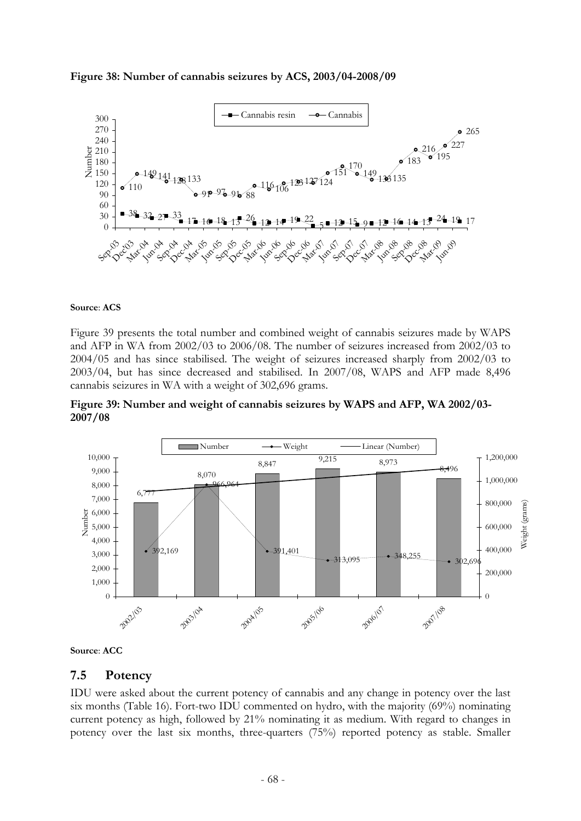**Figure 38: Number of cannabis seizures by ACS, 2003/04-2008/09** 



#### **Source**: **ACS**

Figure 39 presents the total number and combined weight of cannabis seizures made by WAPS and AFP in WA from 2002/03 to 2006/08. The number of seizures increased from 2002/03 to 2004/05 and has since stabilised. The weight of seizures increased sharply from 2002/03 to 2003/04, but has since decreased and stabilised. In 2007/08, WAPS and AFP made 8,496 cannabis seizures in WA with a weight of 302,696 grams.







### **7.5 Potency**

IDU were asked about the current potency of cannabis and any change in potency over the last six months (Table 16). Fort-two IDU commented on hydro, with the majority (69%) nominating current potency as high, followed by 21% nominating it as medium. With regard to changes in potency over the last six months, three-quarters (75%) reported potency as stable. Smaller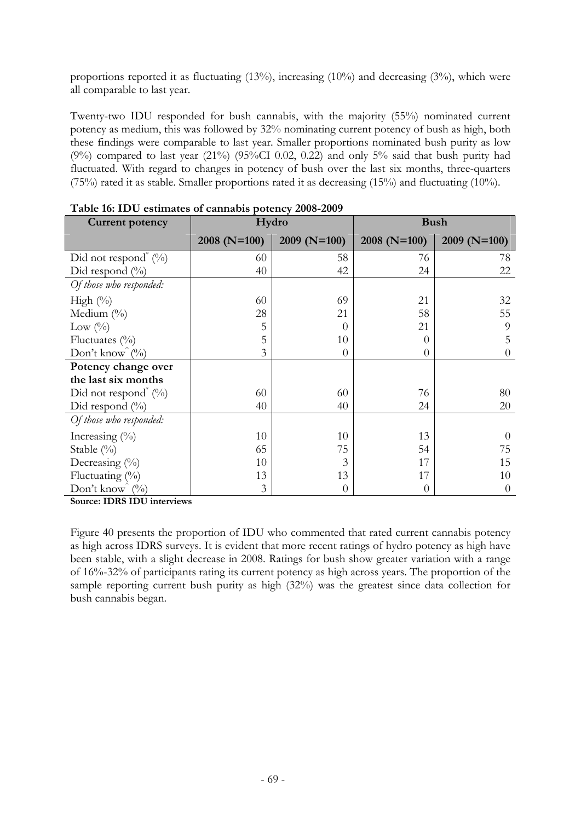proportions reported it as fluctuating  $(13\%)$ , increasing  $(10\%)$  and decreasing  $(3\%)$ , which were all comparable to last year.

Twenty-two IDU responded for bush cannabis, with the majority (55%) nominated current potency as medium, this was followed by 32% nominating current potency of bush as high, both these findings were comparable to last year. Smaller proportions nominated bush purity as low (9%) compared to last year (21%) (95%CI 0.02, 0.22) and only 5% said that bush purity had fluctuated. With regard to changes in potency of bush over the last six months, three-quarters (75%) rated it as stable. Smaller proportions rated it as decreasing (15%) and fluctuating (10%).

| <b>Current potency</b>                     | $\ddotsc$ of $\ddotsc$ of $\ddotsc$ $\ddotsc$<br>Hydro | PORTIC'S HOOD HOOD | <b>Bush</b>   |                |
|--------------------------------------------|--------------------------------------------------------|--------------------|---------------|----------------|
|                                            | $2008$ (N=100)                                         | $2009(N=100)$      | $2008(N=100)$ | $2009$ (N=100) |
| Did not respond <sup>*</sup> $(^{0}/_{0})$ | 60                                                     | 58                 | 76            | 78             |
| Did respond $(\%)$                         | 40                                                     | 42                 | 24            | 22             |
| Of those who responded:                    |                                                        |                    |               |                |
| High $(\%)$                                | 60                                                     | 69                 | 21            | 32             |
| Medium $(\%)$                              | 28                                                     | 21                 | 58            | 55             |
| Low $(^{0}_{0})$                           | 5                                                      | $\Omega$           | 21            | 9              |
| Fluctuates $(\%)$                          | 5                                                      | 10                 | $\Omega$      | 5              |
| Don't know $\hat{v}_0$                     | 3                                                      | $\theta$           | $\Omega$      | $\Omega$       |
| Potency change over                        |                                                        |                    |               |                |
| the last six months                        |                                                        |                    |               |                |
| Did not respond <sup>*</sup> $(\%)$        | 60                                                     | 60                 | 76            | 80             |
| Did respond $(\%)$                         | 40                                                     | 40                 | 24            | 20             |
| Of those who responded:                    |                                                        |                    |               |                |
| Increasing (%)                             | 10                                                     | 10                 | 13            | $\Omega$       |
| Stable (%)                                 | 65                                                     | 75                 | 54            | 75             |
| Decreasing (%)                             | 10                                                     | 3                  | 17            | 15             |
| Fluctuating (%)                            | 13                                                     | 13                 | 17            | 10             |
| Don't know<br>(0/0)<br>TDDQTDTI            | 3                                                      | $\overline{0}$     | $\Omega$      | $\Omega$       |

**Table 16: IDU estimates of cannabis potency 2008-2009** 

**Source: IDRS IDU interviews** 

Figure 40 presents the proportion of IDU who commented that rated current cannabis potency as high across IDRS surveys. It is evident that more recent ratings of hydro potency as high have been stable, with a slight decrease in 2008. Ratings for bush show greater variation with a range of 16%-32% of participants rating its current potency as high across years. The proportion of the sample reporting current bush purity as high (32%) was the greatest since data collection for bush cannabis began.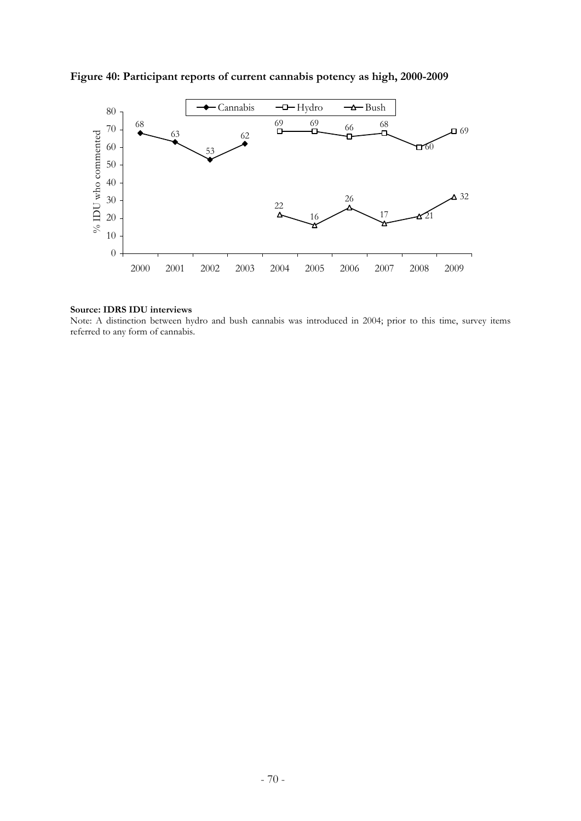

**Figure 40: Participant reports of current cannabis potency as high, 2000-2009** 

#### **Source: IDRS IDU interviews**

Note: A distinction between hydro and bush cannabis was introduced in 2004; prior to this time, survey items referred to any form of cannabis.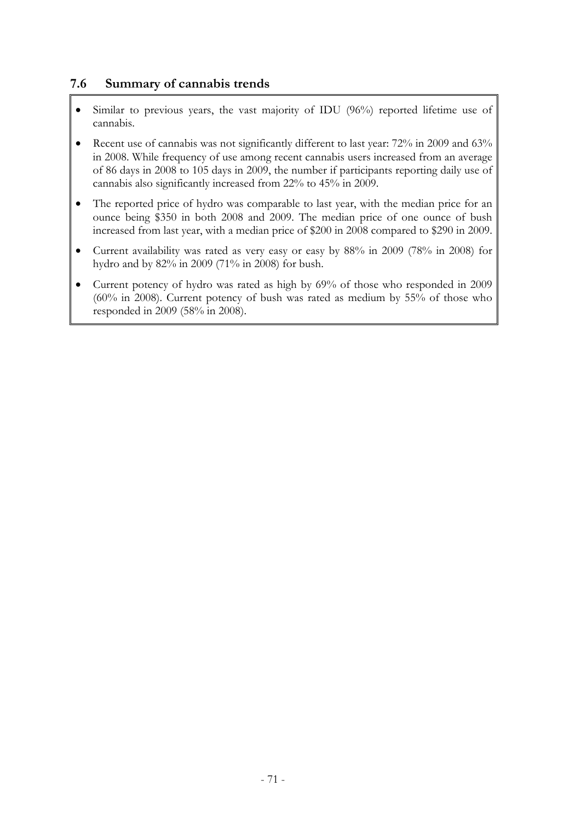# **7.6 Summary of cannabis trends**

- Similar to previous years, the vast majority of IDU (96%) reported lifetime use of cannabis.
- Recent use of cannabis was not significantly different to last year: 72% in 2009 and 63% in 2008. While frequency of use among recent cannabis users increased from an average of 86 days in 2008 to 105 days in 2009, the number if participants reporting daily use of cannabis also significantly increased from 22% to 45% in 2009.
- The reported price of hydro was comparable to last year, with the median price for an ounce being \$350 in both 2008 and 2009. The median price of one ounce of bush increased from last year, with a median price of \$200 in 2008 compared to \$290 in 2009.
- Current availability was rated as very easy or easy by 88% in 2009 (78% in 2008) for hydro and by 82% in 2009 (71% in 2008) for bush.
- Current potency of hydro was rated as high by 69% of those who responded in 2009 (60% in 2008). Current potency of bush was rated as medium by 55% of those who responded in 2009 (58% in 2008).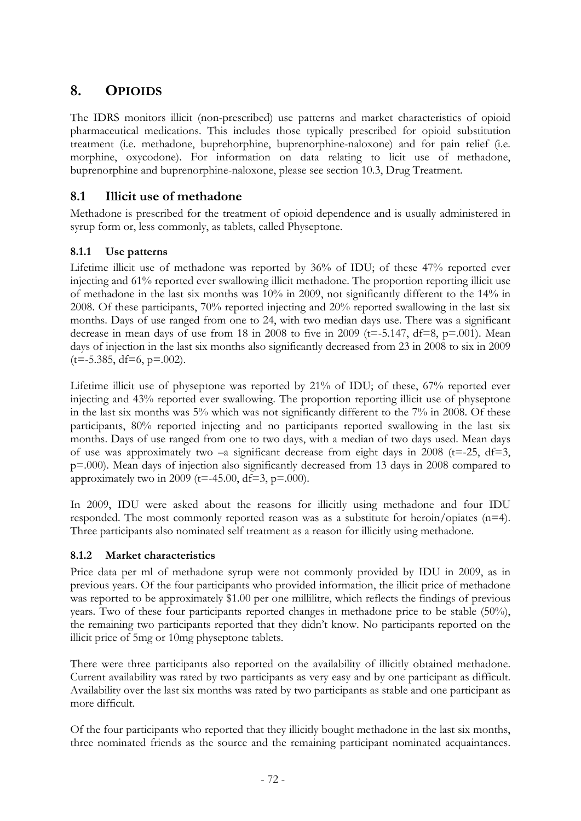# **8. OPIOIDS**

The IDRS monitors illicit (non-prescribed) use patterns and market characteristics of opioid pharmaceutical medications. This includes those typically prescribed for opioid substitution treatment (i.e. methadone, buprehorphine, buprenorphine-naloxone) and for pain relief (i.e. morphine, oxycodone). For information on data relating to licit use of methadone, buprenorphine and buprenorphine-naloxone, please see section 10.3, Drug Treatment.

# **8.1 Illicit use of methadone**

Methadone is prescribed for the treatment of opioid dependence and is usually administered in syrup form or, less commonly, as tablets, called Physeptone.

# **8.1.1 Use patterns**

Lifetime illicit use of methadone was reported by 36% of IDU; of these 47% reported ever injecting and 61% reported ever swallowing illicit methadone. The proportion reporting illicit use of methadone in the last six months was 10% in 2009, not significantly different to the 14% in 2008. Of these participants, 70% reported injecting and 20% reported swallowing in the last six months. Days of use ranged from one to 24, with two median days use. There was a significant decrease in mean days of use from 18 in 2008 to five in 2009 ( $t=$ -5.147,  $df=8$ ,  $p=$ .001). Mean days of injection in the last six months also significantly decreased from 23 in 2008 to six in 2009  $(t=-5.385, df=6, p=.002)$ .

Lifetime illicit use of physeptone was reported by 21% of IDU; of these, 67% reported ever injecting and 43% reported ever swallowing. The proportion reporting illicit use of physeptone in the last six months was 5% which was not significantly different to the 7% in 2008. Of these participants, 80% reported injecting and no participants reported swallowing in the last six months. Days of use ranged from one to two days, with a median of two days used. Mean days of use was approximately two  $-a$  significant decrease from eight days in 2008 (t=-25, df=3, p=.000). Mean days of injection also significantly decreased from 13 days in 2008 compared to approximately two in 2009 (t=-45.00, df=3,  $p=000$ ).

In 2009, IDU were asked about the reasons for illicitly using methadone and four IDU responded. The most commonly reported reason was as a substitute for heroin/opiates (n=4). Three participants also nominated self treatment as a reason for illicitly using methadone.

## **8.1.2 Market characteristics**

Price data per ml of methadone syrup were not commonly provided by IDU in 2009, as in previous years. Of the four participants who provided information, the illicit price of methadone was reported to be approximately \$1.00 per one millilitre, which reflects the findings of previous years. Two of these four participants reported changes in methadone price to be stable (50%), the remaining two participants reported that they didn't know. No participants reported on the illicit price of 5mg or 10mg physeptone tablets.

There were three participants also reported on the availability of illicitly obtained methadone. Current availability was rated by two participants as very easy and by one participant as difficult. Availability over the last six months was rated by two participants as stable and one participant as more difficult.

Of the four participants who reported that they illicitly bought methadone in the last six months, three nominated friends as the source and the remaining participant nominated acquaintances.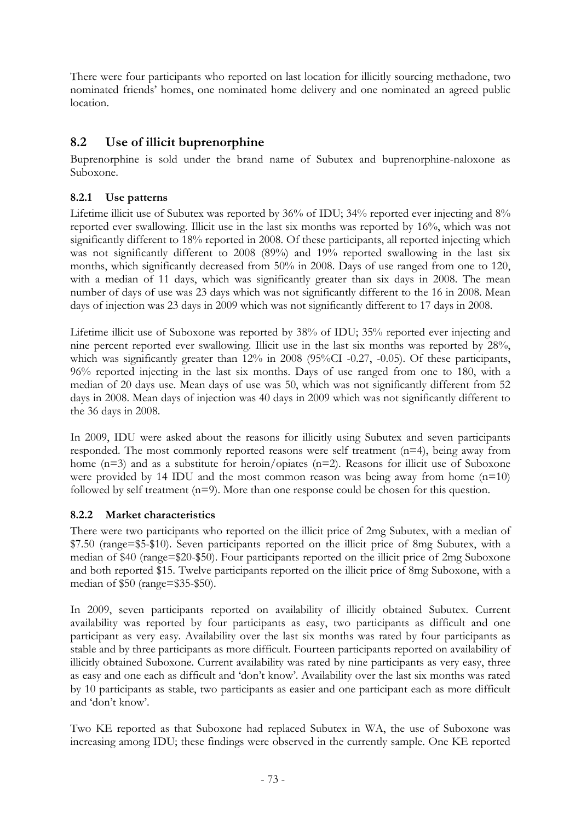There were four participants who reported on last location for illicitly sourcing methadone, two nominated friends' homes, one nominated home delivery and one nominated an agreed public location.

# **8.2 Use of illicit buprenorphine**

Buprenorphine is sold under the brand name of Subutex and buprenorphine-naloxone as Suboxone.

# **8.2.1 Use patterns**

Lifetime illicit use of Subutex was reported by 36% of IDU; 34% reported ever injecting and 8% reported ever swallowing. Illicit use in the last six months was reported by 16%, which was not significantly different to 18% reported in 2008. Of these participants, all reported injecting which was not significantly different to 2008 (89%) and 19% reported swallowing in the last six months, which significantly decreased from 50% in 2008. Days of use ranged from one to 120, with a median of 11 days, which was significantly greater than six days in 2008. The mean number of days of use was 23 days which was not significantly different to the 16 in 2008. Mean days of injection was 23 days in 2009 which was not significantly different to 17 days in 2008.

Lifetime illicit use of Suboxone was reported by 38% of IDU; 35% reported ever injecting and nine percent reported ever swallowing. Illicit use in the last six months was reported by 28%, which was significantly greater than 12% in 2008 (95%CI -0.27, -0.05). Of these participants, 96% reported injecting in the last six months. Days of use ranged from one to 180, with a median of 20 days use. Mean days of use was 50, which was not significantly different from 52 days in 2008. Mean days of injection was 40 days in 2009 which was not significantly different to the 36 days in 2008.

In 2009, IDU were asked about the reasons for illicitly using Subutex and seven participants responded. The most commonly reported reasons were self treatment (n=4), being away from home (n=3) and as a substitute for heroin/opiates (n=2). Reasons for illicit use of Suboxone were provided by 14 IDU and the most common reason was being away from home  $(n=10)$ followed by self treatment  $(n=9)$ . More than one response could be chosen for this question.

## **8.2.2 Market characteristics**

There were two participants who reported on the illicit price of 2mg Subutex, with a median of \$7.50 (range=\$5-\$10). Seven participants reported on the illicit price of 8mg Subutex, with a median of \$40 (range=\$20-\$50). Four participants reported on the illicit price of 2mg Suboxone and both reported \$15. Twelve participants reported on the illicit price of 8mg Suboxone, with a median of \$50 (range=\$35-\$50).

In 2009, seven participants reported on availability of illicitly obtained Subutex. Current availability was reported by four participants as easy, two participants as difficult and one participant as very easy. Availability over the last six months was rated by four participants as stable and by three participants as more difficult. Fourteen participants reported on availability of illicitly obtained Suboxone. Current availability was rated by nine participants as very easy, three as easy and one each as difficult and 'don't know'. Availability over the last six months was rated by 10 participants as stable, two participants as easier and one participant each as more difficult and 'don't know'.

Two KE reported as that Suboxone had replaced Subutex in WA, the use of Suboxone was increasing among IDU; these findings were observed in the currently sample. One KE reported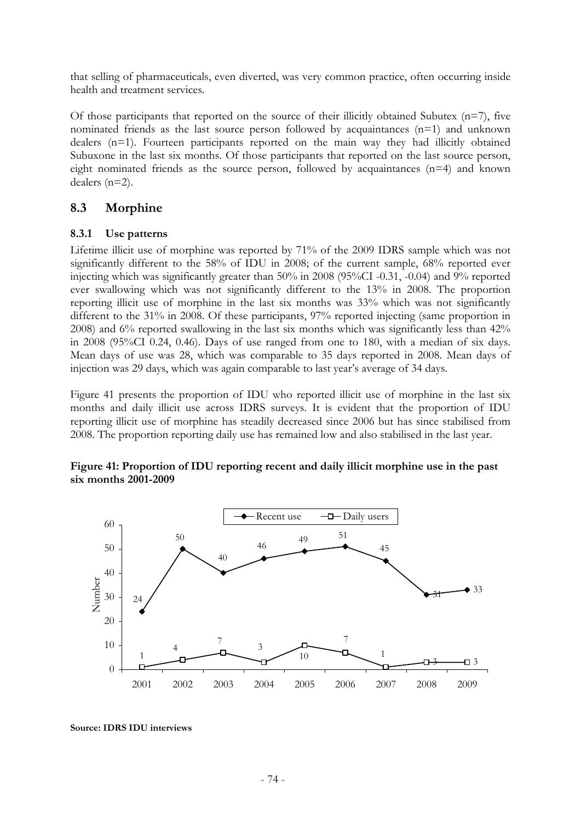that selling of pharmaceuticals, even diverted, was very common practice, often occurring inside health and treatment services.

Of those participants that reported on the source of their illicitly obtained Subutex  $(n=7)$ , five nominated friends as the last source person followed by acquaintances (n=1) and unknown dealers (n=1). Fourteen participants reported on the main way they had illicitly obtained Subuxone in the last six months. Of those participants that reported on the last source person, eight nominated friends as the source person, followed by acquaintances (n=4) and known dealers (n=2).

## **8.3 Morphine**

### **8.3.1 Use patterns**

Lifetime illicit use of morphine was reported by 71% of the 2009 IDRS sample which was not significantly different to the 58% of IDU in 2008; of the current sample, 68% reported ever injecting which was significantly greater than 50% in 2008 (95%CI -0.31, -0.04) and 9% reported ever swallowing which was not significantly different to the 13% in 2008. The proportion reporting illicit use of morphine in the last six months was 33% which was not significantly different to the 31% in 2008. Of these participants, 97% reported injecting (same proportion in 2008) and 6% reported swallowing in the last six months which was significantly less than 42% in 2008 (95%CI 0.24, 0.46). Days of use ranged from one to 180, with a median of six days. Mean days of use was 28, which was comparable to 35 days reported in 2008. Mean days of injection was 29 days, which was again comparable to last year's average of 34 days.

Figure 41 presents the proportion of IDU who reported illicit use of morphine in the last six months and daily illicit use across IDRS surveys. It is evident that the proportion of IDU reporting illicit use of morphine has steadily decreased since 2006 but has since stabilised from 2008. The proportion reporting daily use has remained low and also stabilised in the last year.

### **Figure 41: Proportion of IDU reporting recent and daily illicit morphine use in the past six months 2001-2009**



**Source: IDRS IDU interviews**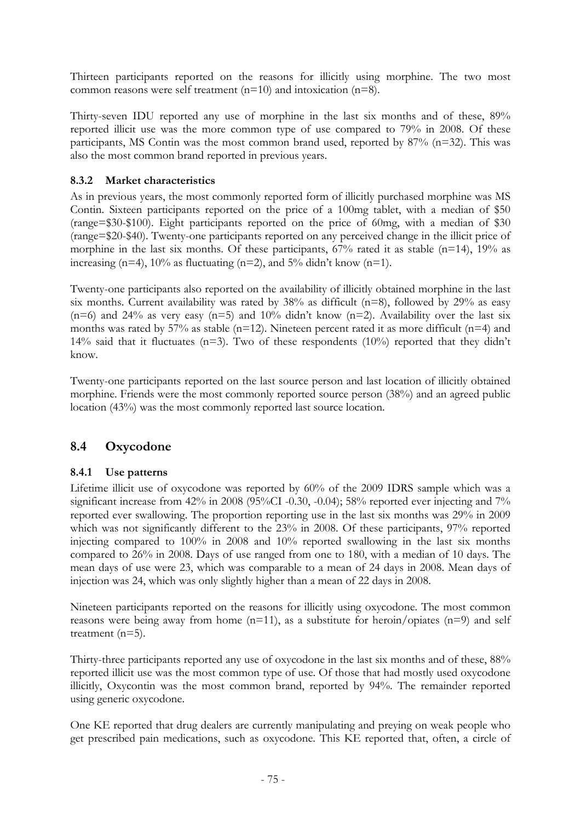Thirteen participants reported on the reasons for illicitly using morphine. The two most common reasons were self treatment (n=10) and intoxication (n=8).

Thirty-seven IDU reported any use of morphine in the last six months and of these, 89% reported illicit use was the more common type of use compared to 79% in 2008. Of these participants, MS Contin was the most common brand used, reported by 87% (n=32). This was also the most common brand reported in previous years.

# **8.3.2 Market characteristics**

As in previous years, the most commonly reported form of illicitly purchased morphine was MS Contin. Sixteen participants reported on the price of a 100mg tablet, with a median of \$50 (range=\$30-\$100). Eight participants reported on the price of 60mg, with a median of \$30 (range=\$20-\$40). Twenty-one participants reported on any perceived change in the illicit price of morphine in the last six months. Of these participants,  $67%$  rated it as stable (n=14),  $19%$  as increasing (n=4),  $10\%$  as fluctuating (n=2), and  $5\%$  didn't know (n=1).

Twenty-one participants also reported on the availability of illicitly obtained morphine in the last six months. Current availability was rated by  $38\%$  as difficult (n=8), followed by  $29\%$  as easy  $(n=6)$  and 24% as very easy  $(n=5)$  and 10% didn't know  $(n=2)$ . Availability over the last six months was rated by 57% as stable ( $n=12$ ). Nineteen percent rated it as more difficult ( $n=4$ ) and 14% said that it fluctuates ( $n=3$ ). Two of these respondents (10%) reported that they didn't know.

Twenty-one participants reported on the last source person and last location of illicitly obtained morphine. Friends were the most commonly reported source person (38%) and an agreed public location (43%) was the most commonly reported last source location.

# **8.4 Oxycodone**

## **8.4.1 Use patterns**

Lifetime illicit use of oxycodone was reported by 60% of the 2009 IDRS sample which was a significant increase from 42% in 2008 (95%CI -0.30, -0.04); 58% reported ever injecting and 7% reported ever swallowing. The proportion reporting use in the last six months was 29% in 2009 which was not significantly different to the 23% in 2008. Of these participants, 97% reported injecting compared to 100% in 2008 and 10% reported swallowing in the last six months compared to 26% in 2008. Days of use ranged from one to 180, with a median of 10 days. The mean days of use were 23, which was comparable to a mean of 24 days in 2008. Mean days of injection was 24, which was only slightly higher than a mean of 22 days in 2008.

Nineteen participants reported on the reasons for illicitly using oxycodone. The most common reasons were being away from home  $(n=11)$ , as a substitute for heroin/opiates  $(n=9)$  and self treatment (n=5).

Thirty-three participants reported any use of oxycodone in the last six months and of these, 88% reported illicit use was the most common type of use. Of those that had mostly used oxycodone illicitly, Oxycontin was the most common brand, reported by 94%. The remainder reported using generic oxycodone.

One KE reported that drug dealers are currently manipulating and preying on weak people who get prescribed pain medications, such as oxycodone. This KE reported that, often, a circle of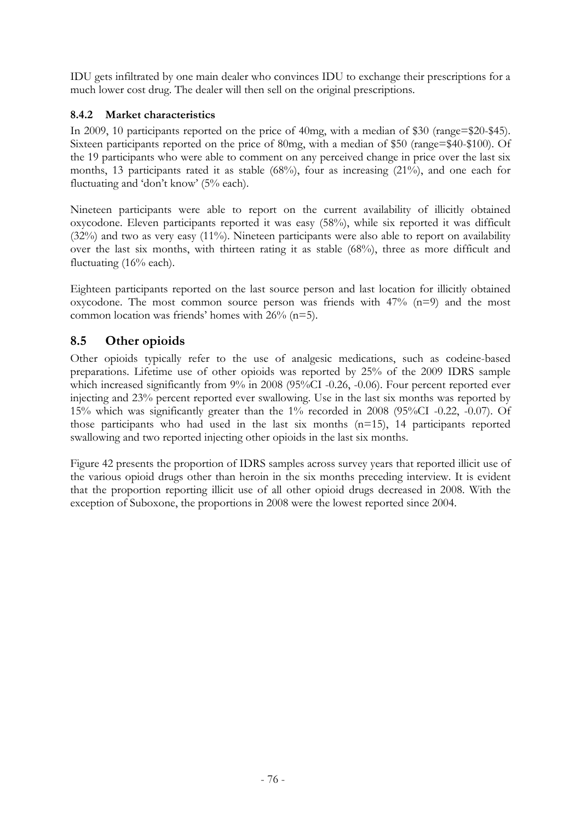IDU gets infiltrated by one main dealer who convinces IDU to exchange their prescriptions for a much lower cost drug. The dealer will then sell on the original prescriptions.

# **8.4.2 Market characteristics**

In 2009, 10 participants reported on the price of 40mg, with a median of \$30 (range=\$20-\$45). Sixteen participants reported on the price of 80mg, with a median of \$50 (range=\$40-\$100). Of the 19 participants who were able to comment on any perceived change in price over the last six months, 13 participants rated it as stable (68%), four as increasing (21%), and one each for fluctuating and 'don't know' (5% each).

Nineteen participants were able to report on the current availability of illicitly obtained oxycodone. Eleven participants reported it was easy (58%), while six reported it was difficult (32%) and two as very easy (11%). Nineteen participants were also able to report on availability over the last six months, with thirteen rating it as stable (68%), three as more difficult and fluctuating (16% each).

Eighteen participants reported on the last source person and last location for illicitly obtained oxycodone. The most common source person was friends with  $47\%$  (n=9) and the most common location was friends' homes with 26% (n=5).

# **8.5 Other opioids**

Other opioids typically refer to the use of analgesic medications, such as codeine-based preparations. Lifetime use of other opioids was reported by 25% of the 2009 IDRS sample which increased significantly from 9% in 2008 (95%CI -0.26, -0.06). Four percent reported ever injecting and 23% percent reported ever swallowing. Use in the last six months was reported by 15% which was significantly greater than the 1% recorded in 2008 (95%CI -0.22, -0.07). Of those participants who had used in the last six months  $(n=15)$ , 14 participants reported swallowing and two reported injecting other opioids in the last six months.

Figure 42 presents the proportion of IDRS samples across survey years that reported illicit use of the various opioid drugs other than heroin in the six months preceding interview. It is evident that the proportion reporting illicit use of all other opioid drugs decreased in 2008. With the exception of Suboxone, the proportions in 2008 were the lowest reported since 2004.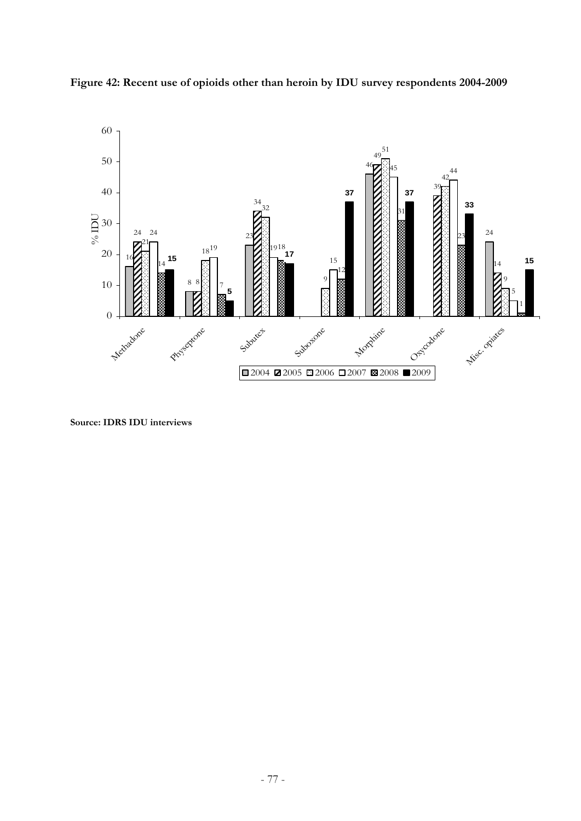



**Source: IDRS IDU interviews**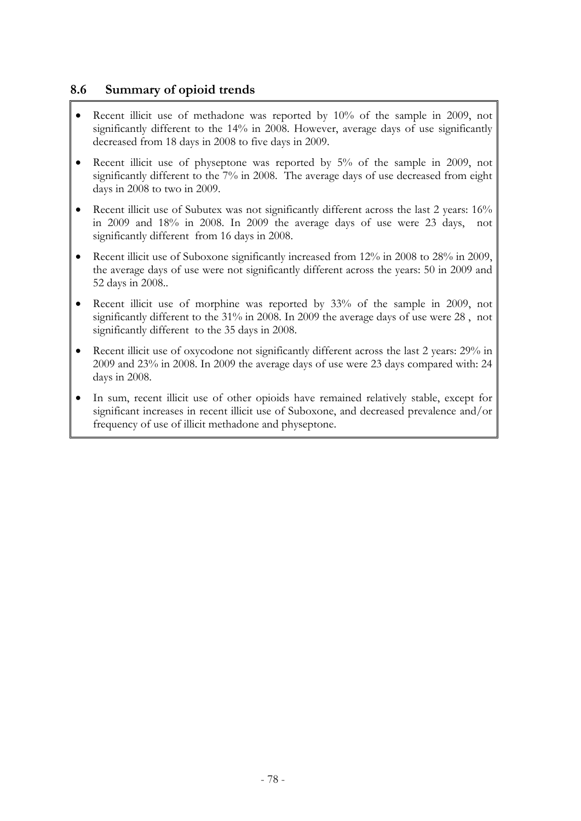# **8.6 Summary of opioid trends**

- Recent illicit use of methadone was reported by 10% of the sample in 2009, not significantly different to the 14% in 2008. However, average days of use significantly decreased from 18 days in 2008 to five days in 2009.
- Recent illicit use of physeptone was reported by 5% of the sample in 2009, not significantly different to the 7% in 2008. The average days of use decreased from eight days in 2008 to two in 2009.
- Recent illicit use of Subutex was not significantly different across the last 2 years: 16% in 2009 and 18% in 2008. In 2009 the average days of use were 23 days, not significantly different from 16 days in 2008.
- Recent illicit use of Suboxone significantly increased from 12% in 2008 to 28% in 2009, the average days of use were not significantly different across the years: 50 in 2009 and 52 days in 2008..
- Recent illicit use of morphine was reported by 33% of the sample in 2009, not significantly different to the 31% in 2008. In 2009 the average days of use were 28 , not significantly different to the 35 days in 2008.
- Recent illicit use of oxycodone not significantly different across the last 2 years: 29% in 2009 and 23% in 2008. In 2009 the average days of use were 23 days compared with: 24 days in 2008.
- In sum, recent illicit use of other opioids have remained relatively stable, except for significant increases in recent illicit use of Suboxone, and decreased prevalence and/or frequency of use of illicit methadone and physeptone.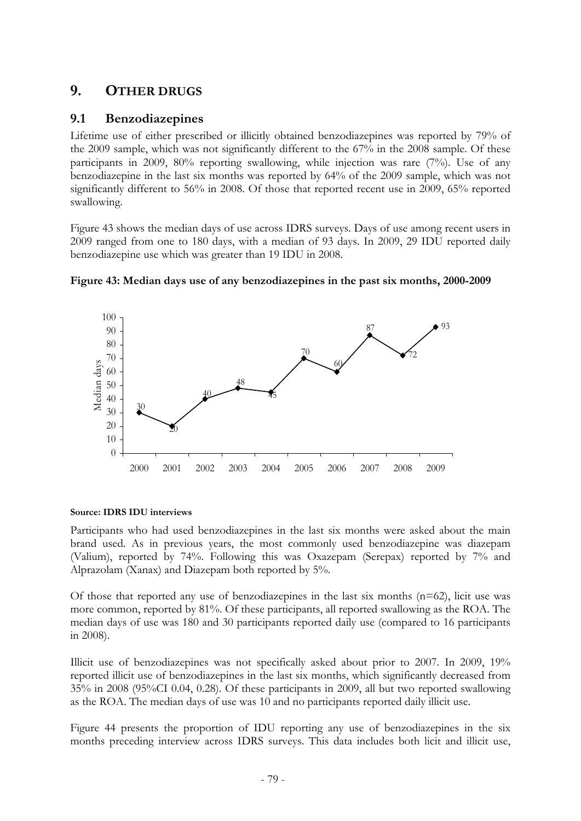# **9. OTHER DRUGS**

# **9.1 Benzodiazepines**

Lifetime use of either prescribed or illicitly obtained benzodiazepines was reported by 79% of the 2009 sample, which was not significantly different to the 67% in the 2008 sample. Of these participants in 2009,  $80\%$  reporting swallowing, while injection was rare  $(7\%)$ . Use of any benzodiazepine in the last six months was reported by 64% of the 2009 sample, which was not significantly different to 56% in 2008. Of those that reported recent use in 2009, 65% reported swallowing.

Figure 43 shows the median days of use across IDRS surveys. Days of use among recent users in 2009 ranged from one to 180 days, with a median of 93 days. In 2009, 29 IDU reported daily benzodiazepine use which was greater than 19 IDU in 2008.



**Figure 43: Median days use of any benzodiazepines in the past six months, 2000-2009** 

## **Source: IDRS IDU interviews**

Participants who had used benzodiazepines in the last six months were asked about the main brand used. As in previous years, the most commonly used benzodiazepine was diazepam (Valium), reported by 74%. Following this was Oxazepam (Serepax) reported by 7% and Alprazolam (Xanax) and Diazepam both reported by 5%.

Of those that reported any use of benzodiazepines in the last six months  $(n=62)$ , licit use was more common, reported by 81%. Of these participants, all reported swallowing as the ROA. The median days of use was 180 and 30 participants reported daily use (compared to 16 participants in 2008).

Illicit use of benzodiazepines was not specifically asked about prior to 2007. In 2009, 19% reported illicit use of benzodiazepines in the last six months, which significantly decreased from 35% in 2008 (95%CI 0.04, 0.28). Of these participants in 2009, all but two reported swallowing as the ROA. The median days of use was 10 and no participants reported daily illicit use.

Figure 44 presents the proportion of IDU reporting any use of benzodiazepines in the six months preceding interview across IDRS surveys. This data includes both licit and illicit use,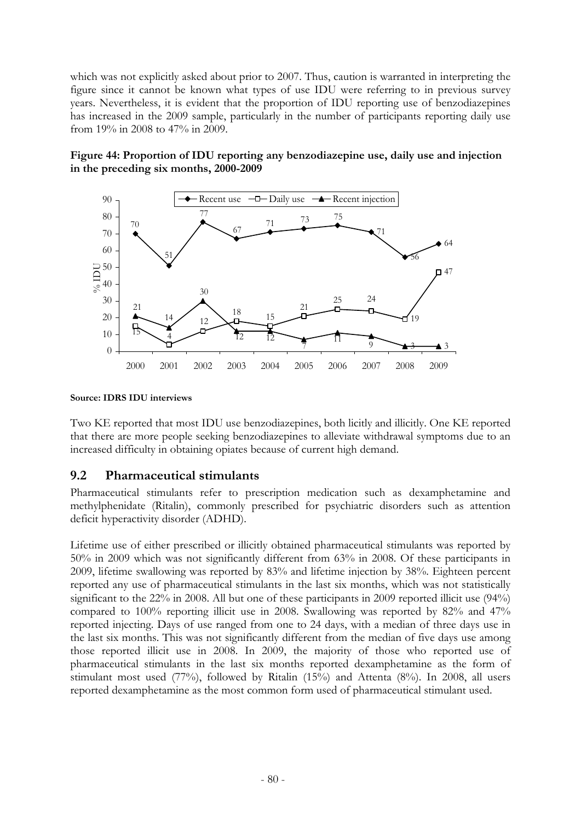which was not explicitly asked about prior to 2007. Thus, caution is warranted in interpreting the figure since it cannot be known what types of use IDU were referring to in previous survey years. Nevertheless, it is evident that the proportion of IDU reporting use of benzodiazepines has increased in the 2009 sample, particularly in the number of participants reporting daily use from 19% in 2008 to 47% in 2009.





**Source: IDRS IDU interviews** 

Two KE reported that most IDU use benzodiazepines, both licitly and illicitly. One KE reported that there are more people seeking benzodiazepines to alleviate withdrawal symptoms due to an increased difficulty in obtaining opiates because of current high demand.

# **9.2 Pharmaceutical stimulants**

Pharmaceutical stimulants refer to prescription medication such as dexamphetamine and methylphenidate (Ritalin), commonly prescribed for psychiatric disorders such as attention deficit hyperactivity disorder (ADHD).

Lifetime use of either prescribed or illicitly obtained pharmaceutical stimulants was reported by 50% in 2009 which was not significantly different from 63% in 2008. Of these participants in 2009, lifetime swallowing was reported by 83% and lifetime injection by 38%. Eighteen percent reported any use of pharmaceutical stimulants in the last six months, which was not statistically significant to the 22% in 2008. All but one of these participants in 2009 reported illicit use (94%) compared to 100% reporting illicit use in 2008. Swallowing was reported by 82% and 47% reported injecting. Days of use ranged from one to 24 days, with a median of three days use in the last six months. This was not significantly different from the median of five days use among those reported illicit use in 2008. In 2009, the majority of those who reported use of pharmaceutical stimulants in the last six months reported dexamphetamine as the form of stimulant most used (77%), followed by Ritalin (15%) and Attenta (8%). In 2008, all users reported dexamphetamine as the most common form used of pharmaceutical stimulant used.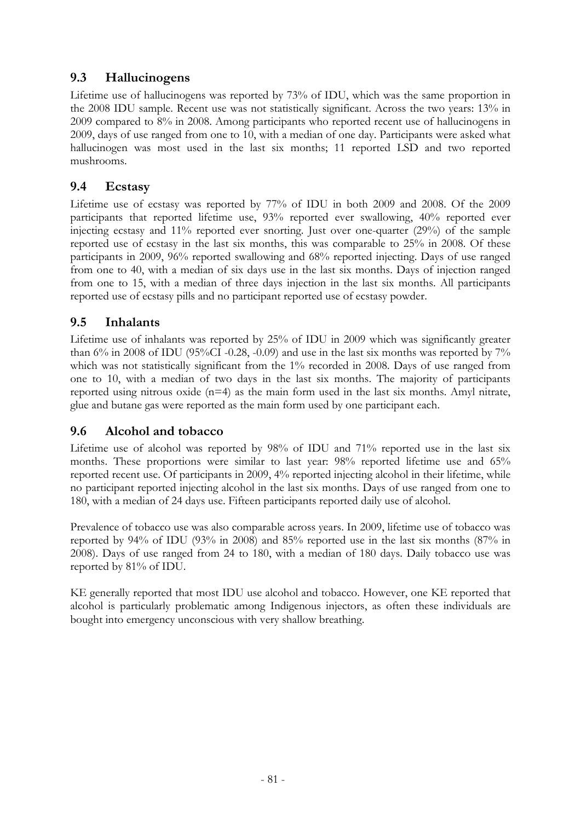# **9.3 Hallucinogens**

Lifetime use of hallucinogens was reported by 73% of IDU, which was the same proportion in the 2008 IDU sample. Recent use was not statistically significant. Across the two years: 13% in 2009 compared to 8% in 2008. Among participants who reported recent use of hallucinogens in 2009, days of use ranged from one to 10, with a median of one day. Participants were asked what hallucinogen was most used in the last six months; 11 reported LSD and two reported mushrooms.

# **9.4 Ecstasy**

Lifetime use of ecstasy was reported by 77% of IDU in both 2009 and 2008. Of the 2009 participants that reported lifetime use, 93% reported ever swallowing, 40% reported ever injecting ecstasy and 11% reported ever snorting. Just over one-quarter (29%) of the sample reported use of ecstasy in the last six months, this was comparable to 25% in 2008. Of these participants in 2009, 96% reported swallowing and 68% reported injecting. Days of use ranged from one to 40, with a median of six days use in the last six months. Days of injection ranged from one to 15, with a median of three days injection in the last six months. All participants reported use of ecstasy pills and no participant reported use of ecstasy powder.

# **9.5 Inhalants**

Lifetime use of inhalants was reported by 25% of IDU in 2009 which was significantly greater than  $6\%$  in 2008 of IDU (95%CI -0.28, -0.09) and use in the last six months was reported by 7% which was not statistically significant from the 1% recorded in 2008. Days of use ranged from one to 10, with a median of two days in the last six months. The majority of participants reported using nitrous oxide (n=4) as the main form used in the last six months. Amyl nitrate, glue and butane gas were reported as the main form used by one participant each.

# **9.6 Alcohol and tobacco**

Lifetime use of alcohol was reported by 98% of IDU and 71% reported use in the last six months. These proportions were similar to last year: 98% reported lifetime use and 65% reported recent use. Of participants in 2009, 4% reported injecting alcohol in their lifetime, while no participant reported injecting alcohol in the last six months. Days of use ranged from one to 180, with a median of 24 days use. Fifteen participants reported daily use of alcohol.

Prevalence of tobacco use was also comparable across years. In 2009, lifetime use of tobacco was reported by 94% of IDU (93% in 2008) and 85% reported use in the last six months (87% in 2008). Days of use ranged from 24 to 180, with a median of 180 days. Daily tobacco use was reported by 81% of IDU.

KE generally reported that most IDU use alcohol and tobacco. However, one KE reported that alcohol is particularly problematic among Indigenous injectors, as often these individuals are bought into emergency unconscious with very shallow breathing.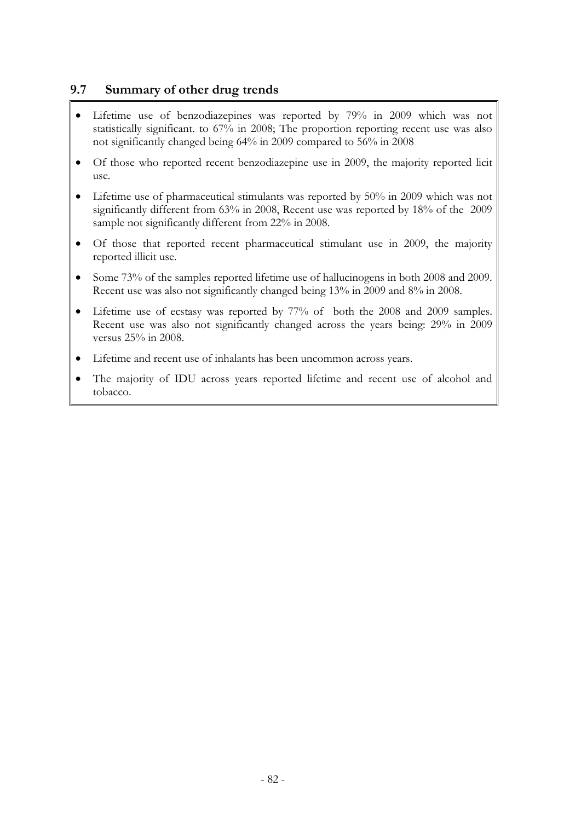# **9.7 Summary of other drug trends**

- Lifetime use of benzodiazepines was reported by 79% in 2009 which was not statistically significant. to 67% in 2008; The proportion reporting recent use was also not significantly changed being 64% in 2009 compared to 56% in 2008
- Of those who reported recent benzodiazepine use in 2009, the majority reported licit use.
- Lifetime use of pharmaceutical stimulants was reported by 50% in 2009 which was not significantly different from 63% in 2008, Recent use was reported by 18% of the 2009 sample not significantly different from 22% in 2008.
- Of those that reported recent pharmaceutical stimulant use in 2009, the majority reported illicit use.
- Some 73% of the samples reported lifetime use of hallucinogens in both 2008 and 2009. Recent use was also not significantly changed being 13% in 2009 and 8% in 2008.
- Lifetime use of ecstasy was reported by 77% of both the 2008 and 2009 samples. Recent use was also not significantly changed across the years being: 29% in 2009 versus 25% in 2008.
- Lifetime and recent use of inhalants has been uncommon across years.
- The majority of IDU across years reported lifetime and recent use of alcohol and tobacco.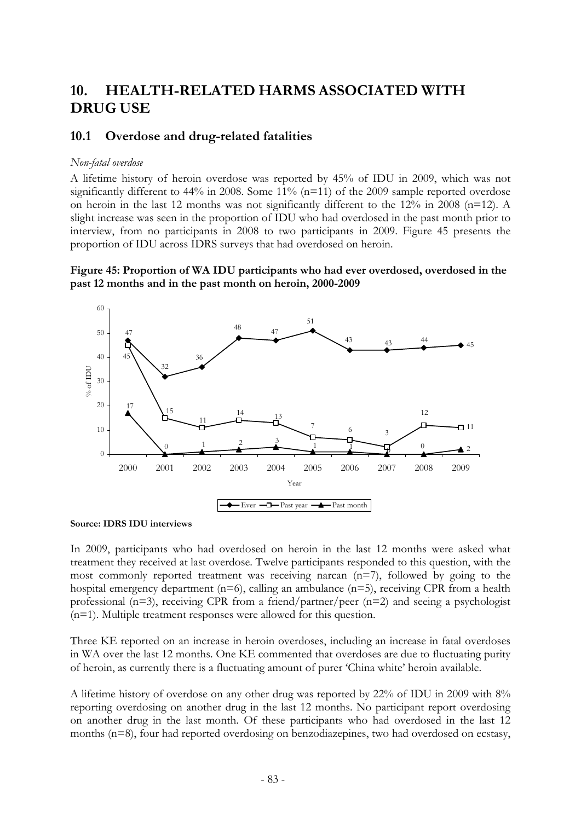# **10. HEALTH-RELATED HARMS ASSOCIATED WITH DRUG USE**

## **10.1 Overdose and drug-related fatalities**

### *Non-fatal overdose*

A lifetime history of heroin overdose was reported by 45% of IDU in 2009, which was not significantly different to  $44\%$  in 2008. Some  $11\%$  (n=11) of the 2009 sample reported overdose on heroin in the last 12 months was not significantly different to the 12% in 2008 (n=12). A slight increase was seen in the proportion of IDU who had overdosed in the past month prior to interview, from no participants in 2008 to two participants in 2009. Figure 45 presents the proportion of IDU across IDRS surveys that had overdosed on heroin.

### **Figure 45: Proportion of WA IDU participants who had ever overdosed, overdosed in the past 12 months and in the past month on heroin, 2000-2009**



**Source: IDRS IDU interviews** 

In 2009, participants who had overdosed on heroin in the last 12 months were asked what treatment they received at last overdose. Twelve participants responded to this question, with the most commonly reported treatment was receiving narcan (n=7), followed by going to the hospital emergency department (n=6), calling an ambulance (n=5), receiving CPR from a health professional (n=3), receiving CPR from a friend/partner/peer (n=2) and seeing a psychologist (n=1). Multiple treatment responses were allowed for this question.

Three KE reported on an increase in heroin overdoses, including an increase in fatal overdoses in WA over the last 12 months. One KE commented that overdoses are due to fluctuating purity of heroin, as currently there is a fluctuating amount of purer 'China white' heroin available.

A lifetime history of overdose on any other drug was reported by 22% of IDU in 2009 with 8% reporting overdosing on another drug in the last 12 months. No participant report overdosing on another drug in the last month. Of these participants who had overdosed in the last 12 months (n=8), four had reported overdosing on benzodiazepines, two had overdosed on ecstasy,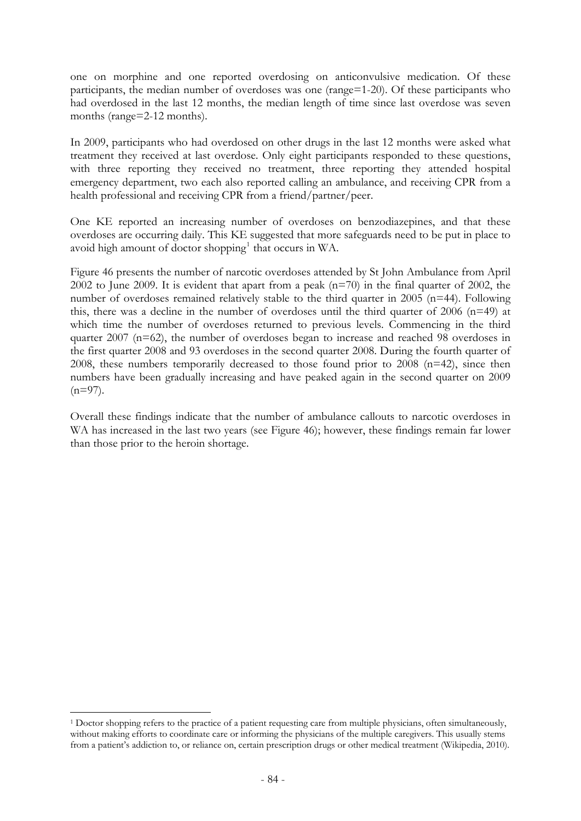one on morphine and one reported overdosing on anticonvulsive medication. Of these participants, the median number of overdoses was one (range=1-20). Of these participants who had overdosed in the last 12 months, the median length of time since last overdose was seven months (range=2-12 months).

In 2009, participants who had overdosed on other drugs in the last 12 months were asked what treatment they received at last overdose. Only eight participants responded to these questions, with three reporting they received no treatment, three reporting they attended hospital emergency department, two each also reported calling an ambulance, and receiving CPR from a health professional and receiving CPR from a friend/partner/peer.

One KE reported an increasing number of overdoses on benzodiazepines, and that these overdoses are occurring daily. This KE suggested that more safeguards need to be put in place to avoid high amount of doctor shopping<sup>[1](#page-86-0)</sup> that occurs in WA.

Figure 46 presents the number of narcotic overdoses attended by St John Ambulance from April 2002 to June 2009. It is evident that apart from a peak  $(n=70)$  in the final quarter of 2002, the number of overdoses remained relatively stable to the third quarter in 2005 (n=44). Following this, there was a decline in the number of overdoses until the third quarter of 2006 ( $n=49$ ) at which time the number of overdoses returned to previous levels. Commencing in the third quarter 2007 (n=62), the number of overdoses began to increase and reached 98 overdoses in the first quarter 2008 and 93 overdoses in the second quarter 2008. During the fourth quarter of 2008, these numbers temporarily decreased to those found prior to 2008 (n=42), since then numbers have been gradually increasing and have peaked again in the second quarter on 2009  $(n=97)$ .

Overall these findings indicate that the number of ambulance callouts to narcotic overdoses in WA has increased in the last two years (see Figure 46); however, these findings remain far lower than those prior to the heroin shortage.

1

<span id="page-86-0"></span><sup>1</sup> Doctor shopping refers to the practice of a patient requesting care from multiple physicians, often simultaneously, without making efforts to coordinate care or informing the physicians of the multiple caregivers. This usually stems from a patient's addiction to, or reliance on, certain prescription drugs or other medical treatment (Wikipedia, 2010).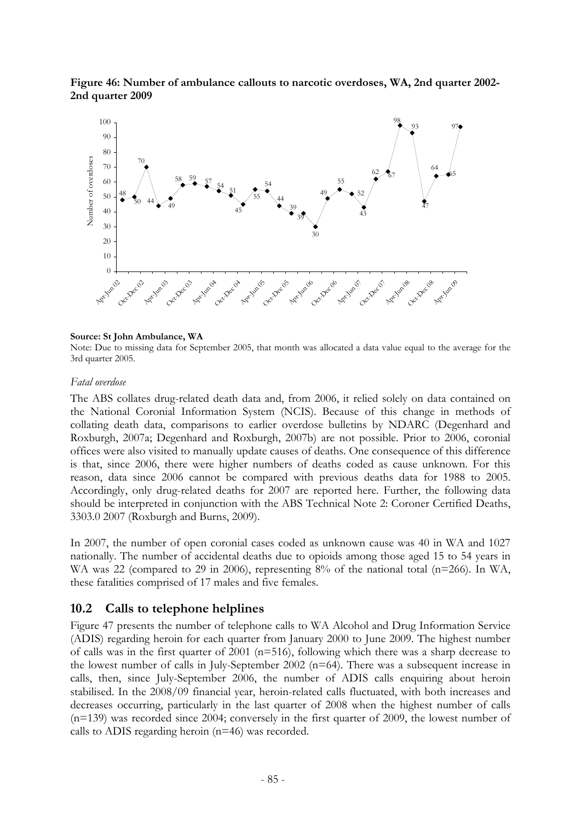### **Figure 46: Number of ambulance callouts to narcotic overdoses, WA, 2nd quarter 2002- 2nd quarter 2009**



#### **Source: St John Ambulance, WA**

Note: Due to missing data for September 2005, that month was allocated a data value equal to the average for the 3rd quarter 2005.

#### *Fatal overdose*

The ABS collates drug-related death data and, from 2006, it relied solely on data contained on the National Coronial Information System (NCIS). Because of this change in methods of collating death data, comparisons to earlier overdose bulletins by NDARC (Degenhard and Roxburgh, 2007a; Degenhard and Roxburgh, 2007b) are not possible. Prior to 2006, coronial offices were also visited to manually update causes of deaths. One consequence of this difference is that, since 2006, there were higher numbers of deaths coded as cause unknown. For this reason, data since 2006 cannot be compared with previous deaths data for 1988 to 2005. Accordingly, only drug-related deaths for 2007 are reported here. Further, the following data should be interpreted in conjunction with the ABS Technical Note 2: Coroner Certified Deaths, 3303.0 2007 (Roxburgh and Burns, 2009).

In 2007, the number of open coronial cases coded as unknown cause was 40 in WA and 1027 nationally. The number of accidental deaths due to opioids among those aged 15 to 54 years in WA was 22 (compared to 29 in 2006), representing 8% of the national total (n=266). In WA, these fatalities comprised of 17 males and five females.

## **10.2 Calls to telephone helplines**

Figure 47 presents the number of telephone calls to WA Alcohol and Drug Information Service (ADIS) regarding heroin for each quarter from January 2000 to June 2009. The highest number of calls was in the first quarter of 2001 ( $n=516$ ), following which there was a sharp decrease to the lowest number of calls in July-September 2002 (n=64). There was a subsequent increase in calls, then, since July-September 2006, the number of ADIS calls enquiring about heroin stabilised. In the 2008/09 financial year, heroin-related calls fluctuated, with both increases and decreases occurring, particularly in the last quarter of 2008 when the highest number of calls (n=139) was recorded since 2004; conversely in the first quarter of 2009, the lowest number of calls to ADIS regarding heroin (n=46) was recorded.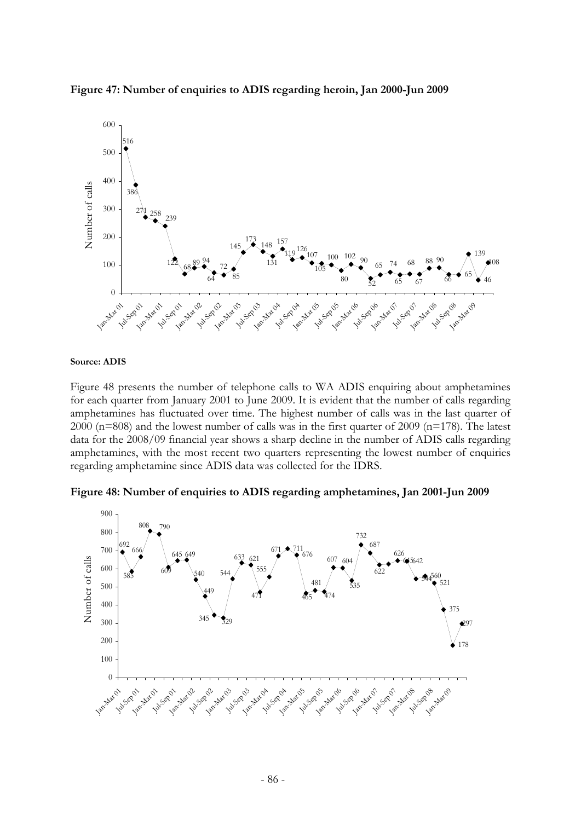



#### **Source: ADIS**

Figure 48 presents the number of telephone calls to WA ADIS enquiring about amphetamines for each quarter from January 2001 to June 2009. It is evident that the number of calls regarding amphetamines has fluctuated over time. The highest number of calls was in the last quarter of 2000 (n=808) and the lowest number of calls was in the first quarter of 2009 (n=178). The latest data for the 2008/09 financial year shows a sharp decline in the number of ADIS calls regarding amphetamines, with the most recent two quarters representing the lowest number of enquiries regarding amphetamine since ADIS data was collected for the IDRS.



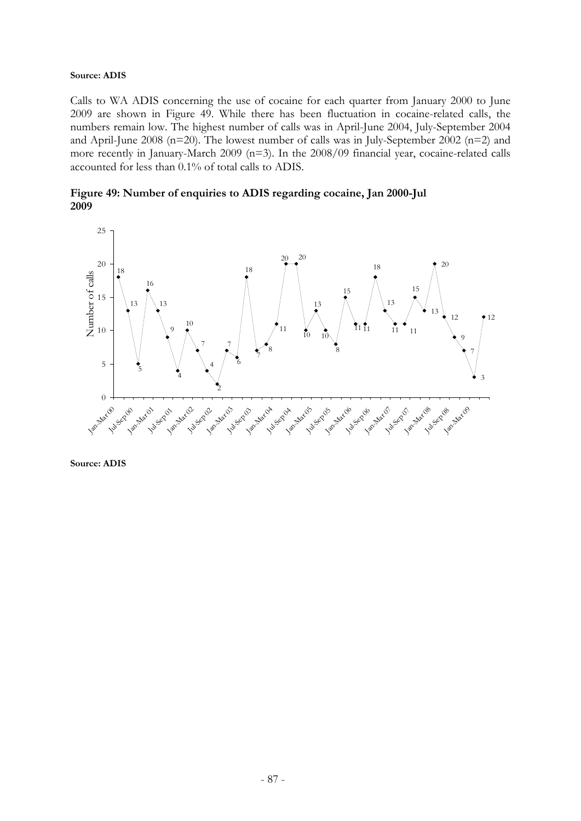#### **Source: ADIS**

Calls to WA ADIS concerning the use of cocaine for each quarter from January 2000 to June 2009 are shown in Figure 49. While there has been fluctuation in cocaine-related calls, the numbers remain low. The highest number of calls was in April-June 2004, July-September 2004 and April-June 2008 (n=20). The lowest number of calls was in July-September 2002 (n=2) and more recently in January-March 2009 (n=3). In the 2008/09 financial year, cocaine-related calls accounted for less than 0.1% of total calls to ADIS.





**Source: ADIS**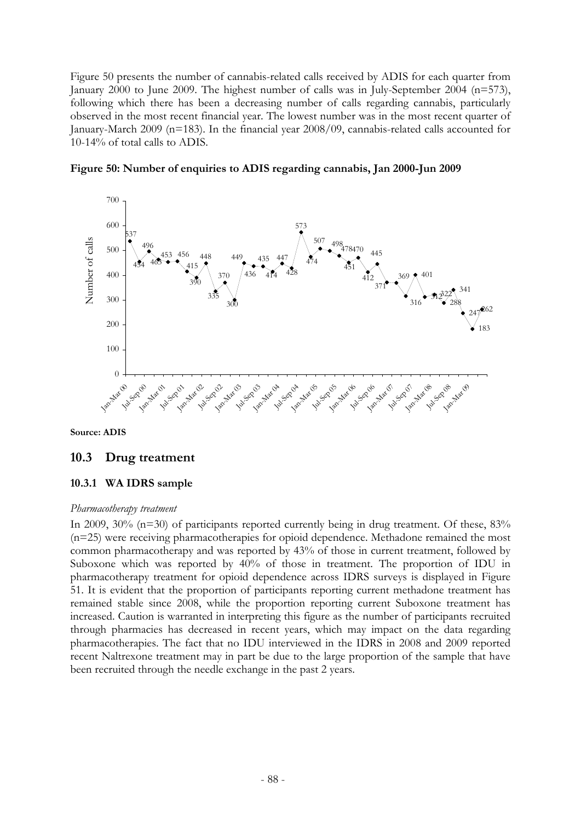Figure 50 presents the number of cannabis-related calls received by ADIS for each quarter from January 2000 to June 2009. The highest number of calls was in July-September 2004 (n=573), following which there has been a decreasing number of calls regarding cannabis, particularly observed in the most recent financial year. The lowest number was in the most recent quarter of January-March 2009 (n=183). In the financial year 2008/09, cannabis-related calls accounted for 10-14% of total calls to ADIS.



**Figure 50: Number of enquiries to ADIS regarding cannabis, Jan 2000-Jun 2009** 

**Source: ADIS** 

## **10.3 Drug treatment**

## **10.3.1 WA IDRS sample**

#### *Pharmacotherapy treatment*

In 2009, 30% (n=30) of participants reported currently being in drug treatment. Of these, 83% (n=25) were receiving pharmacotherapies for opioid dependence. Methadone remained the most common pharmacotherapy and was reported by 43% of those in current treatment, followed by Suboxone which was reported by 40% of those in treatment. The proportion of IDU in pharmacotherapy treatment for opioid dependence across IDRS surveys is displayed in Figure 51. It is evident that the proportion of participants reporting current methadone treatment has remained stable since 2008, while the proportion reporting current Suboxone treatment has increased. Caution is warranted in interpreting this figure as the number of participants recruited through pharmacies has decreased in recent years, which may impact on the data regarding pharmacotherapies. The fact that no IDU interviewed in the IDRS in 2008 and 2009 reported recent Naltrexone treatment may in part be due to the large proportion of the sample that have been recruited through the needle exchange in the past 2 years.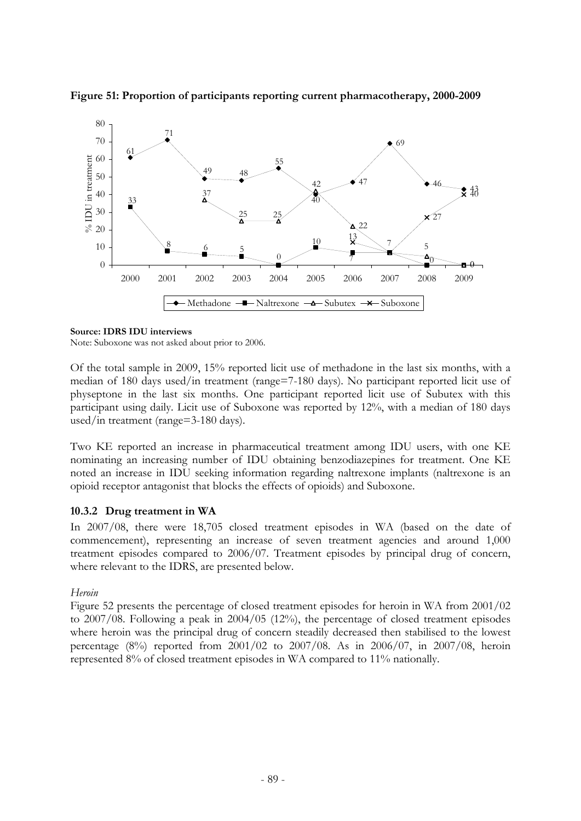

**Figure 51: Proportion of participants reporting current pharmacotherapy, 2000-2009** 

#### **Source: IDRS IDU interviews**

Note: Suboxone was not asked about prior to 2006.

Of the total sample in 2009, 15% reported licit use of methadone in the last six months, with a median of 180 days used/in treatment (range=7-180 days). No participant reported licit use of physeptone in the last six months. One participant reported licit use of Subutex with this participant using daily. Licit use of Suboxone was reported by 12%, with a median of 180 days used/in treatment (range=3-180 days).

Two KE reported an increase in pharmaceutical treatment among IDU users, with one KE nominating an increasing number of IDU obtaining benzodiazepines for treatment. One KE noted an increase in IDU seeking information regarding naltrexone implants (naltrexone is an opioid receptor antagonist that blocks the effects of opioids) and Suboxone.

### **10.3.2 Drug treatment in WA**

In 2007/08, there were 18,705 closed treatment episodes in WA (based on the date of commencement), representing an increase of seven treatment agencies and around 1,000 treatment episodes compared to 2006/07. Treatment episodes by principal drug of concern, where relevant to the IDRS, are presented below.

### *Heroin*

Figure 52 presents the percentage of closed treatment episodes for heroin in WA from 2001/02 to 2007/08. Following a peak in 2004/05 (12%), the percentage of closed treatment episodes where heroin was the principal drug of concern steadily decreased then stabilised to the lowest percentage (8%) reported from 2001/02 to 2007/08. As in 2006/07, in 2007/08, heroin represented 8% of closed treatment episodes in WA compared to 11% nationally.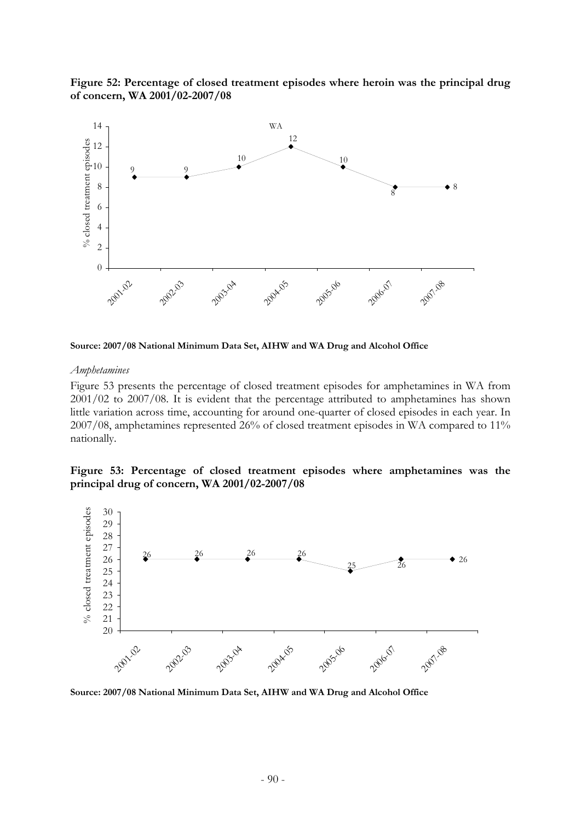**Figure 52: Percentage of closed treatment episodes where heroin was the principal drug of concern, WA 2001/02-2007/08** 



**Source: 2007/08 National Minimum Data Set, AIHW and WA Drug and Alcohol Office**

#### *Amphetamines*

Figure 53 presents the percentage of closed treatment episodes for amphetamines in WA from 2001/02 to 2007/08. It is evident that the percentage attributed to amphetamines has shown little variation across time, accounting for around one-quarter of closed episodes in each year. In 2007/08, amphetamines represented 26% of closed treatment episodes in WA compared to 11% nationally.

#### **Figure 53: Percentage of closed treatment episodes where amphetamines was the principal drug of concern, WA 2001/02-2007/08**



**Source: 2007/08 National Minimum Data Set, AIHW and WA Drug and Alcohol Office**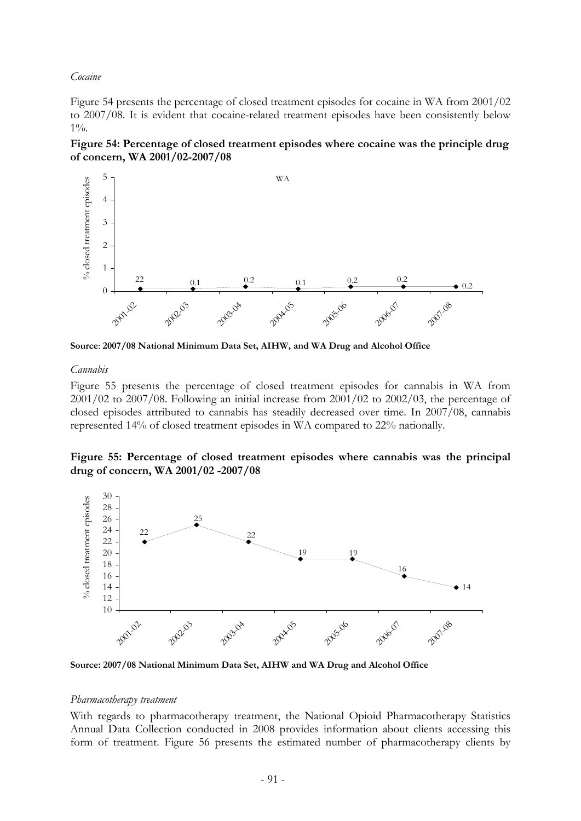#### *Cocaine*

Figure 54 presents the percentage of closed treatment episodes for cocaine in WA from 2001/02 to 2007/08. It is evident that cocaine-related treatment episodes have been consistently below  $1\%$ .





**Source**: **2007/08 National Minimum Data Set, AIHW, and WA Drug and Alcohol Office**

### *Cannabis*

Figure 55 presents the percentage of closed treatment episodes for cannabis in WA from  $2001/02$  to  $2007/08$ . Following an initial increase from  $2001/02$  to  $2002/03$ , the percentage of closed episodes attributed to cannabis has steadily decreased over time. In 2007/08, cannabis represented 14% of closed treatment episodes in WA compared to 22% nationally.





**Source: 2007/08 National Minimum Data Set, AIHW and WA Drug and Alcohol Office**

#### *Pharmacotherapy treatment*

With regards to pharmacotherapy treatment, the National Opioid Pharmacotherapy Statistics Annual Data Collection conducted in 2008 provides information about clients accessing this form of treatment. Figure 56 presents the estimated number of pharmacotherapy clients by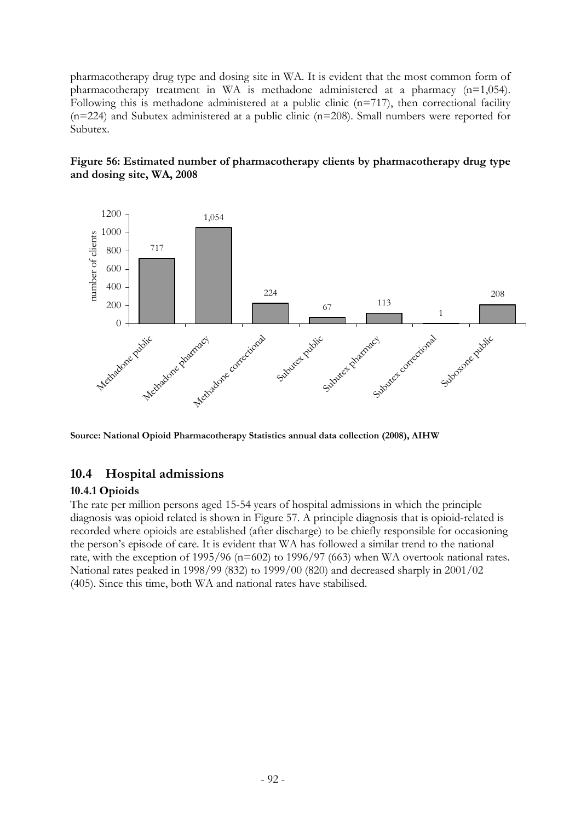pharmacotherapy drug type and dosing site in WA. It is evident that the most common form of pharmacotherapy treatment in WA is methadone administered at a pharmacy (n=1,054). Following this is methadone administered at a public clinic  $(n=717)$ , then correctional facility  $(n=224)$  and Subutex administered at a public clinic  $(n=208)$ . Small numbers were reported for Subutex.





**Source: National Opioid Pharmacotherapy Statistics annual data collection (2008), AIHW** 

# **10.4 Hospital admissions**

### **10.4.1 Opioids**

The rate per million persons aged 15-54 years of hospital admissions in which the principle diagnosis was opioid related is shown in Figure 57. A principle diagnosis that is opioid-related is recorded where opioids are established (after discharge) to be chiefly responsible for occasioning the person's episode of care. It is evident that WA has followed a similar trend to the national rate, with the exception of 1995/96 (n=602) to 1996/97 (663) when WA overtook national rates. National rates peaked in 1998/99 (832) to 1999/00 (820) and decreased sharply in 2001/02 (405). Since this time, both WA and national rates have stabilised.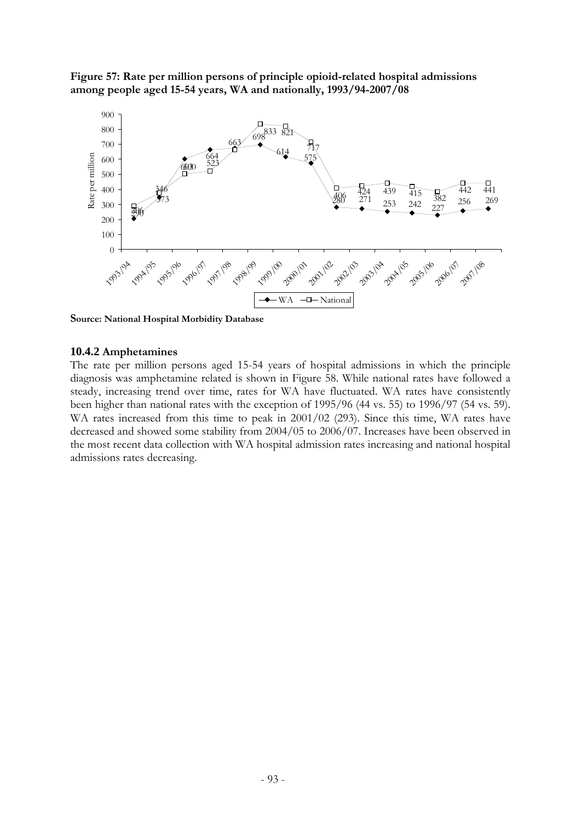**Figure 57: Rate per million persons of principle opioid-related hospital admissions among people aged 15-54 years, WA and nationally, 1993/94-2007/08** 



**Source: National Hospital Morbidity Database**

### **10.4.2 Amphetamines**

The rate per million persons aged 15-54 years of hospital admissions in which the principle diagnosis was amphetamine related is shown in Figure 58. While national rates have followed a steady, increasing trend over time, rates for WA have fluctuated. WA rates have consistently been higher than national rates with the exception of 1995/96 (44 vs. 55) to 1996/97 (54 vs. 59). WA rates increased from this time to peak in 2001/02 (293). Since this time, WA rates have decreased and showed some stability from 2004/05 to 2006/07. Increases have been observed in the most recent data collection with WA hospital admission rates increasing and national hospital admissions rates decreasing.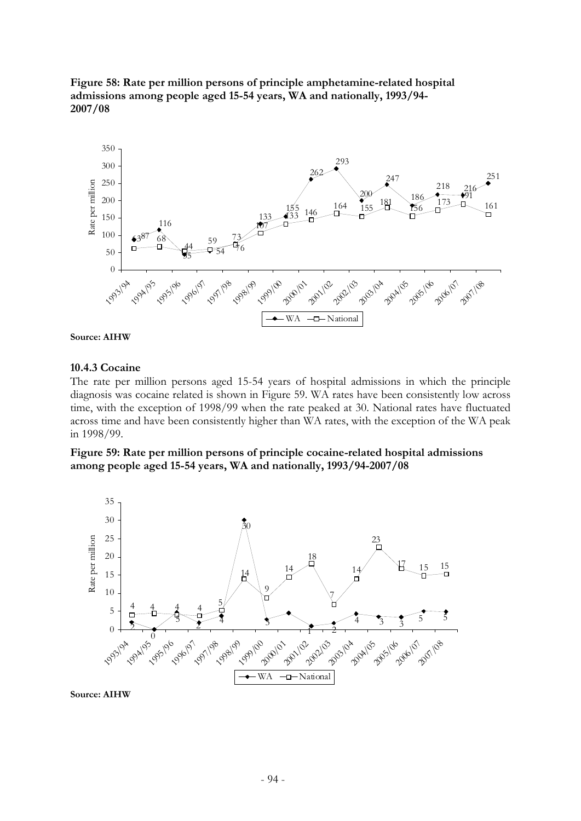**Figure 58: Rate per million persons of principle amphetamine-related hospital admissions among people aged 15-54 years, WA and nationally, 1993/94- 2007/08**





### **10.4.3 Cocaine**

The rate per million persons aged 15-54 years of hospital admissions in which the principle diagnosis was cocaine related is shown in Figure 59. WA rates have been consistently low across time, with the exception of 1998/99 when the rate peaked at 30. National rates have fluctuated across time and have been consistently higher than WA rates, with the exception of the WA peak in 1998/99.

**Figure 59: Rate per million persons of principle cocaine-related hospital admissions among people aged 15-54 years, WA and nationally, 1993/94-2007/08** 



**Source: AIHW**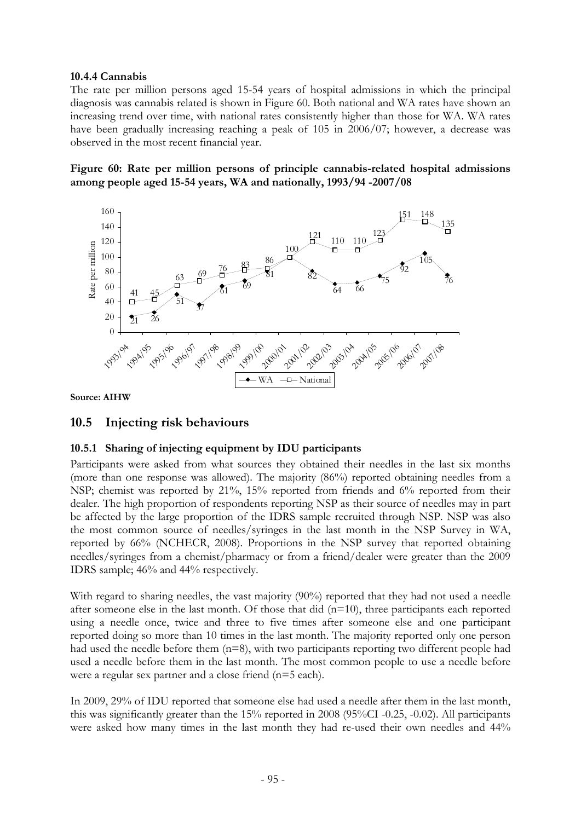### **10.4.4 Cannabis**

The rate per million persons aged 15-54 years of hospital admissions in which the principal diagnosis was cannabis related is shown in Figure 60. Both national and WA rates have shown an increasing trend over time, with national rates consistently higher than those for WA. WA rates have been gradually increasing reaching a peak of 105 in 2006/07; however, a decrease was observed in the most recent financial year.

**Figure 60: Rate per million persons of principle cannabis-related hospital admissions among people aged 15-54 years, WA and nationally, 1993/94 -2007/08** 



**Source: AIHW**

# **10.5 Injecting risk behaviours**

### **10.5.1 Sharing of injecting equipment by IDU participants**

Participants were asked from what sources they obtained their needles in the last six months (more than one response was allowed). The majority (86%) reported obtaining needles from a NSP; chemist was reported by 21%, 15% reported from friends and 6% reported from their dealer. The high proportion of respondents reporting NSP as their source of needles may in part be affected by the large proportion of the IDRS sample recruited through NSP. NSP was also the most common source of needles/syringes in the last month in the NSP Survey in WA, reported by 66% (NCHECR, 2008). Proportions in the NSP survey that reported obtaining needles/syringes from a chemist/pharmacy or from a friend/dealer were greater than the 2009 IDRS sample; 46% and 44% respectively.

With regard to sharing needles, the vast majority (90%) reported that they had not used a needle after someone else in the last month. Of those that did  $(n=10)$ , three participants each reported using a needle once, twice and three to five times after someone else and one participant reported doing so more than 10 times in the last month. The majority reported only one person had used the needle before them (n=8), with two participants reporting two different people had used a needle before them in the last month. The most common people to use a needle before were a regular sex partner and a close friend (n=5 each).

In 2009, 29% of IDU reported that someone else had used a needle after them in the last month, this was significantly greater than the 15% reported in 2008 (95%CI -0.25, -0.02). All participants were asked how many times in the last month they had re-used their own needles and 44%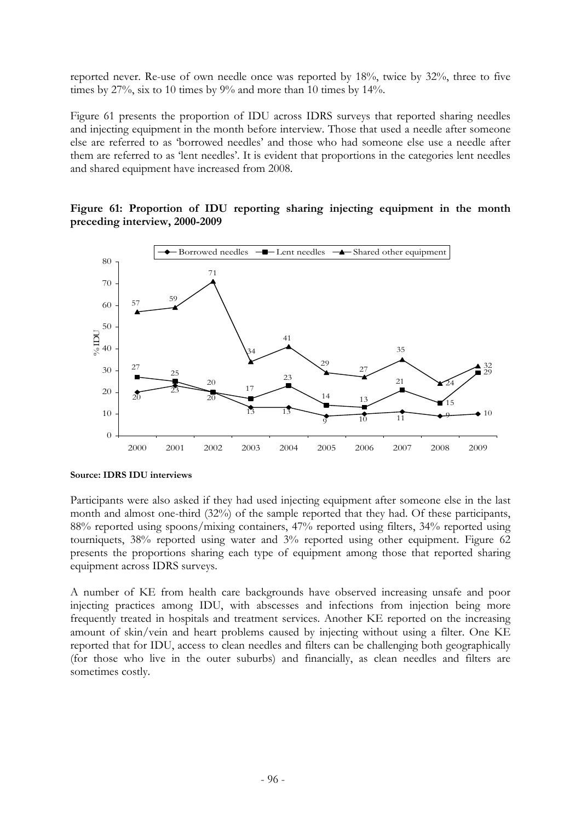reported never. Re-use of own needle once was reported by 18%, twice by 32%, three to five times by 27%, six to 10 times by 9% and more than 10 times by 14%.

Figure 61 presents the proportion of IDU across IDRS surveys that reported sharing needles and injecting equipment in the month before interview. Those that used a needle after someone else are referred to as 'borrowed needles' and those who had someone else use a needle after them are referred to as 'lent needles'. It is evident that proportions in the categories lent needles and shared equipment have increased from 2008.

### **Figure 61: Proportion of IDU reporting sharing injecting equipment in the month preceding interview, 2000-2009**



**Source: IDRS IDU interviews**

Participants were also asked if they had used injecting equipment after someone else in the last month and almost one-third (32%) of the sample reported that they had. Of these participants, 88% reported using spoons/mixing containers, 47% reported using filters, 34% reported using tourniquets, 38% reported using water and 3% reported using other equipment. Figure 62 presents the proportions sharing each type of equipment among those that reported sharing equipment across IDRS surveys.

A number of KE from health care backgrounds have observed increasing unsafe and poor injecting practices among IDU, with abscesses and infections from injection being more frequently treated in hospitals and treatment services. Another KE reported on the increasing amount of skin/vein and heart problems caused by injecting without using a filter. One KE reported that for IDU, access to clean needles and filters can be challenging both geographically (for those who live in the outer suburbs) and financially, as clean needles and filters are sometimes costly.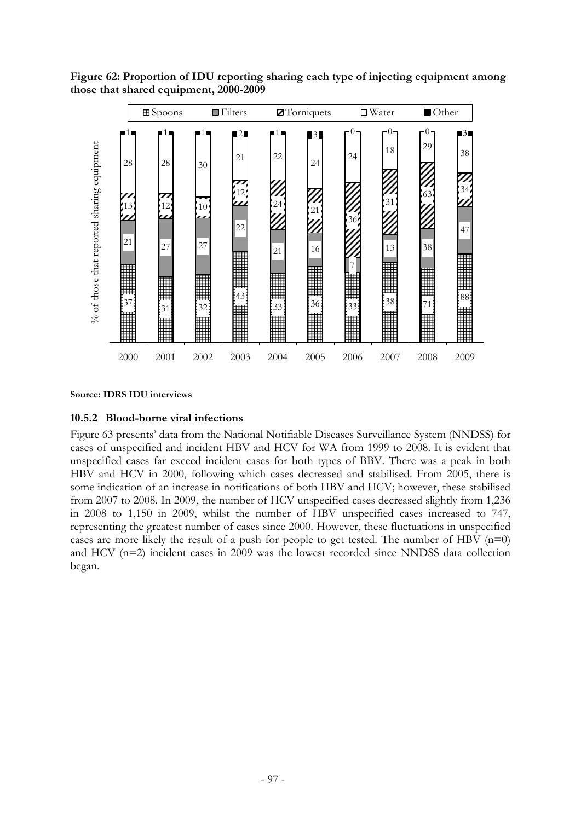

**Figure 62: Proportion of IDU reporting sharing each type of injecting equipment among those that shared equipment, 2000-2009** 

#### **Source: IDRS IDU interviews**

### **10.5.2 Blood-borne viral infections**

Figure 63 presents' data from the National Notifiable Diseases Surveillance System (NNDSS) for cases of unspecified and incident HBV and HCV for WA from 1999 to 2008. It is evident that unspecified cases far exceed incident cases for both types of BBV. There was a peak in both HBV and HCV in 2000, following which cases decreased and stabilised. From 2005, there is some indication of an increase in notifications of both HBV and HCV; however, these stabilised from 2007 to 2008. In 2009, the number of HCV unspecified cases decreased slightly from 1,236 in 2008 to 1,150 in 2009, whilst the number of HBV unspecified cases increased to 747, representing the greatest number of cases since 2000. However, these fluctuations in unspecified cases are more likely the result of a push for people to get tested. The number of HBV  $(n=0)$ and HCV (n=2) incident cases in 2009 was the lowest recorded since NNDSS data collection began.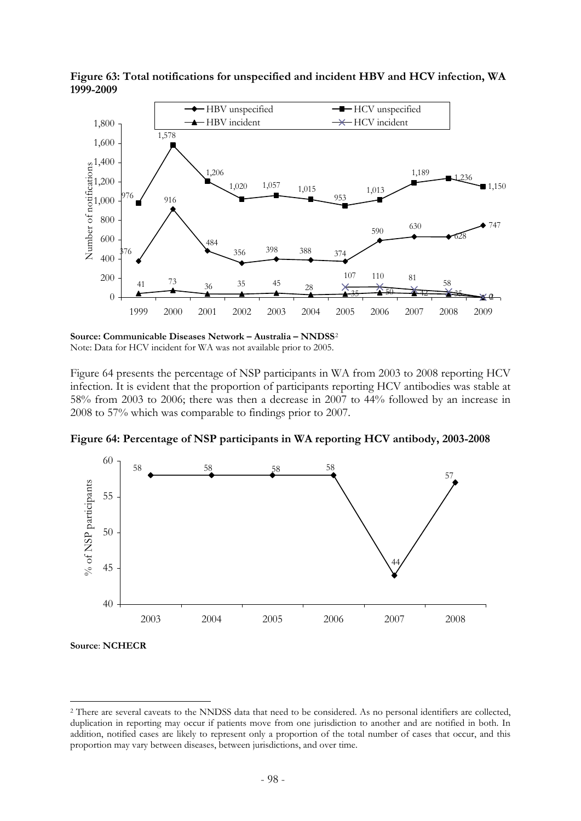

**Figure 63: Total notifications for unspecified and incident HBV and HCV infection, WA 1999-2009** 

**Source: Communicable Diseases Network – Australia – NNDSS**[2](#page-100-0) Note: Data for HCV incident for WA was not available prior to 2005.

Figure 64 presents the percentage of NSP participants in WA from 2003 to 2008 reporting HCV infection. It is evident that the proportion of participants reporting HCV antibodies was stable at 58% from 2003 to 2006; there was then a decrease in 2007 to 44% followed by an increase in 2008 to 57% which was comparable to findings prior to 2007.



**Figure 64: Percentage of NSP participants in WA reporting HCV antibody, 2003-2008** 

**Source**: **NCHECR** 

1

<span id="page-100-0"></span><sup>&</sup>lt;sup>2</sup> There are several caveats to the NNDSS data that need to be considered. As no personal identifiers are collected, duplication in reporting may occur if patients move from one jurisdiction to another and are notified in both. In addition, notified cases are likely to represent only a proportion of the total number of cases that occur, and this proportion may vary between diseases, between jurisdictions, and over time.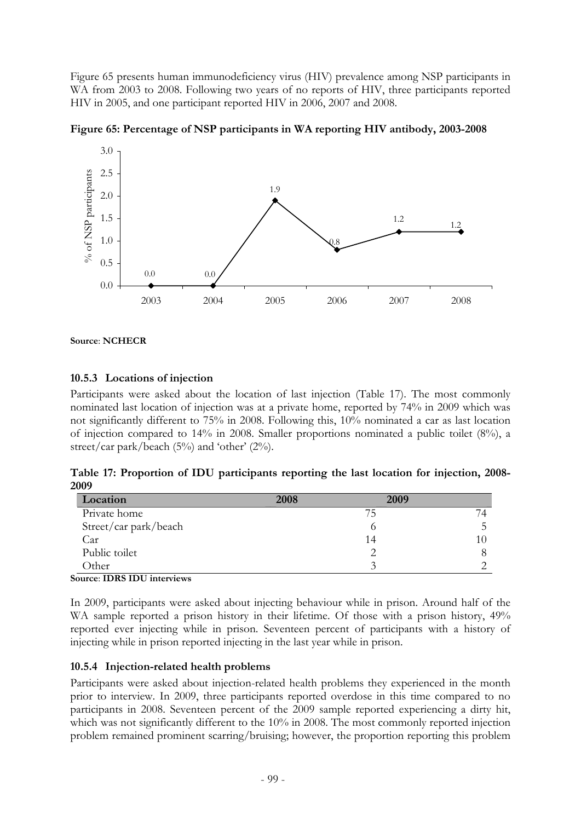Figure 65 presents human immunodeficiency virus (HIV) prevalence among NSP participants in WA from 2003 to 2008. Following two years of no reports of HIV, three participants reported HIV in 2005, and one participant reported HIV in 2006, 2007 and 2008.



**Figure 65: Percentage of NSP participants in WA reporting HIV antibody, 2003-2008** 

**Source**: **NCHECR**

## **10.5.3 Locations of injection**

Participants were asked about the location of last injection (Table 17). The most commonly nominated last location of injection was at a private home, reported by 74% in 2009 which was not significantly different to 75% in 2008. Following this, 10% nominated a car as last location of injection compared to 14% in 2008. Smaller proportions nominated a public toilet (8%), a street/car park/beach (5%) and 'other' (2%).

**Table 17: Proportion of IDU participants reporting the last location for injection, 2008- 2009** 

| Location              | 2008 | 2009      |  |
|-----------------------|------|-----------|--|
| Private home          |      | <b>75</b> |  |
| Street/car park/beach |      |           |  |
| Car                   |      | 14        |  |
| Public toilet         |      |           |  |
| Other                 |      |           |  |

**Source**: **IDRS IDU interviews**

In 2009, participants were asked about injecting behaviour while in prison. Around half of the WA sample reported a prison history in their lifetime. Of those with a prison history, 49% reported ever injecting while in prison. Seventeen percent of participants with a history of injecting while in prison reported injecting in the last year while in prison.

## **10.5.4 Injection-related health problems**

Participants were asked about injection-related health problems they experienced in the month prior to interview. In 2009, three participants reported overdose in this time compared to no participants in 2008. Seventeen percent of the 2009 sample reported experiencing a dirty hit, which was not significantly different to the 10% in 2008. The most commonly reported injection problem remained prominent scarring/bruising; however, the proportion reporting this problem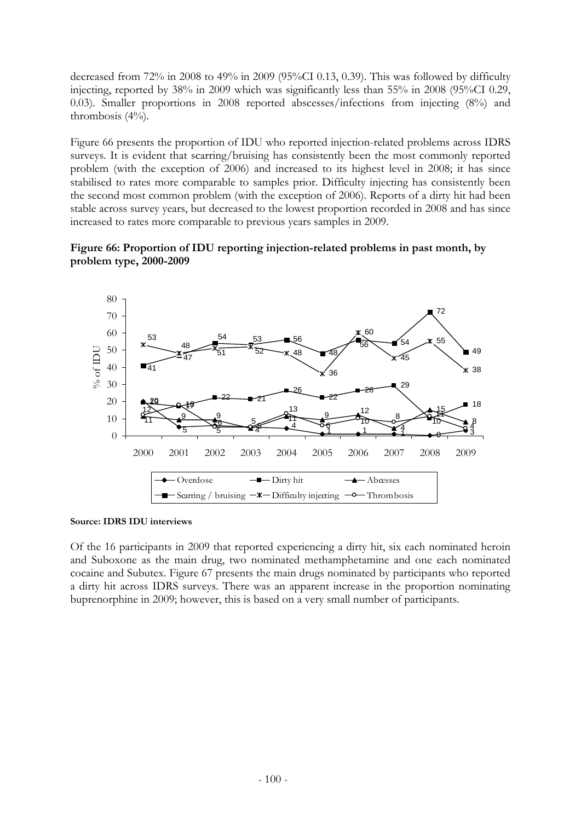decreased from 72% in 2008 to 49% in 2009 (95%CI 0.13, 0.39). This was followed by difficulty injecting, reported by 38% in 2009 which was significantly less than 55% in 2008 (95%CI 0.29, 0.03). Smaller proportions in 2008 reported abscesses/infections from injecting (8%) and thrombosis (4%).

Figure 66 presents the proportion of IDU who reported injection-related problems across IDRS surveys. It is evident that scarring/bruising has consistently been the most commonly reported problem (with the exception of 2006) and increased to its highest level in 2008; it has since stabilised to rates more comparable to samples prior. Difficulty injecting has consistently been the second most common problem (with the exception of 2006). Reports of a dirty hit had been stable across survey years, but decreased to the lowest proportion recorded in 2008 and has since increased to rates more comparable to previous years samples in 2009.





**Source: IDRS IDU interviews** 

Of the 16 participants in 2009 that reported experiencing a dirty hit, six each nominated heroin and Suboxone as the main drug, two nominated methamphetamine and one each nominated cocaine and Subutex. Figure 67 presents the main drugs nominated by participants who reported a dirty hit across IDRS surveys. There was an apparent increase in the proportion nominating buprenorphine in 2009; however, this is based on a very small number of participants.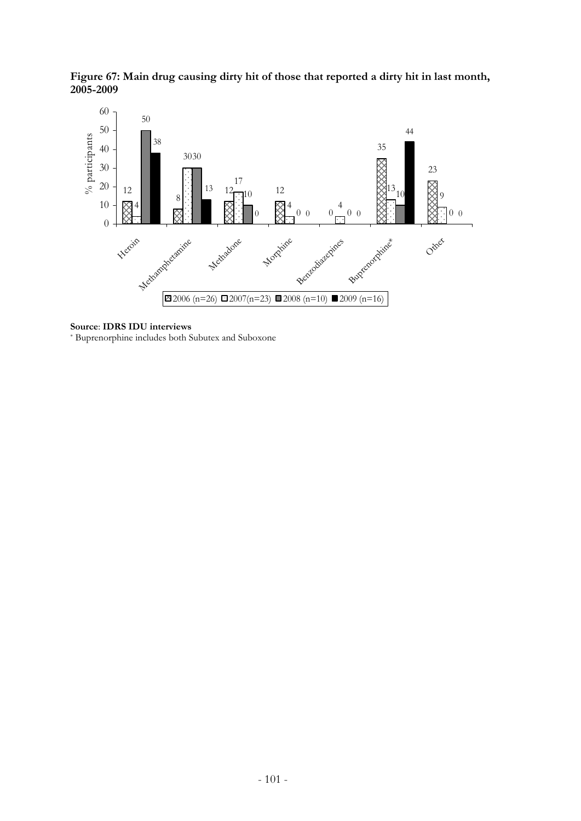**Figure 67: Main drug causing dirty hit of those that reported a dirty hit in last month, 2005-2009**



#### **Source**: **IDRS IDU interviews**

\* Buprenorphine includes both Subutex and Suboxone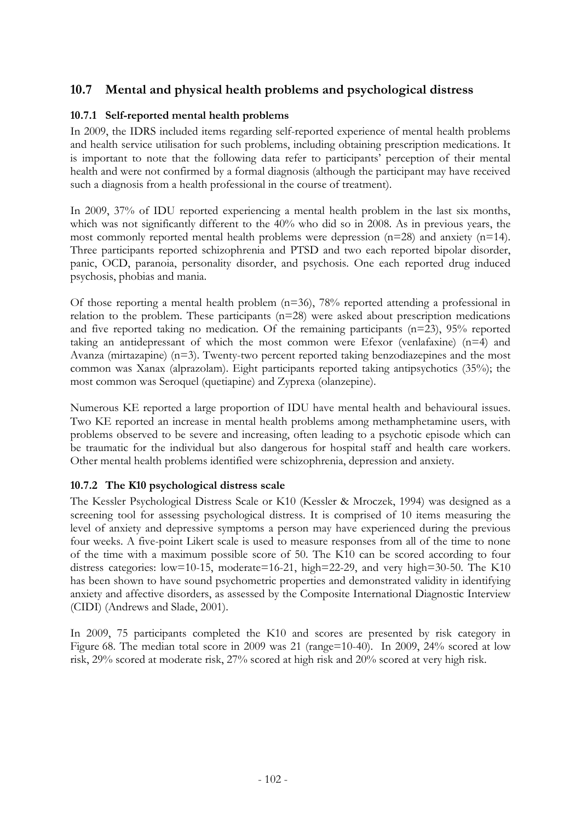# **10.7 Mental and physical health problems and psychological distress**

# **10.7.1 Self-reported mental health problems**

In 2009, the IDRS included items regarding self-reported experience of mental health problems and health service utilisation for such problems, including obtaining prescription medications. It is important to note that the following data refer to participants' perception of their mental health and were not confirmed by a formal diagnosis (although the participant may have received such a diagnosis from a health professional in the course of treatment).

In 2009, 37% of IDU reported experiencing a mental health problem in the last six months, which was not significantly different to the 40% who did so in 2008. As in previous years, the most commonly reported mental health problems were depression (n=28) and anxiety (n=14). Three participants reported schizophrenia and PTSD and two each reported bipolar disorder, panic, OCD, paranoia, personality disorder, and psychosis. One each reported drug induced psychosis, phobias and mania.

Of those reporting a mental health problem (n=36), 78% reported attending a professional in relation to the problem. These participants (n=28) were asked about prescription medications and five reported taking no medication. Of the remaining participants (n=23), 95% reported taking an antidepressant of which the most common were Efexor (venlafaxine) (n=4) and Avanza (mirtazapine) (n=3). Twenty-two percent reported taking benzodiazepines and the most common was Xanax (alprazolam). Eight participants reported taking antipsychotics (35%); the most common was Seroquel (quetiapine) and Zyprexa (olanzepine).

Numerous KE reported a large proportion of IDU have mental health and behavioural issues. Two KE reported an increase in mental health problems among methamphetamine users, with problems observed to be severe and increasing, often leading to a psychotic episode which can be traumatic for the individual but also dangerous for hospital staff and health care workers. Other mental health problems identified were schizophrenia, depression and anxiety.

## **10.7.2 The K10 psychological distress scale**

The Kessler Psychological Distress Scale or K10 (Kessler & Mroczek, 1994) was designed as a screening tool for assessing psychological distress. It is comprised of 10 items measuring the level of anxiety and depressive symptoms a person may have experienced during the previous four weeks. A five-point Likert scale is used to measure responses from all of the time to none of the time with a maximum possible score of 50. The K10 can be scored according to four distress categories: low=10-15, moderate=16-21, high=22-29, and very high=30-50. The K10 has been shown to have sound psychometric properties and demonstrated validity in identifying anxiety and affective disorders, as assessed by the Composite International Diagnostic Interview (CIDI) (Andrews and Slade, 2001).

In 2009, 75 participants completed the K10 and scores are presented by risk category in Figure 68. The median total score in 2009 was 21 (range=10-40). In 2009, 24% scored at low risk, 29% scored at moderate risk, 27% scored at high risk and 20% scored at very high risk.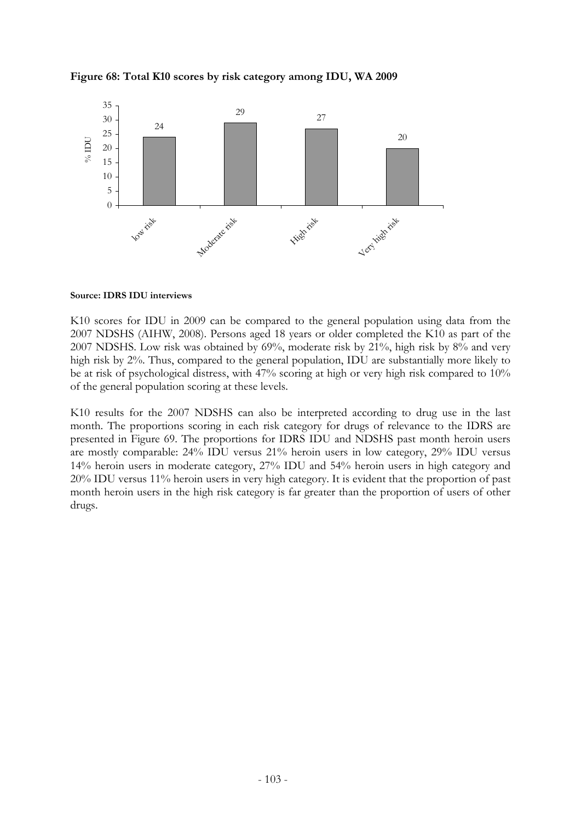



**Source: IDRS IDU interviews** 

K10 scores for IDU in 2009 can be compared to the general population using data from the 2007 NDSHS (AIHW, 2008). Persons aged 18 years or older completed the K10 as part of the 2007 NDSHS. Low risk was obtained by 69%, moderate risk by 21%, high risk by 8% and very high risk by 2%. Thus, compared to the general population, IDU are substantially more likely to be at risk of psychological distress, with 47% scoring at high or very high risk compared to 10% of the general population scoring at these levels.

K10 results for the 2007 NDSHS can also be interpreted according to drug use in the last month. The proportions scoring in each risk category for drugs of relevance to the IDRS are presented in Figure 69. The proportions for IDRS IDU and NDSHS past month heroin users are mostly comparable: 24% IDU versus 21% heroin users in low category, 29% IDU versus 14% heroin users in moderate category, 27% IDU and 54% heroin users in high category and 20% IDU versus 11% heroin users in very high category. It is evident that the proportion of past month heroin users in the high risk category is far greater than the proportion of users of other drugs.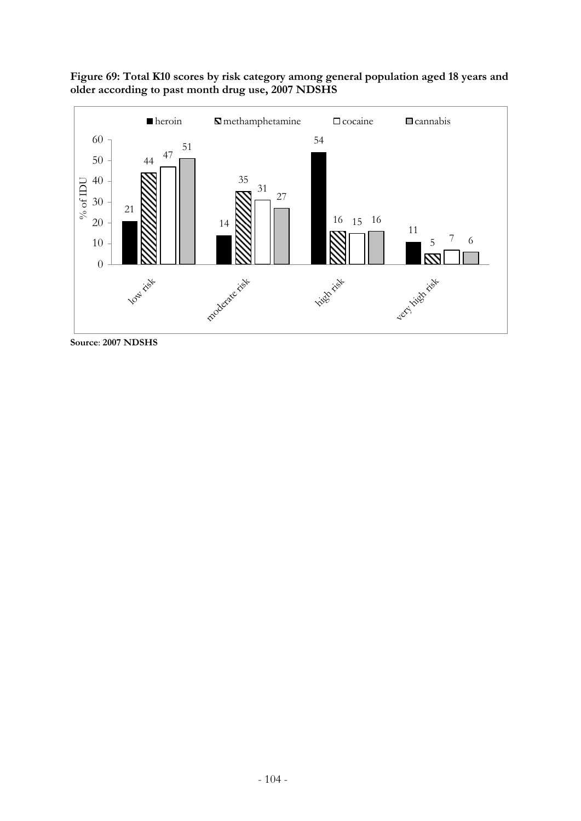

**Figure 69: Total K10 scores by risk category among general population aged 18 years and older according to past month drug use, 2007 NDSHS** 

**Source**: **2007 NDSHS**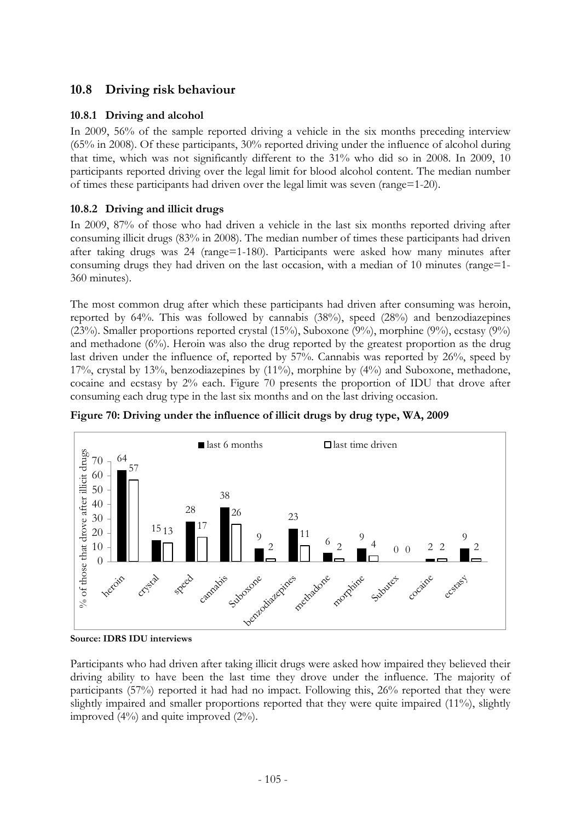# **10.8 Driving risk behaviour**

# **10.8.1 Driving and alcohol**

In 2009, 56% of the sample reported driving a vehicle in the six months preceding interview (65% in 2008). Of these participants, 30% reported driving under the influence of alcohol during that time, which was not significantly different to the 31% who did so in 2008. In 2009, 10 participants reported driving over the legal limit for blood alcohol content. The median number of times these participants had driven over the legal limit was seven (range=1-20).

# **10.8.2 Driving and illicit drugs**

In 2009, 87% of those who had driven a vehicle in the last six months reported driving after consuming illicit drugs (83% in 2008). The median number of times these participants had driven after taking drugs was 24 (range=1-180). Participants were asked how many minutes after consuming drugs they had driven on the last occasion, with a median of 10 minutes (range=1- 360 minutes).

The most common drug after which these participants had driven after consuming was heroin, reported by 64%. This was followed by cannabis (38%), speed (28%) and benzodiazepines (23%). Smaller proportions reported crystal (15%), Suboxone (9%), morphine (9%), ecstasy (9%) and methadone  $(6\%)$ . Heroin was also the drug reported by the greatest proportion as the drug last driven under the influence of, reported by 57%. Cannabis was reported by 26%, speed by 17%, crystal by 13%, benzodiazepines by (11%), morphine by (4%) and Suboxone, methadone, cocaine and ecstasy by 2% each. Figure 70 presents the proportion of IDU that drove after consuming each drug type in the last six months and on the last driving occasion.



**Figure 70: Driving under the influence of illicit drugs by drug type, WA, 2009** 

**Source: IDRS IDU interviews**

Participants who had driven after taking illicit drugs were asked how impaired they believed their driving ability to have been the last time they drove under the influence. The majority of participants (57%) reported it had had no impact. Following this, 26% reported that they were slightly impaired and smaller proportions reported that they were quite impaired (11%), slightly improved (4%) and quite improved (2%).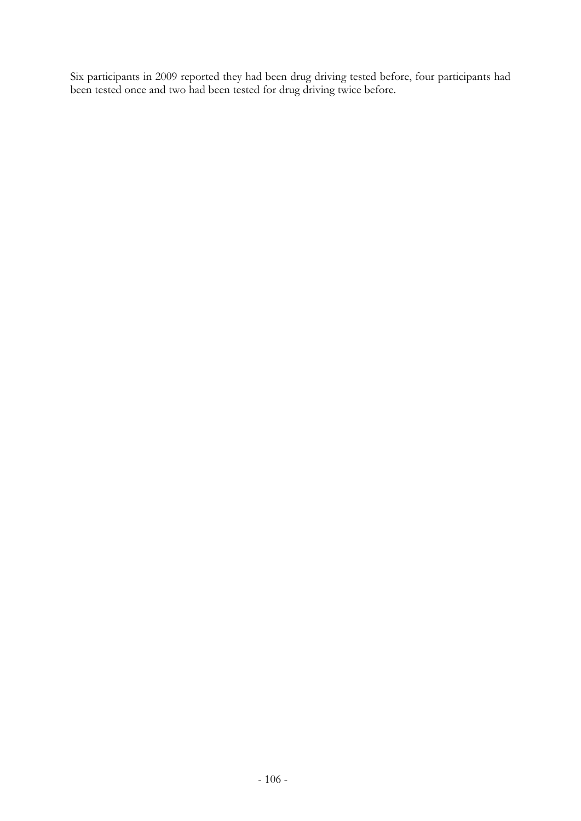Six participants in 2009 reported they had been drug driving tested before, four participants had been tested once and two had been tested for drug driving twice before.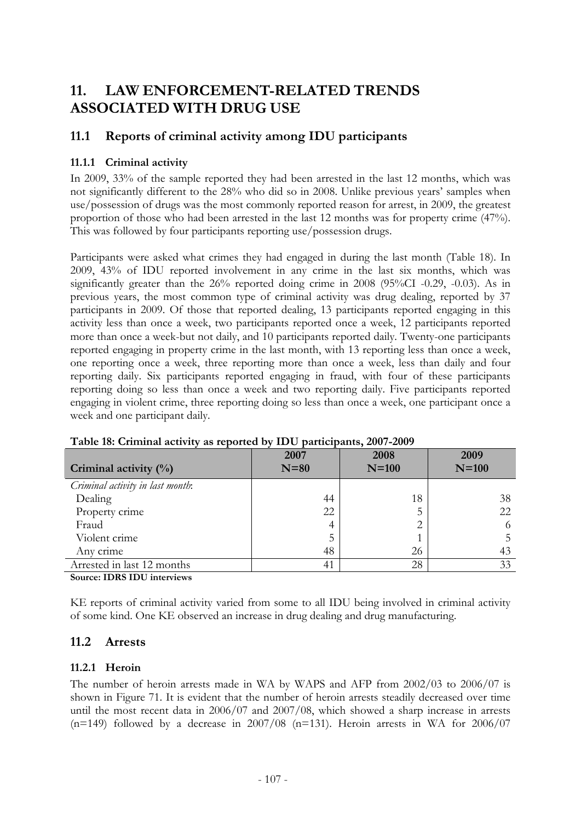# **11. LAW ENFORCEMENT-RELATED TRENDS ASSOCIATED WITH DRUG USE**

## **11.1 Reports of criminal activity among IDU participants**

## **11.1.1 Criminal activity**

In 2009, 33% of the sample reported they had been arrested in the last 12 months, which was not significantly different to the 28% who did so in 2008. Unlike previous years' samples when use/possession of drugs was the most commonly reported reason for arrest, in 2009, the greatest proportion of those who had been arrested in the last 12 months was for property crime (47%). This was followed by four participants reporting use/possession drugs.

Participants were asked what crimes they had engaged in during the last month (Table 18). In 2009, 43% of IDU reported involvement in any crime in the last six months, which was significantly greater than the 26% reported doing crime in 2008 (95%CI -0.29, -0.03). As in previous years, the most common type of criminal activity was drug dealing, reported by 37 participants in 2009. Of those that reported dealing, 13 participants reported engaging in this activity less than once a week, two participants reported once a week, 12 participants reported more than once a week-but not daily, and 10 participants reported daily. Twenty-one participants reported engaging in property crime in the last month, with 13 reporting less than once a week, one reporting once a week, three reporting more than once a week, less than daily and four reporting daily. Six participants reported engaging in fraud, with four of these participants reporting doing so less than once a week and two reporting daily. Five participants reported engaging in violent crime, three reporting doing so less than once a week, one participant once a week and one participant daily.

| Criminal activity $(\%)$         | 2007<br>$N=80$ | 2008<br>$N=100$ | 2009<br>$N=100$ |
|----------------------------------|----------------|-----------------|-----------------|
| Criminal activity in last month: |                |                 |                 |
| Dealing                          | 44             | 18              | 38              |
| Property crime                   | 22             |                 | 22              |
| Fraud                            | 4              | ◠               | 6               |
| Violent crime                    | 5              |                 |                 |
| Any crime                        | 48             | 26              | 43              |
| Arrested in last 12 months       | 41             | 28              | 33              |

**Table 18: Criminal activity as reported by IDU participants, 2007-2009** 

**Source: IDRS IDU interviews** 

KE reports of criminal activity varied from some to all IDU being involved in criminal activity of some kind. One KE observed an increase in drug dealing and drug manufacturing.

## **11.2 Arrests**

### **11.2.1 Heroin**

The number of heroin arrests made in WA by WAPS and AFP from 2002/03 to 2006/07 is shown in Figure 71. It is evident that the number of heroin arrests steadily decreased over time until the most recent data in 2006/07 and 2007/08, which showed a sharp increase in arrests  $(n=149)$  followed by a decrease in 2007/08  $(n=131)$ . Heroin arrests in WA for 2006/07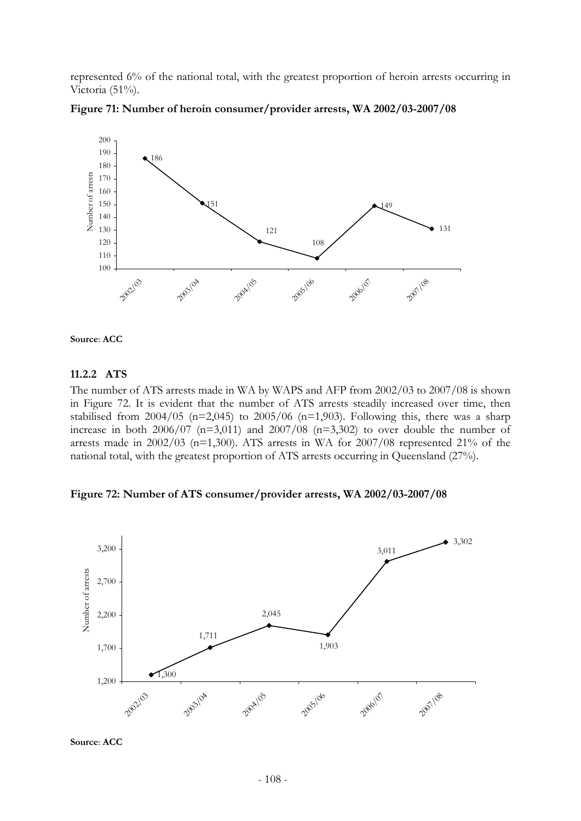represented 6% of the national total, with the greatest proportion of heroin arrests occurring in Victoria (51%).







### **11.2.2 ATS**

The number of ATS arrests made in WA by WAPS and AFP from 2002/03 to 2007/08 is shown in Figure 72. It is evident that the number of ATS arrests steadily increased over time, then stabilised from  $2004/05$  (n=2,045) to  $2005/06$  (n=1,903). Following this, there was a sharp increase in both  $2006/07$  (n=3,011) and  $2007/08$  (n=3,302) to over double the number of arrests made in  $2002/03$  (n=1,300). ATS arrests in WA for  $2007/08$  represented 21% of the national total, with the greatest proportion of ATS arrests occurring in Queensland (27%).

**Figure 72: Number of ATS consumer/provider arrests, WA 2002/03-2007/08** 



**Source**: **ACC**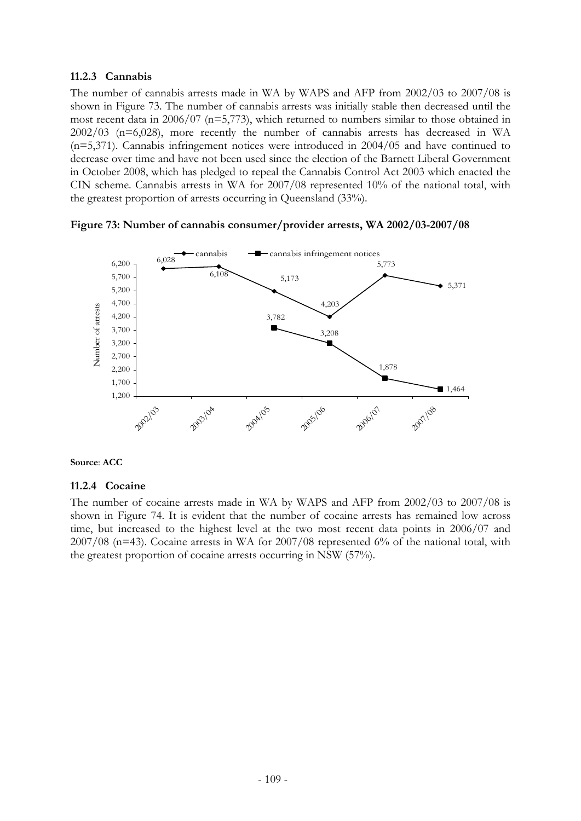### **11.2.3 Cannabis**

The number of cannabis arrests made in WA by WAPS and AFP from 2002/03 to 2007/08 is shown in Figure 73. The number of cannabis arrests was initially stable then decreased until the most recent data in 2006/07 (n=5,773), which returned to numbers similar to those obtained in 2002/03 (n=6,028), more recently the number of cannabis arrests has decreased in WA (n=5,371). Cannabis infringement notices were introduced in 2004/05 and have continued to decrease over time and have not been used since the election of the Barnett Liberal Government in October 2008, which has pledged to repeal the Cannabis Control Act 2003 which enacted the CIN scheme. Cannabis arrests in WA for 2007/08 represented 10% of the national total, with the greatest proportion of arrests occurring in Queensland (33%).





### **Source**: **ACC**

### **11.2.4 Cocaine**

The number of cocaine arrests made in WA by WAPS and AFP from 2002/03 to 2007/08 is shown in Figure 74. It is evident that the number of cocaine arrests has remained low across time, but increased to the highest level at the two most recent data points in 2006/07 and  $2007/08$  (n=43). Cocaine arrests in WA for  $2007/08$  represented 6% of the national total, with the greatest proportion of cocaine arrests occurring in NSW (57%).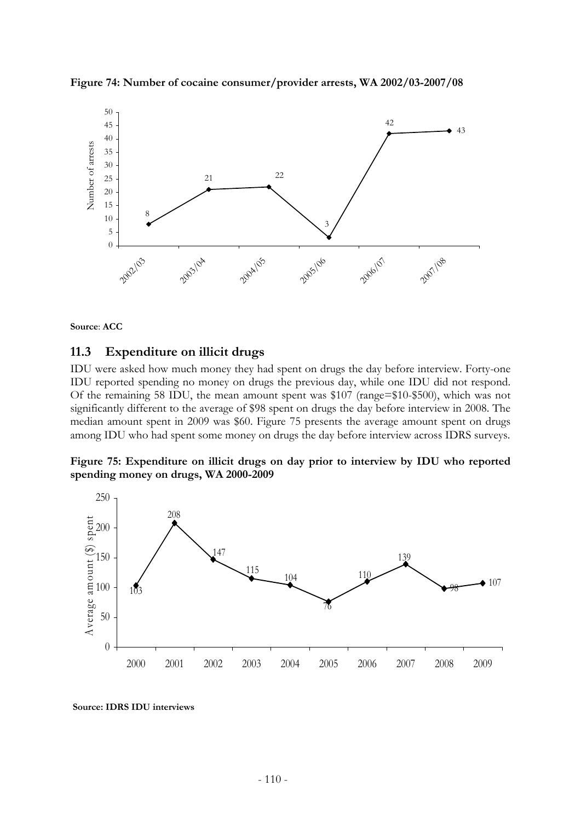



**Source**: **ACC**

### **11.3 Expenditure on illicit drugs**

IDU were asked how much money they had spent on drugs the day before interview. Forty-one IDU reported spending no money on drugs the previous day, while one IDU did not respond. Of the remaining 58 IDU, the mean amount spent was \$107 (range=\$10-\$500), which was not significantly different to the average of \$98 spent on drugs the day before interview in 2008. The median amount spent in 2009 was \$60. Figure 75 presents the average amount spent on drugs among IDU who had spent some money on drugs the day before interview across IDRS surveys.





 **Source: IDRS IDU interviews**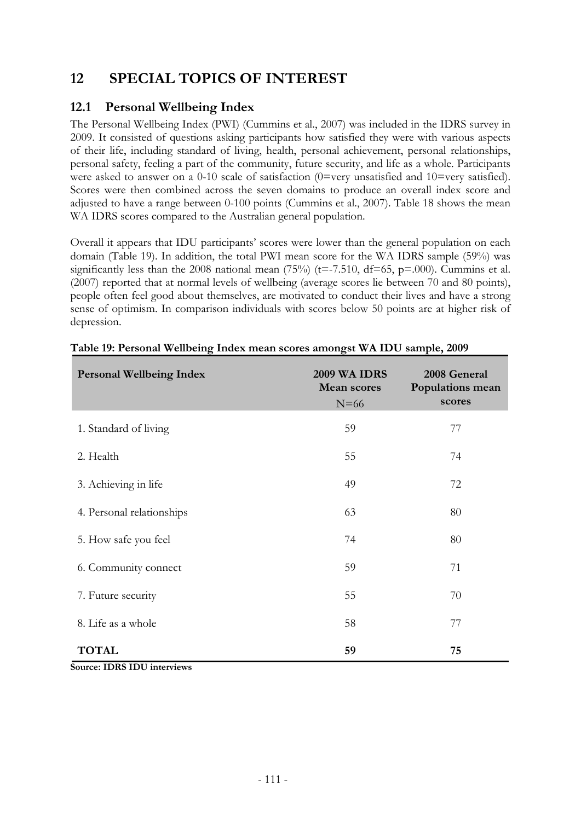# **12 SPECIAL TOPICS OF INTEREST**

## **12.1 Personal Wellbeing Index**

The Personal Wellbeing Index (PWI) (Cummins et al., 2007) was included in the IDRS survey in 2009. It consisted of questions asking participants how satisfied they were with various aspects of their life, including standard of living, health, personal achievement, personal relationships, personal safety, feeling a part of the community, future security, and life as a whole. Participants were asked to answer on a 0-10 scale of satisfaction (0=very unsatisfied and 10=very satisfied). Scores were then combined across the seven domains to produce an overall index score and adjusted to have a range between 0-100 points (Cummins et al., 2007). Table 18 shows the mean WA IDRS scores compared to the Australian general population.

Overall it appears that IDU participants' scores were lower than the general population on each domain (Table 19). In addition, the total PWI mean score for the WA IDRS sample (59%) was significantly less than the 2008 national mean  $(75%)$  (t=-7.510, df=65, p=.000). Cummins et al. (2007) reported that at normal levels of wellbeing (average scores lie between 70 and 80 points), people often feel good about themselves, are motivated to conduct their lives and have a strong sense of optimism. In comparison individuals with scores below 50 points are at higher risk of depression.

| <b>Personal Wellbeing Index</b> | <b>2009 WA IDRS</b><br><b>Mean scores</b><br>$N=66$ | 2008 General<br>Populations mean<br>scores |
|---------------------------------|-----------------------------------------------------|--------------------------------------------|
| 1. Standard of living           | 59                                                  | 77                                         |
| 2. Health                       | 55                                                  | 74                                         |
| 3. Achieving in life            | 49                                                  | 72                                         |
| 4. Personal relationships       | 63                                                  | 80                                         |
| 5. How safe you feel            | 74                                                  | 80                                         |
| 6. Community connect            | 59                                                  | 71                                         |
| 7. Future security              | 55                                                  | 70                                         |
| 8. Life as a whole              | 58                                                  | 77                                         |
| <b>TOTAL</b>                    | 59                                                  | 75                                         |

**Source: IDRS IDU interviews**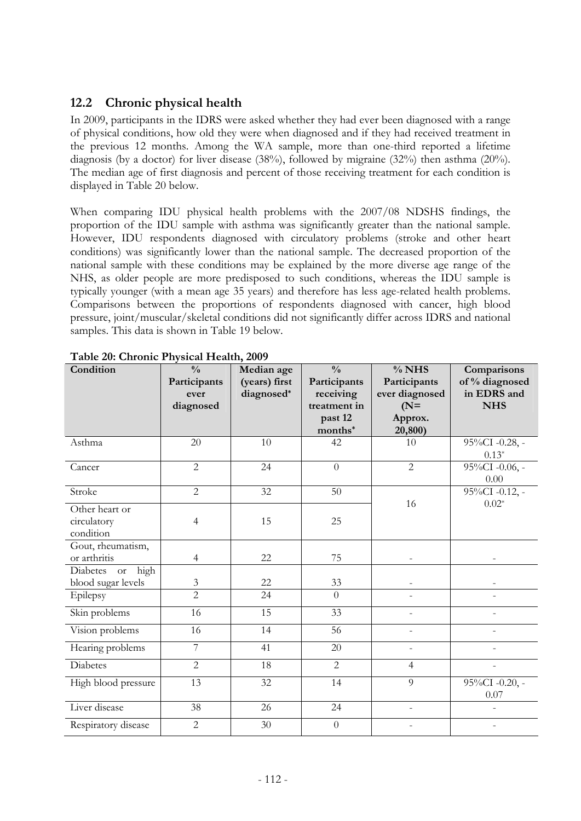# **12.2 Chronic physical health**

In 2009, participants in the IDRS were asked whether they had ever been diagnosed with a range of physical conditions, how old they were when diagnosed and if they had received treatment in the previous 12 months. Among the WA sample, more than one-third reported a lifetime diagnosis (by a doctor) for liver disease (38%), followed by migraine (32%) then asthma (20%). The median age of first diagnosis and percent of those receiving treatment for each condition is displayed in Table 20 below.

When comparing IDU physical health problems with the 2007/08 NDSHS findings, the proportion of the IDU sample with asthma was significantly greater than the national sample. However, IDU respondents diagnosed with circulatory problems (stroke and other heart conditions) was significantly lower than the national sample. The decreased proportion of the national sample with these conditions may be explained by the more diverse age range of the NHS, as older people are more predisposed to such conditions, whereas the IDU sample is typically younger (with a mean age 35 years) and therefore has less age-related health problems. Comparisons between the proportions of respondents diagnosed with cancer, high blood pressure, joint/muscular/skeletal conditions did not significantly differ across IDRS and national samples. This data is shown in Table 19 below.

| Condition                         | $\frac{0}{0}$                    | Median age    | $\frac{0}{0}$             | $%$ NHS                  | Comparisons               |  |
|-----------------------------------|----------------------------------|---------------|---------------------------|--------------------------|---------------------------|--|
|                                   | Participants                     | (years) first | Participants              | Participants             | of % diagnosed            |  |
|                                   | ever                             | diagnosed*    | receiving<br>treatment in | ever diagnosed           | in EDRS and<br><b>NHS</b> |  |
|                                   | diagnosed                        |               | past 12                   | $(N=$<br>Approx.         |                           |  |
|                                   |                                  |               | months*                   | 20,800)                  |                           |  |
| Asthma                            | 20                               | 10            | 42                        | 10                       | 95%CI -0.28, -            |  |
|                                   |                                  |               |                           |                          | $0.13*$                   |  |
| Cancer                            | $\overline{2}$                   | 24            | $\overline{0}$            | $\overline{2}$           | 95%CI -0.06, -            |  |
|                                   |                                  |               |                           |                          | 0.00                      |  |
| Stroke                            | $\overline{2}$                   | 32            | 50                        |                          | 95%CI -0.12, -            |  |
| Other heart or                    |                                  |               |                           | 16                       | $0.02*$                   |  |
| circulatory                       | $\overline{4}$                   | 15            | 25                        |                          |                           |  |
| condition                         |                                  |               |                           |                          |                           |  |
| Gout, rheumatism,                 |                                  |               |                           |                          |                           |  |
| or arthritis                      | $\overline{4}$                   | 22            | 75                        |                          |                           |  |
| high<br>Diabetes<br><sub>or</sub> |                                  | 22            |                           |                          |                           |  |
| blood sugar levels                | $\mathfrak{Z}$<br>$\overline{2}$ | 24            | 33<br>$\overline{0}$      |                          |                           |  |
| Epilepsy                          |                                  |               |                           |                          |                           |  |
| Skin problems                     | 16                               | 15            | $\overline{33}$           |                          |                           |  |
| Vision problems                   | 16                               | 14            | 56                        | $\overline{\phantom{0}}$ |                           |  |
| Hearing problems                  | $\overline{7}$                   | 41            | 20                        |                          |                           |  |
| <b>Diabetes</b>                   | $\overline{2}$                   | 18            | $\overline{2}$            | $\overline{4}$           |                           |  |
| High blood pressure               | 13                               | 32            | 14                        | 9                        | 95%CI -0.20, -            |  |
|                                   |                                  |               |                           |                          | 0.07                      |  |
| Liver disease                     | 38                               | 26            | 24                        |                          |                           |  |
| Respiratory disease               | $\overline{2}$                   | $30\,$        | $\overline{0}$            |                          |                           |  |

**Table 20: Chronic Physical Health, 2009**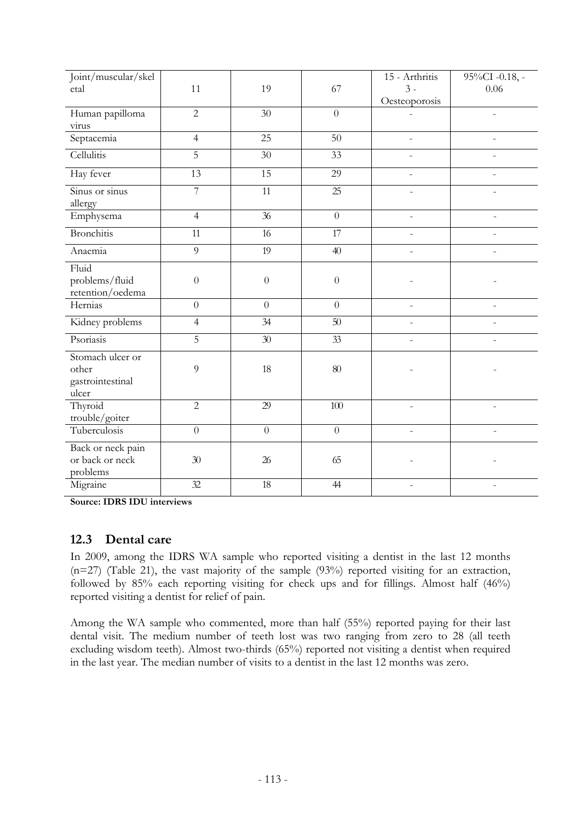| Joint/muscular/skel                                    |                |                 |                  | 15 - Arthritis           | 95%CI -0.18, - |
|--------------------------------------------------------|----------------|-----------------|------------------|--------------------------|----------------|
| etal                                                   | 11             | 19              | 67               | $3 -$                    | 0.06           |
|                                                        |                |                 |                  | Oesteoporosis            |                |
| Human papilloma                                        | $\overline{2}$ | 30              | $\overline{0}$   |                          |                |
| virus                                                  |                |                 |                  |                          |                |
| Septacemia                                             | $\overline{4}$ | $\overline{25}$ | $\overline{50}$  | L                        |                |
| Cellulitis                                             | $\overline{5}$ | 30              | 33               |                          |                |
| Hay fever                                              | 13             | 15              | 29               | L,                       |                |
| Sinus or sinus<br>allergy                              | 7              | 11              | 25               | $\overline{\phantom{a}}$ |                |
| Emphysema                                              | $\overline{4}$ | $\overline{36}$ | $\overline{0}$   |                          |                |
| <b>Bronchitis</b>                                      | 11             | 16              | $\overline{17}$  |                          |                |
| Anaemia                                                | $\overline{9}$ | $\overline{19}$ | 40               | $\overline{a}$           |                |
| Fluid<br>problems/fluid<br>retention/oedema            | $\overline{0}$ | $\theta$        | $\boldsymbol{0}$ |                          |                |
| Hernias                                                | $\overline{0}$ | $\theta$        | $\overline{0}$   | $\overline{\phantom{m}}$ |                |
| Kidney problems                                        | $\overline{4}$ | 34              | 50               | $\overline{\phantom{a}}$ |                |
| Psoriasis                                              | 5              | 30              | 33               | $\overline{a}$           |                |
| Stomach ulcer or<br>other<br>gastrointestinal<br>ulcer | 9              | 18              | $80\,$           |                          |                |
| Thyroid<br>trouble/goiter                              | $\overline{2}$ | 29              | $100\,$          |                          |                |
| Tuberculosis                                           | $\theta$       | $\overline{0}$  | $\overline{0}$   | $\overline{a}$           |                |
| Back or neck pain<br>or back or neck<br>problems       | $30\,$         | $26\,$          | 65               |                          |                |
| Migraine                                               | 32             | $18\,$          | 44               |                          |                |

**Source: IDRS IDU interviews** 

### **12.3 Dental care**

In 2009, among the IDRS WA sample who reported visiting a dentist in the last 12 months (n=27) (Table 21), the vast majority of the sample (93%) reported visiting for an extraction, followed by 85% each reporting visiting for check ups and for fillings. Almost half (46%) reported visiting a dentist for relief of pain.

Among the WA sample who commented, more than half (55%) reported paying for their last dental visit. The medium number of teeth lost was two ranging from zero to 28 (all teeth excluding wisdom teeth). Almost two-thirds (65%) reported not visiting a dentist when required in the last year. The median number of visits to a dentist in the last 12 months was zero.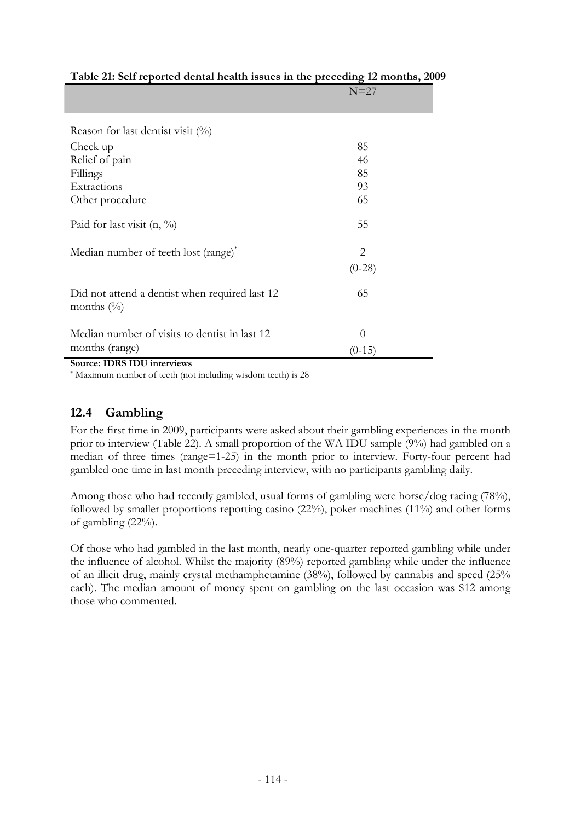| which are completed to the notation notice in the preceding | $\ldots$ |
|-------------------------------------------------------------|----------|
|                                                             | $N=27$   |
|                                                             |          |
|                                                             |          |
| Reason for last dentist visit $(\%)$                        |          |
| Check up                                                    | 85       |
| Relief of pain                                              | 46       |
| Fillings                                                    | 85       |
| Extractions                                                 | 93       |
| Other procedure                                             | 65       |
|                                                             |          |
| Paid for last visit $(n, \frac{9}{6})$                      | 55       |
|                                                             |          |
| Median number of teeth lost (range)*                        | 2        |
|                                                             | $(0-28)$ |
|                                                             |          |
| Did not attend a dentist when required last 12              | 65       |
| months $(\%)$                                               |          |
|                                                             |          |
| Median number of visits to dentist in last 12               | $\theta$ |
| months (range)                                              | $(0-15)$ |
|                                                             |          |

## **Table 21: Self reported dental health issues in the preceding 12 months, 2009**

**Source: IDRS IDU interviews** 

\* Maximum number of teeth (not including wisdom teeth) is 28

# **12.4 Gambling**

For the first time in 2009, participants were asked about their gambling experiences in the month prior to interview (Table 22). A small proportion of the WA IDU sample (9%) had gambled on a median of three times (range=1-25) in the month prior to interview. Forty-four percent had gambled one time in last month preceding interview, with no participants gambling daily.

Among those who had recently gambled, usual forms of gambling were horse/dog racing (78%), followed by smaller proportions reporting casino (22%), poker machines (11%) and other forms of gambling (22%).

Of those who had gambled in the last month, nearly one-quarter reported gambling while under the influence of alcohol. Whilst the majority (89%) reported gambling while under the influence of an illicit drug, mainly crystal methamphetamine (38%), followed by cannabis and speed (25% each). The median amount of money spent on gambling on the last occasion was \$12 among those who commented.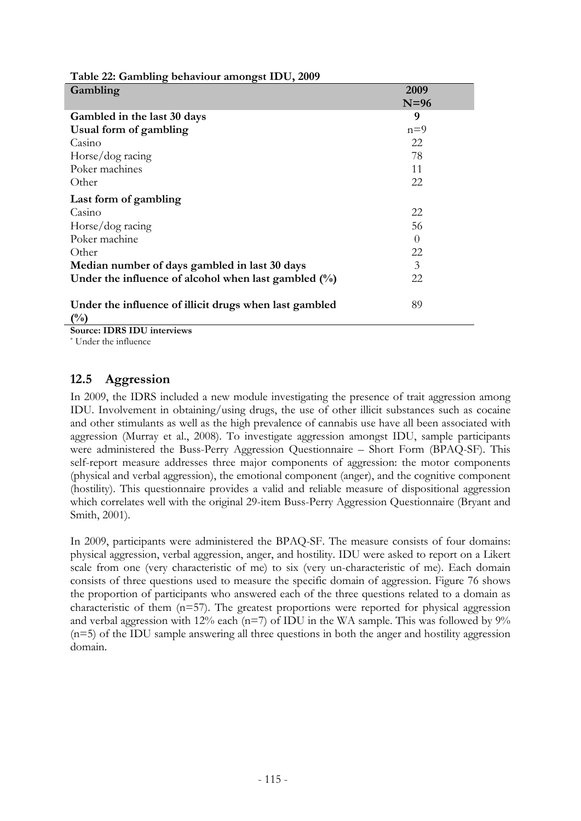| Table 22: Gambling behaviour amongst IDU, 2009                   |          |
|------------------------------------------------------------------|----------|
| Gambling                                                         | 2009     |
|                                                                  | $N=96$   |
| Gambled in the last 30 days                                      | 9        |
| Usual form of gambling                                           | $n=9$    |
| Casino                                                           | 22       |
| Horse/dog racing                                                 | 78       |
| Poker machines                                                   | 11       |
| Other                                                            | 22       |
| Last form of gambling                                            |          |
| Casino                                                           | 22       |
| Horse/dog racing                                                 | 56       |
| Poker machine                                                    | $\Omega$ |
| Other                                                            | 22       |
| Median number of days gambled in last 30 days                    | 3        |
| Under the influence of alcohol when last gambled $(\%)$          | 22       |
| Under the influence of illicit drugs when last gambled<br>$(\%)$ | 89       |

**Source: IDRS IDU interviews** 

\* Under the influence

## **12.5 Aggression**

In 2009, the IDRS included a new module investigating the presence of trait aggression among IDU. Involvement in obtaining/using drugs, the use of other illicit substances such as cocaine and other stimulants as well as the high prevalence of cannabis use have all been associated with aggression (Murray et al., 2008). To investigate aggression amongst IDU, sample participants were administered the Buss-Perry Aggression Questionnaire – Short Form (BPAQ-SF). This self-report measure addresses three major components of aggression: the motor components (physical and verbal aggression), the emotional component (anger), and the cognitive component (hostility). This questionnaire provides a valid and reliable measure of dispositional aggression which correlates well with the original 29-item Buss-Perry Aggression Questionnaire (Bryant and Smith, 2001).

In 2009, participants were administered the BPAQ-SF. The measure consists of four domains: physical aggression, verbal aggression, anger, and hostility. IDU were asked to report on a Likert scale from one (very characteristic of me) to six (very un-characteristic of me). Each domain consists of three questions used to measure the specific domain of aggression. Figure 76 shows the proportion of participants who answered each of the three questions related to a domain as characteristic of them  $(n=57)$ . The greatest proportions were reported for physical aggression and verbal aggression with 12% each ( $n=7$ ) of IDU in the WA sample. This was followed by 9% (n=5) of the IDU sample answering all three questions in both the anger and hostility aggression domain.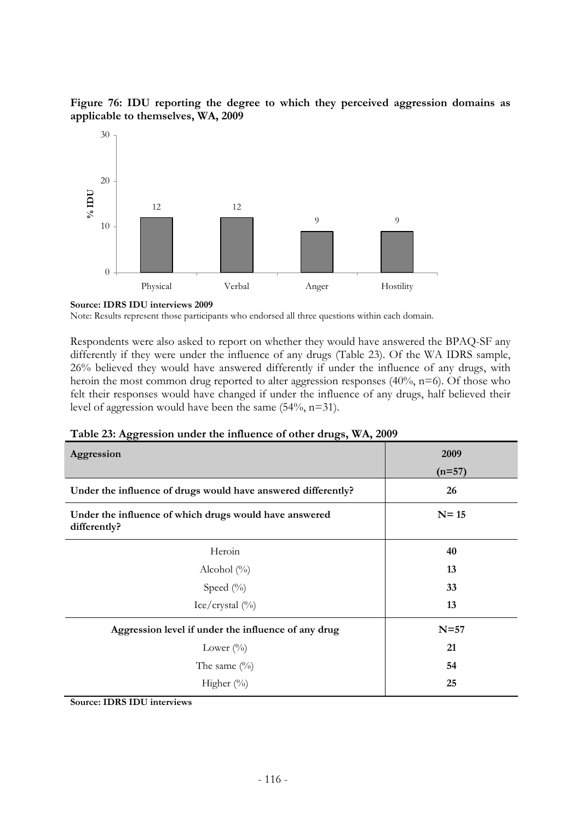



#### **Source: IDRS IDU interviews 2009**

Note: Results represent those participants who endorsed all three questions within each domain.

Respondents were also asked to report on whether they would have answered the BPAQ-SF any differently if they were under the influence of any drugs (Table 23). Of the WA IDRS sample, 26% believed they would have answered differently if under the influence of any drugs, with heroin the most common drug reported to alter aggression responses (40%, n=6). Of those who felt their responses would have changed if under the influence of any drugs, half believed their level of aggression would have been the same (54%, n=31).

| Aggression                                                             | 2009     |  |
|------------------------------------------------------------------------|----------|--|
|                                                                        | $(n=57)$ |  |
| Under the influence of drugs would have answered differently?          | 26       |  |
| Under the influence of which drugs would have answered<br>differently? | $N = 15$ |  |
| Heroin                                                                 | 40       |  |
| Alcohol $(\% )$                                                        | 13       |  |
| Speed $(\%)$                                                           | 33       |  |
| Ice/crystal $\binom{0}{0}$                                             | 13       |  |
| Aggression level if under the influence of any drug                    | $N=57$   |  |
| Lower $(\%)$                                                           | 21       |  |
| The same $(\%)$                                                        | 54       |  |
| Higher $(\%)$                                                          | 25       |  |

|  | Table 23: Aggression under the influence of other drugs, WA, 2009 |  |  |
|--|-------------------------------------------------------------------|--|--|
|  |                                                                   |  |  |

**Source: IDRS IDU interviews**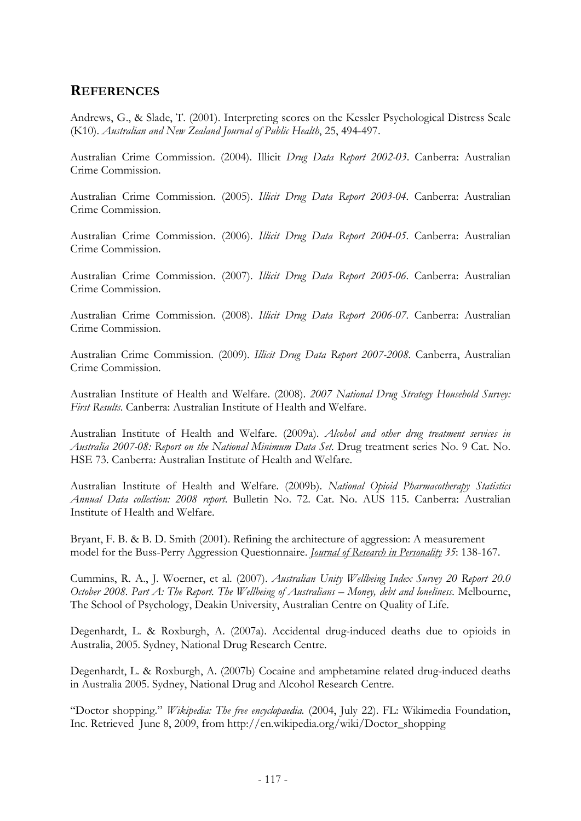# **REFERENCES**

Andrews, G., & Slade, T. (2001). Interpreting scores on the Kessler Psychological Distress Scale (K10). *Australian and New Zealand Journal of Public Health*, 25, 494-497.

Australian Crime Commission. (2004). Illicit *Drug Data Report 2002-03*. Canberra: Australian Crime Commission.

Australian Crime Commission. (2005). *Illicit Drug Data Report 2003-04*. Canberra: Australian Crime Commission.

Australian Crime Commission. (2006). *Illicit Drug Data Report 2004-05*. Canberra: Australian Crime Commission.

Australian Crime Commission. (2007). *Illicit Drug Data Report 2005-06*. Canberra: Australian Crime Commission.

Australian Crime Commission. (2008). *Illicit Drug Data Report 2006-07*. Canberra: Australian Crime Commission.

Australian Crime Commission. (2009). *Illicit Drug Data Report 2007-2008.* Canberra, Australian Crime Commission.

Australian Institute of Health and Welfare. (2008). *2007 National Drug Strategy Household Survey: First Results*. Canberra: Australian Institute of Health and Welfare.

Australian Institute of Health and Welfare. (2009a). *Alcohol and other drug treatment services in Australia 2007-08: Report on the National Minimum Data Set*. Drug treatment series No. 9 Cat. No. HSE 73. Canberra: Australian Institute of Health and Welfare.

Australian Institute of Health and Welfare. (2009b). *National Opioid Pharmacotherapy Statistics Annual Data collection: 2008 report*. Bulletin No. 72. Cat. No. AUS 115. Canberra: Australian Institute of Health and Welfare.

Bryant, F. B. & B. D. Smith (2001). Refining the architecture of aggression: A measurement model for the Buss-Perry Aggression Questionnaire. *Journal of Research in Personality 35*: 138-167.

Cummins, R. A., J. Woerner, et al. (2007). *Australian Unity Wellbeing Index Survey 20 Report 20.0 October 2008. Part A: The Report. The Wellbeing of Australians – Money, debt and loneliness.* Melbourne, The School of Psychology, Deakin University, Australian Centre on Quality of Life.

Degenhardt, L. & Roxburgh, A. (2007a). Accidental drug-induced deaths due to opioids in Australia, 2005. Sydney, National Drug Research Centre.

Degenhardt, L. & Roxburgh, A. (2007b) Cocaine and amphetamine related drug-induced deaths in Australia 2005. Sydney, National Drug and Alcohol Research Centre.

"Doctor shopping." *Wikipedia: The free encyclopaedia.* (2004, July 22). FL: Wikimedia Foundation, Inc. Retrieved June 8, 2009, from http://en.wikipedia.org/wiki/Doctor\_shopping